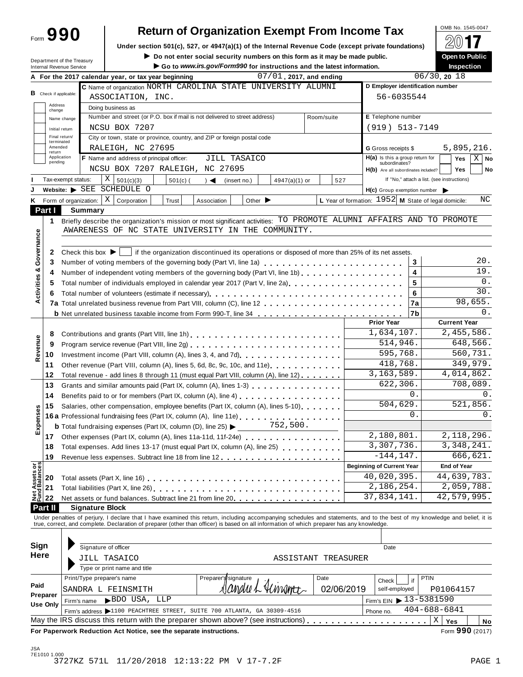| Form 990 |  |  |  |
|----------|--|--|--|
|          |  |  |  |

# **Return of Organization Exempt From Income Tax**<br>section 501(c), 527, or 4947(a)(1) of the Internal Revenue Code (except private foundations)  $\bigotimes_{\text{op}} \mathbf{0}$

**Under section 501(c), 527, or 4947(a)(1) of the Internal Revenue Code (except private foundations)** À¾µ»

Under section 501(c), 527, or 4947(a)(1) or the Internal Revenue Code (except private foundations)<br>Department of the Treasury **Department of the Treasury Department of the Treasury Department of the Treasury** 

|                                      | <b>Internal Revenue Service</b> | $\blacktriangleright$ Do not enter social security numbers on this form as it may be made public.<br>Department of the Treasury<br>Go to www.irs.gov/Form990 for instructions and the latest information.                      |                             |                     |                                                        | <b>Open to Public</b><br><b>Inspection</b> |
|--------------------------------------|---------------------------------|--------------------------------------------------------------------------------------------------------------------------------------------------------------------------------------------------------------------------------|-----------------------------|---------------------|--------------------------------------------------------|--------------------------------------------|
|                                      |                                 | A For the 2017 calendar year, or tax year beginning                                                                                                                                                                            | $07/01$ , 2017, and ending  |                     |                                                        | 06/30, 2018                                |
|                                      |                                 | C Name of organization NORTH CAROLINA STATE UNIVERSITY ALUMNI                                                                                                                                                                  |                             |                     | D Employer identification number                       |                                            |
| <b>B</b> Check if applicable:        |                                 | ASSOCIATION, INC.                                                                                                                                                                                                              |                             |                     | 56-6035544                                             |                                            |
|                                      | Address<br>change               | Doing business as                                                                                                                                                                                                              |                             |                     |                                                        |                                            |
|                                      | Name change                     | Number and street (or P.O. box if mail is not delivered to street address)                                                                                                                                                     |                             | Room/suite          | E Telephone number                                     |                                            |
|                                      | Initial return                  | NCSU BOX 7207                                                                                                                                                                                                                  |                             |                     | $(919) 513 - 7149$                                     |                                            |
|                                      | Final return/<br>terminated     | City or town, state or province, country, and ZIP or foreign postal code                                                                                                                                                       |                             |                     |                                                        |                                            |
|                                      | Amended<br>return               | RALEIGH, NC 27695                                                                                                                                                                                                              |                             |                     | G Gross receipts \$                                    | 5,895,216.                                 |
|                                      | Application<br>pending          | F Name and address of principal officer:<br>JILL TASAICO                                                                                                                                                                       |                             |                     | H(a) Is this a group return for                        | $X \mid$ No<br>Yes                         |
|                                      |                                 | NCSU BOX 7207 RALEIGH, NC 27695                                                                                                                                                                                                |                             |                     | subordinates?<br>H(b) Are all subordinates included?   | <b>Yes</b><br>No                           |
|                                      | Tax-exempt status:              | X<br>501(c)(3)<br>$501(c)$ (<br>$\rightarrow$<br>(insert no.)                                                                                                                                                                  | $4947(a)(1)$ or             | 527                 |                                                        | If "No," attach a list. (see instructions) |
|                                      |                                 | Website: > SEE SCHEDULE O                                                                                                                                                                                                      |                             |                     | H(c) Group exemption number                            |                                            |
| ĸ                                    | Form of organization:           | $X \vert$<br>Corporation<br>Trust<br>Association                                                                                                                                                                               | Other $\blacktriangleright$ |                     | L Year of formation: $1952$ M State of legal domicile: | ΝC                                         |
| Part I                               |                                 | Summary                                                                                                                                                                                                                        |                             |                     |                                                        |                                            |
| 1                                    |                                 | Briefly describe the organization's mission or most significant activities: TO PROMOTE ALUMNI AFFAIRS AND TO PROMOTE                                                                                                           |                             |                     |                                                        |                                            |
|                                      |                                 | AWARENESS OF NC STATE UNIVERSITY IN THE COMMUNITY.                                                                                                                                                                             |                             |                     |                                                        |                                            |
| Governance                           |                                 |                                                                                                                                                                                                                                |                             |                     |                                                        |                                            |
| 2                                    |                                 | if the organization discontinued its operations or disposed of more than 25% of its net assets.<br>Check this box $\blacktriangleright$                                                                                        |                             |                     |                                                        |                                            |
| 3                                    |                                 | Number of voting members of the governing body (Part VI, line 1a)                                                                                                                                                              |                             |                     | 3                                                      | 20.                                        |
| 4                                    |                                 | Number of independent voting members of the governing body (Part VI, line 1b)                                                                                                                                                  |                             |                     | 4                                                      | 19.                                        |
| Activities &<br>5                    |                                 | Total number of individuals employed in calendar year 2017 (Part V, line 2a)                                                                                                                                                   |                             |                     | 5                                                      | 0.                                         |
|                                      |                                 |                                                                                                                                                                                                                                |                             |                     | 6                                                      | 30.                                        |
| 6                                    |                                 |                                                                                                                                                                                                                                |                             |                     |                                                        | 98,655.                                    |
|                                      |                                 |                                                                                                                                                                                                                                |                             |                     | 7a                                                     | 0.                                         |
|                                      |                                 | <b>b</b> Net unrelated business taxable income from Form 990-T, line 34                                                                                                                                                        |                             |                     | 7b<br><b>Prior Year</b>                                | <b>Current Year</b>                        |
|                                      |                                 |                                                                                                                                                                                                                                |                             |                     | 1,634,107.                                             | 2,455,586.                                 |
| 8<br>Revenue<br>9<br>10              |                                 |                                                                                                                                                                                                                                |                             |                     |                                                        |                                            |
|                                      |                                 |                                                                                                                                                                                                                                |                             |                     | 514,946.                                               | 648,566.                                   |
|                                      |                                 |                                                                                                                                                                                                                                |                             |                     | 595,768.                                               | 560,731.                                   |
| 11                                   |                                 | Other revenue (Part VIII, column (A), lines 5, 6d, 8c, 9c, 10c, and 11e)                                                                                                                                                       |                             |                     | 418,768.                                               | 349,979.                                   |
| 12                                   |                                 | Total revenue - add lines 8 through 11 (must equal Part VIII, column (A), line 12)                                                                                                                                             |                             |                     | 3, 163, 589.                                           | 4,014,862.                                 |
| 13                                   |                                 | Grants and similar amounts paid (Part IX, column (A), lines 1-3)                                                                                                                                                               |                             |                     | 622,306.                                               | 708,089.                                   |
| 14                                   |                                 |                                                                                                                                                                                                                                |                             |                     | 0.                                                     | 0.                                         |
| 15                                   |                                 | Salaries, other compensation, employee benefits (Part IX, column (A), lines 5-10)                                                                                                                                              |                             |                     | 504,629.                                               | 521,856.                                   |
| Expenses                             |                                 | 16a Professional fundraising fees (Part IX, column (A), line 11e)                                                                                                                                                              |                             |                     | $\mathbf 0$ .                                          | 0.                                         |
|                                      |                                 | <b>b</b> Total fundraising expenses (Part IX, column (D), line 25) $\blacktriangleright$                                                                                                                                       | 752,500.                    |                     |                                                        |                                            |
| 17                                   |                                 | Other expenses (Part IX, column (A), lines 11a-11d, 11f-24e)                                                                                                                                                                   |                             | 2,180,801.          | 2,118,296.                                             |                                            |
| 18                                   |                                 | Total expenses. Add lines 13-17 (must equal Part IX, column (A), line 25) [100]                                                                                                                                                |                             |                     | 3,307,736.                                             | 3,348,241.                                 |
| 19                                   |                                 | Revenue less expenses. Subtract line 18 from line 12.                                                                                                                                                                          |                             |                     | $-144, 147.$                                           | 666,621.                                   |
|                                      |                                 |                                                                                                                                                                                                                                |                             |                     | <b>Beginning of Current Year</b>                       | <b>End of Year</b>                         |
| Net Assets or<br>Fund Balances<br>20 |                                 |                                                                                                                                                                                                                                |                             |                     | 40,020,395.                                            | 44,639,783.                                |
| 21                                   |                                 | Total liabilities (Part X, line 26)                                                                                                                                                                                            |                             |                     | 2,186,254.                                             | 2,059,788.                                 |
| 22                                   |                                 | Net assets or fund balances. Subtract line 21 from line 20                                                                                                                                                                     |                             |                     | 37,834,141.                                            | 42,579,995.                                |
| Part II                              |                                 | <b>Signature Block</b>                                                                                                                                                                                                         |                             |                     |                                                        |                                            |
|                                      |                                 | Under penalties of perjury, I declare that I have examined this return, including accompanying schedules and statements, and to the best of my knowledge and belief, it is true, correct, and complete. Declaration of prepare |                             |                     |                                                        |                                            |
|                                      |                                 |                                                                                                                                                                                                                                |                             |                     |                                                        |                                            |
|                                      |                                 |                                                                                                                                                                                                                                |                             |                     |                                                        |                                            |
| Sign                                 |                                 | Signature of officer                                                                                                                                                                                                           |                             |                     | Date                                                   |                                            |
| Here                                 |                                 | JILL TASAICO                                                                                                                                                                                                                   |                             | ASSISTANT TREASURER |                                                        |                                            |
|                                      |                                 | Type or print name and title                                                                                                                                                                                                   |                             |                     |                                                        |                                            |
|                                      |                                 | Print/Type preparer's name<br>Preparer's signature                                                                                                                                                                             |                             | Date                | if<br>Check                                            | PTIN                                       |
| Paid                                 |                                 | SANDRA L FEINSMITH                                                                                                                                                                                                             | andue L Himamit             | 02/06/2019          | self-employed                                          | P01064157                                  |
| Preparer                             |                                 | BDO USA, LLP<br>Firm's name                                                                                                                                                                                                    |                             |                     | Firm's EIN $\triangleright$ 13-5381590                 |                                            |
| <b>Use Only</b>                      |                                 | Firm's address >1100 PEACHTREE STREET, SUITE 700 ATLANTA, GA 30309-4516                                                                                                                                                        |                             |                     | Phone no.                                              | $404 - 688 - 6841$                         |
|                                      |                                 | May the IRS discuss this return with the preparer shown above? (see instructions)                                                                                                                                              |                             |                     |                                                        | Χ<br>Yes<br>No                             |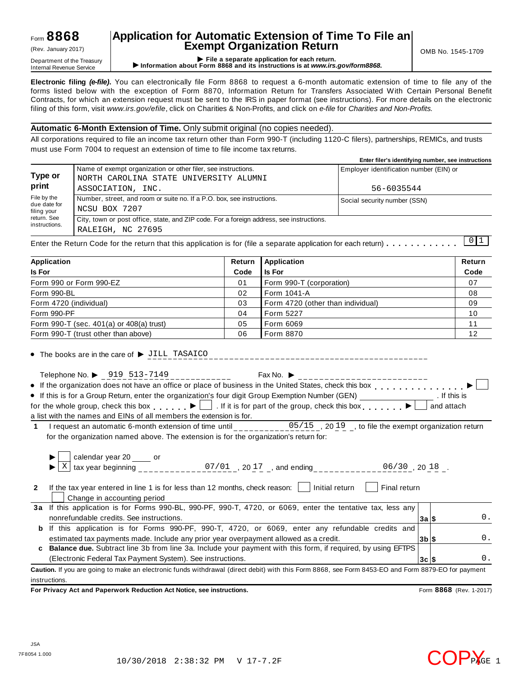## Form **8868**

# **Application for Automatic Extension of Time To File an Exempt Organization Return** (Rev. January 2017) OMB No. 1545-1709

Department of the Treasury<br>Department of the Treasury<br>Internal Revenue Service **CONFICE 1999 File a separate application for each return.**<br>Internal Revenue Service **CONFICE 1999 File a separate application for each return.** 

**Electronic filing** *(e-file)***.** You can electronically file Form 8868 to request a 6-month automatic extension of time to file any of the forms listed below with the exception of Form 8870, Information Return for Transfers Associated With Certain Personal Benefit Contracts, for which an extension request must be sent to the IRS in paper format (see instructions). For more details on the electronic filing of this form, visit *www.irs.gov/efile*, click on Charities & Non-Profits, and click on *e-file* for *Charities and Non-Profits.*

#### **Automatic 6-Month Extension of Time.** Only submit original (no copies needed).

All corporations required to file an income tax return other than Form 990-T (including 1120-C filers), partnerships, REMICs, and trusts must use Form 7004 to request an extension of time to file income tax returns.

|                             |                                                                                          | Enter filer's identifying number, see instructions |
|-----------------------------|------------------------------------------------------------------------------------------|----------------------------------------------------|
|                             | Name of exempt organization or other filer, see instructions.                            | Employer identification number (EIN) or            |
| Type or                     | NORTH CAROLINA STATE UNIVERSITY ALUMNI                                                   |                                                    |
| print                       | ASSOCIATION, INC.                                                                        | 56-6035544                                         |
| File by the                 | Number, street, and room or suite no. If a P.O. box, see instructions.                   | Social security number (SSN)                       |
| due date for<br>filing your | NCSU BOX 7207                                                                            |                                                    |
| return. See                 | City, town or post office, state, and ZIP code. For a foreign address, see instructions. |                                                    |
| instructions.               | RALEIGH, NC 27695                                                                        |                                                    |
|                             |                                                                                          |                                                    |

| Application                              | Return | <b>Application</b>                | Return |
|------------------------------------------|--------|-----------------------------------|--------|
| <b>Is For</b>                            | Code   | <b>Is For</b>                     | Code   |
| Form 990 or Form 990-EZ                  | 01     | Form 990-T (corporation)          | 07     |
| Form 990-BL                              | 02     | l Form 1041-A                     | 08     |
| Form 4720 (individual)                   | 03     | Form 4720 (other than individual) | 09     |
| Form 990-PF                              | 04     | Form 5227                         | 10     |
| Form 990-T (sec. 401(a) or 408(a) trust) | 05     | Form 6069                         | 11     |
| Form 990-T (trust other than above)      | 06     | Form 8870                         | 12     |

 $\bullet$  The books are in the care of  $\triangleright$  JILL TASAICO -----------------------------------

|  | Telephone No. ▶ 919 513-7149                                        | Fax No. $\blacktriangleright$                                                                                             |              |
|--|---------------------------------------------------------------------|---------------------------------------------------------------------------------------------------------------------------|--------------|
|  |                                                                     | • If the organization does not have an office or place of business in the United States, check this box                   |              |
|  |                                                                     | • If this is for a Group Return, enter the organization's four digit Group Exemption Number (GEN)                         | . If this is |
|  |                                                                     | for the whole group, check this box $\begin{array}{c} \bullet \end{array}$ If it is for part of the group, check this box | and attach   |
|  | a list with the names and EINs of all members the extension is for. |                                                                                                                           |              |

| I request an automatic 6-month extension of time until                                |  | 05/15, 2019, to file the exempt organization return |
|---------------------------------------------------------------------------------------|--|-----------------------------------------------------|
| for the organization named above. The extension is for the organization's return for: |  |                                                     |

|              | calendar year 20 _____ or<br>tax year beginning                                                                                                    |          |            |
|--------------|----------------------------------------------------------------------------------------------------------------------------------------------------|----------|------------|
|              | $07/01$ , 20 17, and ending<br>$06/30$ , 20 18.                                                                                                    |          |            |
| $\mathbf{2}$ | If the tax year entered in line 1 is for less than 12 months, check reason:<br>Initial return<br>Final return<br>Change in accounting period       |          |            |
| За           | If this application is for Forms 990-BL, 990-PF, 990-T, 4720, or 6069, enter the tentative tax, less any                                           |          |            |
|              | nonrefundable credits. See instructions.                                                                                                           | 3a S     | 0.         |
| b            | this application is for Forms 990-PF, 990-T, 4720, or 6069, enter any refundable credits and                                                       |          |            |
|              | estimated tax payments made. Include any prior year overpayment allowed as a credit.                                                               | 3b   \$  | 0.         |
| C            | Balance due. Subtract line 3b from line 3a. Include your payment with this form, if required, by using EFTPS                                       |          |            |
|              | (Electronic Federal Tax Payment System). See instructions.                                                                                         | $3c$ $s$ | $\Omega$ . |
|              | Caution. If you are going to make an electronic funds withdrawal (direct debit) with this Form 8868, see Form 8453-EO and Form 8879-EO for payment |          |            |
|              | instructions.                                                                                                                                      |          |            |

**For Privacy Act and Paperwork Reduction Act Notice, see instructions.** Form **8868** (Rev. 1-2017)

COPYGE 1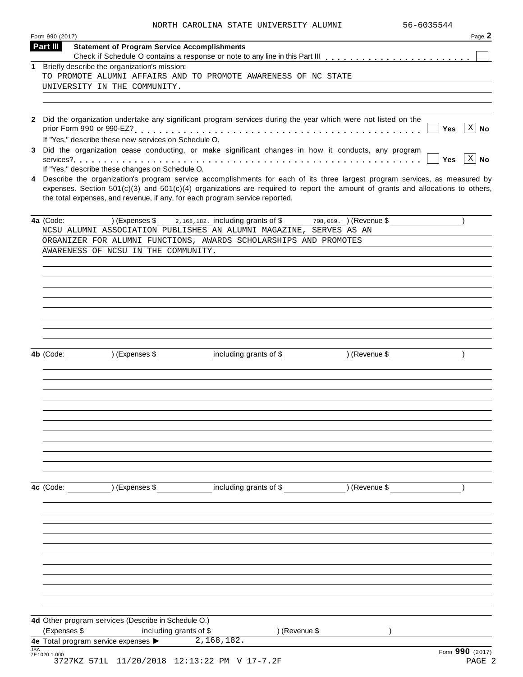|  | NORTH CAROLINA STATE UNIVERSITY ALUMNI | 56-6035544 |
|--|----------------------------------------|------------|

| Form 990 (2017)                                                                                                                                                                                                                                                                                                                                 | Page 2                                 |
|-------------------------------------------------------------------------------------------------------------------------------------------------------------------------------------------------------------------------------------------------------------------------------------------------------------------------------------------------|----------------------------------------|
| Part III<br><b>Statement of Program Service Accomplishments</b>                                                                                                                                                                                                                                                                                 |                                        |
| Briefly describe the organization's mission:                                                                                                                                                                                                                                                                                                    |                                        |
| TO PROMOTE ALUMNI AFFAIRS AND TO PROMOTE AWARENESS OF NC STATE                                                                                                                                                                                                                                                                                  |                                        |
| UNIVERSITY IN THE COMMUNITY.                                                                                                                                                                                                                                                                                                                    |                                        |
|                                                                                                                                                                                                                                                                                                                                                 |                                        |
| Did the organization undertake any significant program services during the year which were not listed on the<br>If "Yes," describe these new services on Schedule O.                                                                                                                                                                            | $ X $ No<br>Yes                        |
| Did the organization cease conducting, or make significant changes in how it conducts, any program                                                                                                                                                                                                                                              | $\left\lceil x \right\rceil$ No<br>Yes |
| If "Yes," describe these changes on Schedule O.                                                                                                                                                                                                                                                                                                 |                                        |
| Describe the organization's program service accomplishments for each of its three largest program services, as measured by<br>expenses. Section $501(c)(3)$ and $501(c)(4)$ organizations are required to report the amount of grants and allocations to others,<br>the total expenses, and revenue, if any, for each program service reported. |                                        |
| $_2$ ,168,182. including grants of $\$$<br>4a (Code:<br>) (Expenses \$<br>$708,089.$ (Revenue \$                                                                                                                                                                                                                                                |                                        |
| NCSU ALUMNI ASSOCIATION PUBLISHES AN ALUMNI MAGAZINE, SERVES AS AN                                                                                                                                                                                                                                                                              |                                        |
| ORGANIZER FOR ALUMNI FUNCTIONS, AWARDS SCHOLARSHIPS AND PROMOTES                                                                                                                                                                                                                                                                                |                                        |
| AWARENESS OF NCSU IN THE COMMUNITY.                                                                                                                                                                                                                                                                                                             |                                        |
|                                                                                                                                                                                                                                                                                                                                                 |                                        |
|                                                                                                                                                                                                                                                                                                                                                 |                                        |
|                                                                                                                                                                                                                                                                                                                                                 |                                        |
|                                                                                                                                                                                                                                                                                                                                                 |                                        |
|                                                                                                                                                                                                                                                                                                                                                 |                                        |
|                                                                                                                                                                                                                                                                                                                                                 |                                        |
|                                                                                                                                                                                                                                                                                                                                                 |                                        |
| including grants of \$ ) (Revenue \$<br>) (Expenses $$$<br>4b (Code:                                                                                                                                                                                                                                                                            |                                        |
|                                                                                                                                                                                                                                                                                                                                                 |                                        |
|                                                                                                                                                                                                                                                                                                                                                 |                                        |
|                                                                                                                                                                                                                                                                                                                                                 |                                        |
|                                                                                                                                                                                                                                                                                                                                                 |                                        |
|                                                                                                                                                                                                                                                                                                                                                 |                                        |
|                                                                                                                                                                                                                                                                                                                                                 |                                        |
|                                                                                                                                                                                                                                                                                                                                                 |                                        |
|                                                                                                                                                                                                                                                                                                                                                 |                                        |
|                                                                                                                                                                                                                                                                                                                                                 |                                        |
|                                                                                                                                                                                                                                                                                                                                                 |                                        |
| $\overline{\hspace{1cm}}$ (Expenses \$<br>including grants of \$ (Revenue \$)<br>4c (Code:                                                                                                                                                                                                                                                      |                                        |
|                                                                                                                                                                                                                                                                                                                                                 |                                        |
|                                                                                                                                                                                                                                                                                                                                                 |                                        |
|                                                                                                                                                                                                                                                                                                                                                 |                                        |
|                                                                                                                                                                                                                                                                                                                                                 |                                        |
|                                                                                                                                                                                                                                                                                                                                                 |                                        |
|                                                                                                                                                                                                                                                                                                                                                 |                                        |
|                                                                                                                                                                                                                                                                                                                                                 |                                        |
|                                                                                                                                                                                                                                                                                                                                                 |                                        |
|                                                                                                                                                                                                                                                                                                                                                 |                                        |
|                                                                                                                                                                                                                                                                                                                                                 |                                        |
|                                                                                                                                                                                                                                                                                                                                                 |                                        |
|                                                                                                                                                                                                                                                                                                                                                 |                                        |
| 4d Other program services (Describe in Schedule O.)                                                                                                                                                                                                                                                                                             |                                        |
| (Expenses \$<br>including grants of \$<br>) (Revenue \$<br>2,168,182.<br>4e Total program service expenses >                                                                                                                                                                                                                                    |                                        |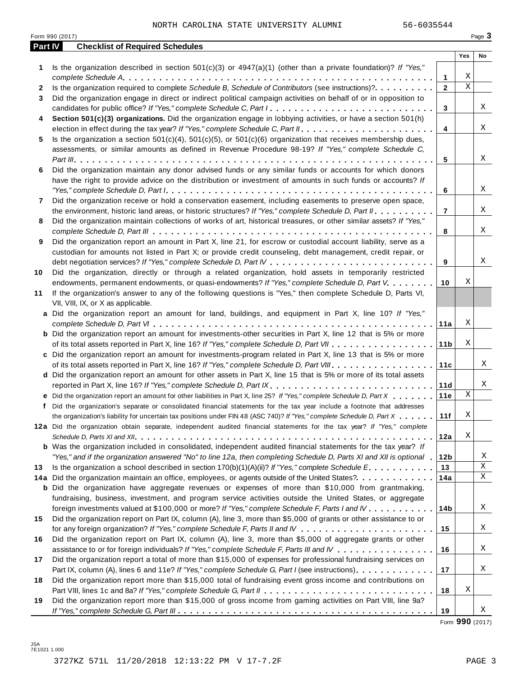|         | Form 990 (2017)                                                                                                                                                                                                                                                                                                                                                                               |                 |                  | Page 3      |
|---------|-----------------------------------------------------------------------------------------------------------------------------------------------------------------------------------------------------------------------------------------------------------------------------------------------------------------------------------------------------------------------------------------------|-----------------|------------------|-------------|
| Part IV | <b>Checklist of Required Schedules</b>                                                                                                                                                                                                                                                                                                                                                        |                 |                  |             |
|         |                                                                                                                                                                                                                                                                                                                                                                                               |                 | Yes              | No          |
| 1       | Is the organization described in section $501(c)(3)$ or $4947(a)(1)$ (other than a private foundation)? If "Yes,"                                                                                                                                                                                                                                                                             |                 |                  |             |
|         |                                                                                                                                                                                                                                                                                                                                                                                               | 1               | Χ<br>$\mathbf X$ |             |
| 2       | Is the organization required to complete Schedule B, Schedule of Contributors (see instructions)?.                                                                                                                                                                                                                                                                                            | $\mathbf{2}$    |                  |             |
| 3       | Did the organization engage in direct or indirect political campaign activities on behalf of or in opposition to                                                                                                                                                                                                                                                                              |                 |                  |             |
|         | candidates for public office? If "Yes," complete Schedule C, Part I.                                                                                                                                                                                                                                                                                                                          | 3               |                  | Χ           |
| 4       | Section 501(c)(3) organizations. Did the organization engage in lobbying activities, or have a section 501(h)                                                                                                                                                                                                                                                                                 |                 |                  | Χ           |
|         |                                                                                                                                                                                                                                                                                                                                                                                               | $\overline{4}$  |                  |             |
| 5       | Is the organization a section $501(c)(4)$ , $501(c)(5)$ , or $501(c)(6)$ organization that receives membership dues,                                                                                                                                                                                                                                                                          |                 |                  |             |
|         | assessments, or similar amounts as defined in Revenue Procedure 98-19? If "Yes," complete Schedule C,                                                                                                                                                                                                                                                                                         | 5               |                  | Χ           |
| 6       | Did the organization maintain any donor advised funds or any similar funds or accounts for which donors                                                                                                                                                                                                                                                                                       |                 |                  |             |
|         | have the right to provide advice on the distribution or investment of amounts in such funds or accounts? If                                                                                                                                                                                                                                                                                   |                 |                  |             |
|         | "Yes," complete Schedule D, Part $l_1, \ldots, l_k, \ldots, l_k, \ldots, l_k, \ldots, l_k, \ldots, l_k, \ldots, l_k, \ldots, l_k, \ldots, l_k, \ldots, l_k, \ldots, l_k, \ldots, l_k, \ldots, l_k, \ldots, l_k, \ldots, l_k, \ldots, l_k, \ldots, l_k, \ldots, l_k, \ldots, l_k, \ldots, l_k, \ldots, l_k, \ldots, l_k, \ldots, l_k, \ldots, l_k, \ldots, l_k, \ldots, l_k, \ldots, l_k, \ld$ | 6               |                  | Χ           |
| 7       | Did the organization receive or hold a conservation easement, including easements to preserve open space,                                                                                                                                                                                                                                                                                     |                 |                  |             |
|         | the environment, historic land areas, or historic structures? If "Yes," complete Schedule D, Part II.                                                                                                                                                                                                                                                                                         | $\overline{7}$  |                  | Χ           |
| 8       | Did the organization maintain collections of works of art, historical treasures, or other similar assets? If "Yes,"                                                                                                                                                                                                                                                                           |                 |                  |             |
|         |                                                                                                                                                                                                                                                                                                                                                                                               | 8               |                  | Χ           |
| 9       | Did the organization report an amount in Part X, line 21, for escrow or custodial account liability, serve as a                                                                                                                                                                                                                                                                               |                 |                  |             |
|         | custodian for amounts not listed in Part X; or provide credit counseling, debt management, credit repair, or                                                                                                                                                                                                                                                                                  |                 |                  |             |
|         |                                                                                                                                                                                                                                                                                                                                                                                               | 9               |                  | Χ           |
| 10      | Did the organization, directly or through a related organization, hold assets in temporarily restricted                                                                                                                                                                                                                                                                                       |                 |                  |             |
|         | endowments, permanent endowments, or quasi-endowments? If "Yes," complete Schedule D, Part V.                                                                                                                                                                                                                                                                                                 | 10              | Χ                |             |
| 11      | If the organization's answer to any of the following questions is "Yes," then complete Schedule D, Parts VI,                                                                                                                                                                                                                                                                                  |                 |                  |             |
|         | VII, VIII, IX, or X as applicable.                                                                                                                                                                                                                                                                                                                                                            |                 |                  |             |
|         | a Did the organization report an amount for land, buildings, and equipment in Part X, line 10? If "Yes,"                                                                                                                                                                                                                                                                                      |                 |                  |             |
|         |                                                                                                                                                                                                                                                                                                                                                                                               | 11a             | Χ                |             |
|         | <b>b</b> Did the organization report an amount for investments-other securities in Part X, line 12 that is 5% or more                                                                                                                                                                                                                                                                         |                 |                  |             |
|         |                                                                                                                                                                                                                                                                                                                                                                                               | 11 <sub>b</sub> | Χ                |             |
|         | c Did the organization report an amount for investments-program related in Part X, line 13 that is 5% or more                                                                                                                                                                                                                                                                                 |                 |                  |             |
|         |                                                                                                                                                                                                                                                                                                                                                                                               | 11c             |                  | Χ           |
|         | d Did the organization report an amount for other assets in Part X, line 15 that is 5% or more of its total assets                                                                                                                                                                                                                                                                            |                 |                  |             |
|         | reported in Part X, line 16? If "Yes," complete Schedule D, Part IX.                                                                                                                                                                                                                                                                                                                          | 11d             |                  | Χ           |
|         | e Did the organization report an amount for other liabilities in Part X, line 25? If "Yes," complete Schedule D, Part X                                                                                                                                                                                                                                                                       | 11e             | Χ                |             |
|         | f Did the organization's separate or consolidated financial statements for the tax year include a footnote that addresses                                                                                                                                                                                                                                                                     |                 |                  |             |
|         | the organization's liability for uncertain tax positions under FIN 48 (ASC 740)? If "Yes," complete Schedule D, Part X                                                                                                                                                                                                                                                                        | 11f             | Χ                |             |
|         | 12a Did the organization obtain separate, independent audited financial statements for the tax year? If "Yes," complete                                                                                                                                                                                                                                                                       |                 |                  |             |
|         |                                                                                                                                                                                                                                                                                                                                                                                               | 12a             | Χ                |             |
|         | <b>b</b> Was the organization included in consolidated, independent audited financial statements for the tax year? If                                                                                                                                                                                                                                                                         |                 |                  |             |
|         | "Yes," and if the organization answered "No" to line 12a, then completing Schedule D, Parts XI and XII is optional 1                                                                                                                                                                                                                                                                          | 12b             |                  | Χ           |
| 13      | Is the organization a school described in section $170(b)(1)(A)(ii)?$ If "Yes," complete Schedule E.                                                                                                                                                                                                                                                                                          | 13              |                  | $\mathbf X$ |
|         | 14a Did the organization maintain an office, employees, or agents outside of the United States?.                                                                                                                                                                                                                                                                                              | 14a             |                  | X           |
|         | <b>b</b> Did the organization have aggregate revenues or expenses of more than \$10,000 from grantmaking,                                                                                                                                                                                                                                                                                     |                 |                  |             |
|         | fundraising, business, investment, and program service activities outside the United States, or aggregate                                                                                                                                                                                                                                                                                     |                 |                  |             |
|         | foreign investments valued at \$100,000 or more? If "Yes," complete Schedule F, Parts I and IV                                                                                                                                                                                                                                                                                                | 14 <sub>b</sub> |                  | Χ           |
| 15      | Did the organization report on Part IX, column (A), line 3, more than \$5,000 of grants or other assistance to or                                                                                                                                                                                                                                                                             |                 |                  |             |
|         |                                                                                                                                                                                                                                                                                                                                                                                               | 15              |                  | Χ           |
| 16      | Did the organization report on Part IX, column (A), line 3, more than \$5,000 of aggregate grants or other                                                                                                                                                                                                                                                                                    |                 |                  |             |
|         | assistance to or for foreign individuals? If "Yes," complete Schedule F, Parts III and IV                                                                                                                                                                                                                                                                                                     | 16              |                  | Χ           |
| 17      | Did the organization report a total of more than \$15,000 of expenses for professional fundraising services on                                                                                                                                                                                                                                                                                |                 |                  |             |
|         | Part IX, column (A), lines 6 and 11e? If "Yes," complete Schedule G, Part I (see instructions)                                                                                                                                                                                                                                                                                                | 17              |                  | Χ           |
| 18      | Did the organization report more than \$15,000 total of fundraising event gross income and contributions on                                                                                                                                                                                                                                                                                   |                 |                  |             |
|         |                                                                                                                                                                                                                                                                                                                                                                                               | 18              | Χ                |             |
| 19      | Did the organization report more than \$15,000 of gross income from gaming activities on Part VIII, line 9a?                                                                                                                                                                                                                                                                                  |                 |                  |             |
|         |                                                                                                                                                                                                                                                                                                                                                                                               | 19              |                  | Χ           |

Form **990** (2017)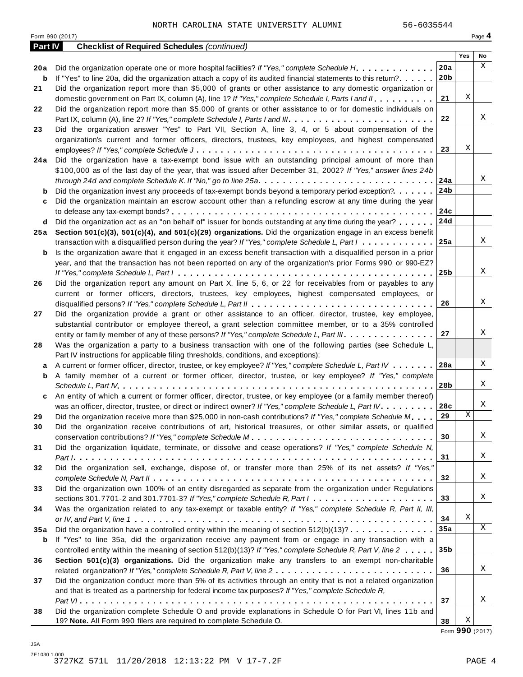| Part IV<br><b>Checklist of Required Schedules (continued)</b><br>Did the organization operate one or more hospital facilities? If "Yes," complete Schedule H.<br>20 a<br>If "Yes" to line 20a, did the organization attach a copy of its audited financial statements to this return?<br>b<br>Did the organization report more than \$5,000 of grants or other assistance to any domestic organization or<br>21<br>domestic government on Part IX, column (A), line 1? If "Yes," complete Schedule I, Parts I and II.<br>Did the organization report more than \$5,000 of grants or other assistance to or for domestic individuals on<br>22<br>Did the organization answer "Yes" to Part VII, Section A, line 3, 4, or 5 about compensation of the<br>23<br>organization's current and former officers, directors, trustees, key employees, and highest compensated<br>Did the organization have a tax-exempt bond issue with an outstanding principal amount of more than<br>24 a<br>\$100,000 as of the last day of the year, that was issued after December 31, 2002? If "Yes," answer lines 24b<br>through 24d and complete Schedule K. If "No," go to line 25a. $\ldots \ldots \ldots \ldots \ldots \ldots \ldots \ldots \ldots \ldots \ldots$<br>Did the organization invest any proceeds of tax-exempt bonds beyond a temporary period exception?<br>b<br>Did the organization maintain an escrow account other than a refunding escrow at any time during the year<br>c<br>Did the organization act as an "on behalf of" issuer for bonds outstanding at any time during the year?<br>d<br>25a Section 501(c)(3), 501(c)(4), and 501(c)(29) organizations. Did the organization engage in an excess benefit<br>transaction with a disqualified person during the year? If "Yes," complete Schedule L, Part $1, \ldots, \ldots, \ldots$<br>Is the organization aware that it engaged in an excess benefit transaction with a disqualified person in a prior<br>b<br>year, and that the transaction has not been reported on any of the organization's prior Forms 990 or 990-EZ?<br>Did the organization report any amount on Part X, line 5, 6, or 22 for receivables from or payables to any<br>26 | 20a<br>20b<br>21<br>22<br>23<br>24a<br>24b<br>24с<br>24d<br>25a<br>25 <sub>b</sub> | Yes<br>Χ<br>Χ | No<br>X<br>Χ<br>Χ<br>Χ |
|--------------------------------------------------------------------------------------------------------------------------------------------------------------------------------------------------------------------------------------------------------------------------------------------------------------------------------------------------------------------------------------------------------------------------------------------------------------------------------------------------------------------------------------------------------------------------------------------------------------------------------------------------------------------------------------------------------------------------------------------------------------------------------------------------------------------------------------------------------------------------------------------------------------------------------------------------------------------------------------------------------------------------------------------------------------------------------------------------------------------------------------------------------------------------------------------------------------------------------------------------------------------------------------------------------------------------------------------------------------------------------------------------------------------------------------------------------------------------------------------------------------------------------------------------------------------------------------------------------------------------------------------------------------------------------------------------------------------------------------------------------------------------------------------------------------------------------------------------------------------------------------------------------------------------------------------------------------------------------------------------------------------------------------------------------------------------------------------------------------------------------------------------------------------------------------------------------------|------------------------------------------------------------------------------------|---------------|------------------------|
|                                                                                                                                                                                                                                                                                                                                                                                                                                                                                                                                                                                                                                                                                                                                                                                                                                                                                                                                                                                                                                                                                                                                                                                                                                                                                                                                                                                                                                                                                                                                                                                                                                                                                                                                                                                                                                                                                                                                                                                                                                                                                                                                                                                                              |                                                                                    |               |                        |
|                                                                                                                                                                                                                                                                                                                                                                                                                                                                                                                                                                                                                                                                                                                                                                                                                                                                                                                                                                                                                                                                                                                                                                                                                                                                                                                                                                                                                                                                                                                                                                                                                                                                                                                                                                                                                                                                                                                                                                                                                                                                                                                                                                                                              |                                                                                    |               |                        |
|                                                                                                                                                                                                                                                                                                                                                                                                                                                                                                                                                                                                                                                                                                                                                                                                                                                                                                                                                                                                                                                                                                                                                                                                                                                                                                                                                                                                                                                                                                                                                                                                                                                                                                                                                                                                                                                                                                                                                                                                                                                                                                                                                                                                              |                                                                                    |               |                        |
|                                                                                                                                                                                                                                                                                                                                                                                                                                                                                                                                                                                                                                                                                                                                                                                                                                                                                                                                                                                                                                                                                                                                                                                                                                                                                                                                                                                                                                                                                                                                                                                                                                                                                                                                                                                                                                                                                                                                                                                                                                                                                                                                                                                                              |                                                                                    |               |                        |
|                                                                                                                                                                                                                                                                                                                                                                                                                                                                                                                                                                                                                                                                                                                                                                                                                                                                                                                                                                                                                                                                                                                                                                                                                                                                                                                                                                                                                                                                                                                                                                                                                                                                                                                                                                                                                                                                                                                                                                                                                                                                                                                                                                                                              |                                                                                    |               |                        |
|                                                                                                                                                                                                                                                                                                                                                                                                                                                                                                                                                                                                                                                                                                                                                                                                                                                                                                                                                                                                                                                                                                                                                                                                                                                                                                                                                                                                                                                                                                                                                                                                                                                                                                                                                                                                                                                                                                                                                                                                                                                                                                                                                                                                              |                                                                                    |               |                        |
|                                                                                                                                                                                                                                                                                                                                                                                                                                                                                                                                                                                                                                                                                                                                                                                                                                                                                                                                                                                                                                                                                                                                                                                                                                                                                                                                                                                                                                                                                                                                                                                                                                                                                                                                                                                                                                                                                                                                                                                                                                                                                                                                                                                                              |                                                                                    |               |                        |
|                                                                                                                                                                                                                                                                                                                                                                                                                                                                                                                                                                                                                                                                                                                                                                                                                                                                                                                                                                                                                                                                                                                                                                                                                                                                                                                                                                                                                                                                                                                                                                                                                                                                                                                                                                                                                                                                                                                                                                                                                                                                                                                                                                                                              |                                                                                    |               |                        |
|                                                                                                                                                                                                                                                                                                                                                                                                                                                                                                                                                                                                                                                                                                                                                                                                                                                                                                                                                                                                                                                                                                                                                                                                                                                                                                                                                                                                                                                                                                                                                                                                                                                                                                                                                                                                                                                                                                                                                                                                                                                                                                                                                                                                              |                                                                                    |               |                        |
|                                                                                                                                                                                                                                                                                                                                                                                                                                                                                                                                                                                                                                                                                                                                                                                                                                                                                                                                                                                                                                                                                                                                                                                                                                                                                                                                                                                                                                                                                                                                                                                                                                                                                                                                                                                                                                                                                                                                                                                                                                                                                                                                                                                                              |                                                                                    |               |                        |
|                                                                                                                                                                                                                                                                                                                                                                                                                                                                                                                                                                                                                                                                                                                                                                                                                                                                                                                                                                                                                                                                                                                                                                                                                                                                                                                                                                                                                                                                                                                                                                                                                                                                                                                                                                                                                                                                                                                                                                                                                                                                                                                                                                                                              |                                                                                    |               |                        |
|                                                                                                                                                                                                                                                                                                                                                                                                                                                                                                                                                                                                                                                                                                                                                                                                                                                                                                                                                                                                                                                                                                                                                                                                                                                                                                                                                                                                                                                                                                                                                                                                                                                                                                                                                                                                                                                                                                                                                                                                                                                                                                                                                                                                              |                                                                                    |               |                        |
|                                                                                                                                                                                                                                                                                                                                                                                                                                                                                                                                                                                                                                                                                                                                                                                                                                                                                                                                                                                                                                                                                                                                                                                                                                                                                                                                                                                                                                                                                                                                                                                                                                                                                                                                                                                                                                                                                                                                                                                                                                                                                                                                                                                                              |                                                                                    |               |                        |
|                                                                                                                                                                                                                                                                                                                                                                                                                                                                                                                                                                                                                                                                                                                                                                                                                                                                                                                                                                                                                                                                                                                                                                                                                                                                                                                                                                                                                                                                                                                                                                                                                                                                                                                                                                                                                                                                                                                                                                                                                                                                                                                                                                                                              |                                                                                    |               |                        |
|                                                                                                                                                                                                                                                                                                                                                                                                                                                                                                                                                                                                                                                                                                                                                                                                                                                                                                                                                                                                                                                                                                                                                                                                                                                                                                                                                                                                                                                                                                                                                                                                                                                                                                                                                                                                                                                                                                                                                                                                                                                                                                                                                                                                              |                                                                                    |               |                        |
|                                                                                                                                                                                                                                                                                                                                                                                                                                                                                                                                                                                                                                                                                                                                                                                                                                                                                                                                                                                                                                                                                                                                                                                                                                                                                                                                                                                                                                                                                                                                                                                                                                                                                                                                                                                                                                                                                                                                                                                                                                                                                                                                                                                                              |                                                                                    |               |                        |
|                                                                                                                                                                                                                                                                                                                                                                                                                                                                                                                                                                                                                                                                                                                                                                                                                                                                                                                                                                                                                                                                                                                                                                                                                                                                                                                                                                                                                                                                                                                                                                                                                                                                                                                                                                                                                                                                                                                                                                                                                                                                                                                                                                                                              |                                                                                    |               |                        |
|                                                                                                                                                                                                                                                                                                                                                                                                                                                                                                                                                                                                                                                                                                                                                                                                                                                                                                                                                                                                                                                                                                                                                                                                                                                                                                                                                                                                                                                                                                                                                                                                                                                                                                                                                                                                                                                                                                                                                                                                                                                                                                                                                                                                              |                                                                                    |               |                        |
|                                                                                                                                                                                                                                                                                                                                                                                                                                                                                                                                                                                                                                                                                                                                                                                                                                                                                                                                                                                                                                                                                                                                                                                                                                                                                                                                                                                                                                                                                                                                                                                                                                                                                                                                                                                                                                                                                                                                                                                                                                                                                                                                                                                                              |                                                                                    |               |                        |
|                                                                                                                                                                                                                                                                                                                                                                                                                                                                                                                                                                                                                                                                                                                                                                                                                                                                                                                                                                                                                                                                                                                                                                                                                                                                                                                                                                                                                                                                                                                                                                                                                                                                                                                                                                                                                                                                                                                                                                                                                                                                                                                                                                                                              |                                                                                    |               |                        |
|                                                                                                                                                                                                                                                                                                                                                                                                                                                                                                                                                                                                                                                                                                                                                                                                                                                                                                                                                                                                                                                                                                                                                                                                                                                                                                                                                                                                                                                                                                                                                                                                                                                                                                                                                                                                                                                                                                                                                                                                                                                                                                                                                                                                              |                                                                                    |               |                        |
|                                                                                                                                                                                                                                                                                                                                                                                                                                                                                                                                                                                                                                                                                                                                                                                                                                                                                                                                                                                                                                                                                                                                                                                                                                                                                                                                                                                                                                                                                                                                                                                                                                                                                                                                                                                                                                                                                                                                                                                                                                                                                                                                                                                                              |                                                                                    |               |                        |
|                                                                                                                                                                                                                                                                                                                                                                                                                                                                                                                                                                                                                                                                                                                                                                                                                                                                                                                                                                                                                                                                                                                                                                                                                                                                                                                                                                                                                                                                                                                                                                                                                                                                                                                                                                                                                                                                                                                                                                                                                                                                                                                                                                                                              |                                                                                    |               | Χ                      |
|                                                                                                                                                                                                                                                                                                                                                                                                                                                                                                                                                                                                                                                                                                                                                                                                                                                                                                                                                                                                                                                                                                                                                                                                                                                                                                                                                                                                                                                                                                                                                                                                                                                                                                                                                                                                                                                                                                                                                                                                                                                                                                                                                                                                              |                                                                                    |               |                        |
|                                                                                                                                                                                                                                                                                                                                                                                                                                                                                                                                                                                                                                                                                                                                                                                                                                                                                                                                                                                                                                                                                                                                                                                                                                                                                                                                                                                                                                                                                                                                                                                                                                                                                                                                                                                                                                                                                                                                                                                                                                                                                                                                                                                                              |                                                                                    |               |                        |
| current or former officers, directors, trustees, key employees, highest compensated employees, or                                                                                                                                                                                                                                                                                                                                                                                                                                                                                                                                                                                                                                                                                                                                                                                                                                                                                                                                                                                                                                                                                                                                                                                                                                                                                                                                                                                                                                                                                                                                                                                                                                                                                                                                                                                                                                                                                                                                                                                                                                                                                                            |                                                                                    |               | Χ                      |
|                                                                                                                                                                                                                                                                                                                                                                                                                                                                                                                                                                                                                                                                                                                                                                                                                                                                                                                                                                                                                                                                                                                                                                                                                                                                                                                                                                                                                                                                                                                                                                                                                                                                                                                                                                                                                                                                                                                                                                                                                                                                                                                                                                                                              | 26                                                                                 |               |                        |
| Did the organization provide a grant or other assistance to an officer, director, trustee, key employee,<br>27                                                                                                                                                                                                                                                                                                                                                                                                                                                                                                                                                                                                                                                                                                                                                                                                                                                                                                                                                                                                                                                                                                                                                                                                                                                                                                                                                                                                                                                                                                                                                                                                                                                                                                                                                                                                                                                                                                                                                                                                                                                                                               |                                                                                    |               |                        |
| substantial contributor or employee thereof, a grant selection committee member, or to a 35% controlled                                                                                                                                                                                                                                                                                                                                                                                                                                                                                                                                                                                                                                                                                                                                                                                                                                                                                                                                                                                                                                                                                                                                                                                                                                                                                                                                                                                                                                                                                                                                                                                                                                                                                                                                                                                                                                                                                                                                                                                                                                                                                                      |                                                                                    |               |                        |
| entity or family member of any of these persons? If "Yes," complete Schedule L, Part III.                                                                                                                                                                                                                                                                                                                                                                                                                                                                                                                                                                                                                                                                                                                                                                                                                                                                                                                                                                                                                                                                                                                                                                                                                                                                                                                                                                                                                                                                                                                                                                                                                                                                                                                                                                                                                                                                                                                                                                                                                                                                                                                    | 27                                                                                 |               | Χ                      |
| Was the organization a party to a business transaction with one of the following parties (see Schedule L,<br>28                                                                                                                                                                                                                                                                                                                                                                                                                                                                                                                                                                                                                                                                                                                                                                                                                                                                                                                                                                                                                                                                                                                                                                                                                                                                                                                                                                                                                                                                                                                                                                                                                                                                                                                                                                                                                                                                                                                                                                                                                                                                                              |                                                                                    |               |                        |
| Part IV instructions for applicable filing thresholds, conditions, and exceptions):                                                                                                                                                                                                                                                                                                                                                                                                                                                                                                                                                                                                                                                                                                                                                                                                                                                                                                                                                                                                                                                                                                                                                                                                                                                                                                                                                                                                                                                                                                                                                                                                                                                                                                                                                                                                                                                                                                                                                                                                                                                                                                                          |                                                                                    |               |                        |
| A current or former officer, director, trustee, or key employee? If "Yes," complete Schedule L, Part IV<br>a                                                                                                                                                                                                                                                                                                                                                                                                                                                                                                                                                                                                                                                                                                                                                                                                                                                                                                                                                                                                                                                                                                                                                                                                                                                                                                                                                                                                                                                                                                                                                                                                                                                                                                                                                                                                                                                                                                                                                                                                                                                                                                 | 28a                                                                                |               | Χ                      |
| A family member of a current or former officer, director, trustee, or key employee? If "Yes," complete<br>b                                                                                                                                                                                                                                                                                                                                                                                                                                                                                                                                                                                                                                                                                                                                                                                                                                                                                                                                                                                                                                                                                                                                                                                                                                                                                                                                                                                                                                                                                                                                                                                                                                                                                                                                                                                                                                                                                                                                                                                                                                                                                                  |                                                                                    |               |                        |
|                                                                                                                                                                                                                                                                                                                                                                                                                                                                                                                                                                                                                                                                                                                                                                                                                                                                                                                                                                                                                                                                                                                                                                                                                                                                                                                                                                                                                                                                                                                                                                                                                                                                                                                                                                                                                                                                                                                                                                                                                                                                                                                                                                                                              | 28b                                                                                |               | Χ                      |
| An entity of which a current or former officer, director, trustee, or key employee (or a family member thereof)<br>C                                                                                                                                                                                                                                                                                                                                                                                                                                                                                                                                                                                                                                                                                                                                                                                                                                                                                                                                                                                                                                                                                                                                                                                                                                                                                                                                                                                                                                                                                                                                                                                                                                                                                                                                                                                                                                                                                                                                                                                                                                                                                         |                                                                                    |               |                        |
| was an officer, director, trustee, or direct or indirect owner? If "Yes," complete Schedule L, Part IV.                                                                                                                                                                                                                                                                                                                                                                                                                                                                                                                                                                                                                                                                                                                                                                                                                                                                                                                                                                                                                                                                                                                                                                                                                                                                                                                                                                                                                                                                                                                                                                                                                                                                                                                                                                                                                                                                                                                                                                                                                                                                                                      | 28c                                                                                |               | Χ                      |
| Did the organization receive more than \$25,000 in non-cash contributions? If "Yes," complete Schedule M<br>29                                                                                                                                                                                                                                                                                                                                                                                                                                                                                                                                                                                                                                                                                                                                                                                                                                                                                                                                                                                                                                                                                                                                                                                                                                                                                                                                                                                                                                                                                                                                                                                                                                                                                                                                                                                                                                                                                                                                                                                                                                                                                               | 29                                                                                 | Χ             |                        |
| Did the organization receive contributions of art, historical treasures, or other similar assets, or qualified<br>30                                                                                                                                                                                                                                                                                                                                                                                                                                                                                                                                                                                                                                                                                                                                                                                                                                                                                                                                                                                                                                                                                                                                                                                                                                                                                                                                                                                                                                                                                                                                                                                                                                                                                                                                                                                                                                                                                                                                                                                                                                                                                         |                                                                                    |               |                        |
|                                                                                                                                                                                                                                                                                                                                                                                                                                                                                                                                                                                                                                                                                                                                                                                                                                                                                                                                                                                                                                                                                                                                                                                                                                                                                                                                                                                                                                                                                                                                                                                                                                                                                                                                                                                                                                                                                                                                                                                                                                                                                                                                                                                                              | 30                                                                                 |               | Χ                      |
| Did the organization liquidate, terminate, or dissolve and cease operations? If "Yes," complete Schedule N,<br>31                                                                                                                                                                                                                                                                                                                                                                                                                                                                                                                                                                                                                                                                                                                                                                                                                                                                                                                                                                                                                                                                                                                                                                                                                                                                                                                                                                                                                                                                                                                                                                                                                                                                                                                                                                                                                                                                                                                                                                                                                                                                                            |                                                                                    |               |                        |
|                                                                                                                                                                                                                                                                                                                                                                                                                                                                                                                                                                                                                                                                                                                                                                                                                                                                                                                                                                                                                                                                                                                                                                                                                                                                                                                                                                                                                                                                                                                                                                                                                                                                                                                                                                                                                                                                                                                                                                                                                                                                                                                                                                                                              | 31                                                                                 |               | Χ                      |
| Did the organization sell, exchange, dispose of, or transfer more than 25% of its net assets? If "Yes,"<br>32                                                                                                                                                                                                                                                                                                                                                                                                                                                                                                                                                                                                                                                                                                                                                                                                                                                                                                                                                                                                                                                                                                                                                                                                                                                                                                                                                                                                                                                                                                                                                                                                                                                                                                                                                                                                                                                                                                                                                                                                                                                                                                |                                                                                    |               |                        |
|                                                                                                                                                                                                                                                                                                                                                                                                                                                                                                                                                                                                                                                                                                                                                                                                                                                                                                                                                                                                                                                                                                                                                                                                                                                                                                                                                                                                                                                                                                                                                                                                                                                                                                                                                                                                                                                                                                                                                                                                                                                                                                                                                                                                              | 32                                                                                 |               | Χ                      |
| Did the organization own 100% of an entity disregarded as separate from the organization under Regulations<br>33                                                                                                                                                                                                                                                                                                                                                                                                                                                                                                                                                                                                                                                                                                                                                                                                                                                                                                                                                                                                                                                                                                                                                                                                                                                                                                                                                                                                                                                                                                                                                                                                                                                                                                                                                                                                                                                                                                                                                                                                                                                                                             |                                                                                    |               |                        |
| sections 301.7701-2 and 301.7701-3? If "Yes," complete Schedule R, Part $1, \ldots, \ldots, \ldots, \ldots, \ldots, \ldots$                                                                                                                                                                                                                                                                                                                                                                                                                                                                                                                                                                                                                                                                                                                                                                                                                                                                                                                                                                                                                                                                                                                                                                                                                                                                                                                                                                                                                                                                                                                                                                                                                                                                                                                                                                                                                                                                                                                                                                                                                                                                                  | 33                                                                                 |               | Χ                      |
| Was the organization related to any tax-exempt or taxable entity? If "Yes," complete Schedule R, Part II, III,<br>34                                                                                                                                                                                                                                                                                                                                                                                                                                                                                                                                                                                                                                                                                                                                                                                                                                                                                                                                                                                                                                                                                                                                                                                                                                                                                                                                                                                                                                                                                                                                                                                                                                                                                                                                                                                                                                                                                                                                                                                                                                                                                         |                                                                                    |               |                        |
|                                                                                                                                                                                                                                                                                                                                                                                                                                                                                                                                                                                                                                                                                                                                                                                                                                                                                                                                                                                                                                                                                                                                                                                                                                                                                                                                                                                                                                                                                                                                                                                                                                                                                                                                                                                                                                                                                                                                                                                                                                                                                                                                                                                                              | 34                                                                                 | Χ             |                        |
| Did the organization have a controlled entity within the meaning of section $512(b)(13)? \ldots \ldots \ldots \ldots$<br>35a                                                                                                                                                                                                                                                                                                                                                                                                                                                                                                                                                                                                                                                                                                                                                                                                                                                                                                                                                                                                                                                                                                                                                                                                                                                                                                                                                                                                                                                                                                                                                                                                                                                                                                                                                                                                                                                                                                                                                                                                                                                                                 | 35a                                                                                |               | X                      |
| If "Yes" to line 35a, did the organization receive any payment from or engage in any transaction with a<br>b                                                                                                                                                                                                                                                                                                                                                                                                                                                                                                                                                                                                                                                                                                                                                                                                                                                                                                                                                                                                                                                                                                                                                                                                                                                                                                                                                                                                                                                                                                                                                                                                                                                                                                                                                                                                                                                                                                                                                                                                                                                                                                 |                                                                                    |               |                        |
| controlled entity within the meaning of section 512(b)(13)? If "Yes," complete Schedule R, Part V, line 2                                                                                                                                                                                                                                                                                                                                                                                                                                                                                                                                                                                                                                                                                                                                                                                                                                                                                                                                                                                                                                                                                                                                                                                                                                                                                                                                                                                                                                                                                                                                                                                                                                                                                                                                                                                                                                                                                                                                                                                                                                                                                                    | 35 <sub>b</sub>                                                                    |               |                        |
| Section 501(c)(3) organizations. Did the organization make any transfers to an exempt non-charitable<br>36                                                                                                                                                                                                                                                                                                                                                                                                                                                                                                                                                                                                                                                                                                                                                                                                                                                                                                                                                                                                                                                                                                                                                                                                                                                                                                                                                                                                                                                                                                                                                                                                                                                                                                                                                                                                                                                                                                                                                                                                                                                                                                   |                                                                                    |               |                        |
|                                                                                                                                                                                                                                                                                                                                                                                                                                                                                                                                                                                                                                                                                                                                                                                                                                                                                                                                                                                                                                                                                                                                                                                                                                                                                                                                                                                                                                                                                                                                                                                                                                                                                                                                                                                                                                                                                                                                                                                                                                                                                                                                                                                                              | 36                                                                                 |               | Χ                      |
| Did the organization conduct more than 5% of its activities through an entity that is not a related organization                                                                                                                                                                                                                                                                                                                                                                                                                                                                                                                                                                                                                                                                                                                                                                                                                                                                                                                                                                                                                                                                                                                                                                                                                                                                                                                                                                                                                                                                                                                                                                                                                                                                                                                                                                                                                                                                                                                                                                                                                                                                                             |                                                                                    |               |                        |
| 37                                                                                                                                                                                                                                                                                                                                                                                                                                                                                                                                                                                                                                                                                                                                                                                                                                                                                                                                                                                                                                                                                                                                                                                                                                                                                                                                                                                                                                                                                                                                                                                                                                                                                                                                                                                                                                                                                                                                                                                                                                                                                                                                                                                                           |                                                                                    |               |                        |
| and that is treated as a partnership for federal income tax purposes? If "Yes," complete Schedule R,                                                                                                                                                                                                                                                                                                                                                                                                                                                                                                                                                                                                                                                                                                                                                                                                                                                                                                                                                                                                                                                                                                                                                                                                                                                                                                                                                                                                                                                                                                                                                                                                                                                                                                                                                                                                                                                                                                                                                                                                                                                                                                         | 37                                                                                 |               | Χ                      |
|                                                                                                                                                                                                                                                                                                                                                                                                                                                                                                                                                                                                                                                                                                                                                                                                                                                                                                                                                                                                                                                                                                                                                                                                                                                                                                                                                                                                                                                                                                                                                                                                                                                                                                                                                                                                                                                                                                                                                                                                                                                                                                                                                                                                              |                                                                                    |               |                        |
| Did the organization complete Schedule O and provide explanations in Schedule O for Part VI, lines 11b and<br>38<br>19? Note. All Form 990 filers are required to complete Schedule O.                                                                                                                                                                                                                                                                                                                                                                                                                                                                                                                                                                                                                                                                                                                                                                                                                                                                                                                                                                                                                                                                                                                                                                                                                                                                                                                                                                                                                                                                                                                                                                                                                                                                                                                                                                                                                                                                                                                                                                                                                       | 38                                                                                 | Χ             |                        |

Form **990** (2017)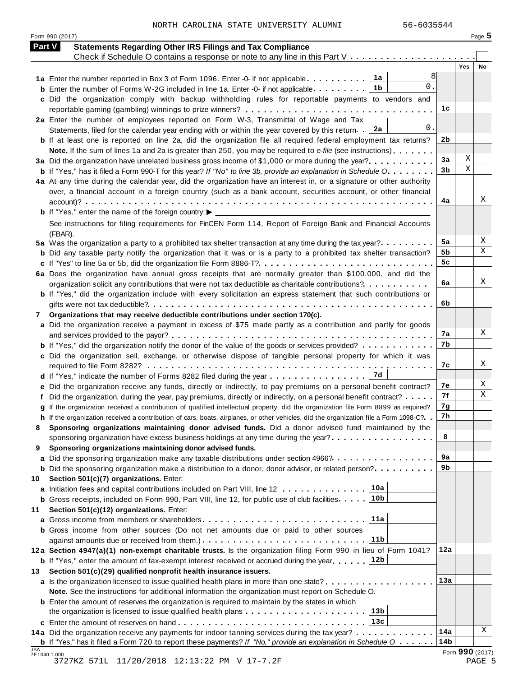NORTH CAROLINA STATE UNIVERSITY ALUMNI 56-6035544

| <b>Part V</b> | <b>Statements Regarding Other IRS Filings and Tax Compliance</b>                                                                                                                                                |                 |            |                 |
|---------------|-----------------------------------------------------------------------------------------------------------------------------------------------------------------------------------------------------------------|-----------------|------------|-----------------|
|               | Check if Schedule O contains a response or note to any line in this Part V                                                                                                                                      |                 |            |                 |
|               | 8                                                                                                                                                                                                               |                 | <b>Yes</b> | No              |
|               | 1a Enter the number reported in Box 3 of Form 1096. Enter -0- if not applicable 1a<br>0.<br>1b<br><b>b</b> Enter the number of Forms W-2G included in line 1a. Enter -0- if not applicable. $\dots \dots \dots$ |                 |            |                 |
|               |                                                                                                                                                                                                                 |                 |            |                 |
|               | c Did the organization comply with backup withholding rules for reportable payments to vendors and                                                                                                              | 1c              |            |                 |
|               |                                                                                                                                                                                                                 |                 |            |                 |
|               | 2a Enter the number of employees reported on Form W-3, Transmittal of Wage and Tax<br>0.                                                                                                                        |                 |            |                 |
|               | 2a<br>Statements, filed for the calendar year ending with or within the year covered by this return.                                                                                                            |                 |            |                 |
|               | <b>b</b> If at least one is reported on line 2a, did the organization file all required federal employment tax returns?                                                                                         | 2b              |            |                 |
|               | Note. If the sum of lines 1a and 2a is greater than 250, you may be required to e-file (see instructions)                                                                                                       |                 |            |                 |
|               | 3a Did the organization have unrelated business gross income of \$1,000 or more during the year?                                                                                                                | 3a              | Χ<br>X     |                 |
|               | <b>b</b> If "Yes," has it filed a Form 990-T for this year? If "No" to line 3b, provide an explanation in Schedule O                                                                                            | 3 <sub>b</sub>  |            |                 |
|               | 4a At any time during the calendar year, did the organization have an interest in, or a signature or other authority                                                                                            |                 |            |                 |
|               | over, a financial account in a foreign country (such as a bank account, securities account, or other financial                                                                                                  |                 |            |                 |
|               |                                                                                                                                                                                                                 | 4a              |            | Χ               |
|               |                                                                                                                                                                                                                 |                 |            |                 |
|               | See instructions for filing requirements for FinCEN Form 114, Report of Foreign Bank and Financial Accounts                                                                                                     |                 |            |                 |
|               | (FBAR).                                                                                                                                                                                                         |                 |            |                 |
|               | 5a Was the organization a party to a prohibited tax shelter transaction at any time during the tax year?                                                                                                        | 5a              |            | Χ               |
|               | <b>b</b> Did any taxable party notify the organization that it was or is a party to a prohibited tax shelter transaction?                                                                                       | 5b              |            | Χ               |
|               |                                                                                                                                                                                                                 | 5c              |            |                 |
|               | 6a Does the organization have annual gross receipts that are normally greater than \$100,000, and did the                                                                                                       |                 |            |                 |
|               | organization solicit any contributions that were not tax deductible as charitable contributions?                                                                                                                | 6a              |            | X               |
|               | <b>b</b> If "Yes," did the organization include with every solicitation an express statement that such contributions or                                                                                         |                 |            |                 |
|               |                                                                                                                                                                                                                 | 6b              |            |                 |
| 7             | Organizations that may receive deductible contributions under section 170(c).                                                                                                                                   |                 |            |                 |
|               | a Did the organization receive a payment in excess of \$75 made partly as a contribution and partly for goods                                                                                                   |                 |            |                 |
|               |                                                                                                                                                                                                                 | 7a              |            | Χ               |
|               | <b>b</b> If "Yes," did the organization notify the donor of the value of the goods or services provided?                                                                                                        | 7b              |            |                 |
|               | c Did the organization sell, exchange, or otherwise dispose of tangible personal property for which it was                                                                                                      |                 |            |                 |
|               |                                                                                                                                                                                                                 | 7c              |            | X               |
|               |                                                                                                                                                                                                                 |                 |            |                 |
|               |                                                                                                                                                                                                                 | 7e              |            | Χ               |
|               | e Did the organization receive any funds, directly or indirectly, to pay premiums on a personal benefit contract?                                                                                               | 7f              |            | Χ               |
|               | f Did the organization, during the year, pay premiums, directly or indirectly, on a personal benefit contract?                                                                                                  |                 |            |                 |
|               | g If the organization received a contribution of qualified intellectual property, did the organization file Form 8899 as required?                                                                              | 7g              |            |                 |
|               | h If the organization received a contribution of cars, boats, airplanes, or other vehicles, did the organization file a Form 1098-C?. .                                                                         | 7h              |            |                 |
|               | Sponsoring organizations maintaining donor advised funds. Did a donor advised fund maintained by the                                                                                                            |                 |            |                 |
|               | sponsoring organization have excess business holdings at any time during the year?                                                                                                                              | 8               |            |                 |
| 9             | Sponsoring organizations maintaining donor advised funds.                                                                                                                                                       |                 |            |                 |
|               | a Did the sponsoring organization make any taxable distributions under section 4966?                                                                                                                            | 9a              |            |                 |
|               | <b>b</b> Did the sponsoring organization make a distribution to a donor, donor advisor, or related person?                                                                                                      | 9b              |            |                 |
| 10            | Section 501(c)(7) organizations. Enter:                                                                                                                                                                         |                 |            |                 |
|               | 10a<br>a Initiation fees and capital contributions included on Part VIII, line 12                                                                                                                               |                 |            |                 |
|               | 10b<br><b>b</b> Gross receipts, included on Form 990, Part VIII, line 12, for public use of club facilities. $\ldots$ .                                                                                         |                 |            |                 |
| 11            | Section 501(c)(12) organizations. Enter:                                                                                                                                                                        |                 |            |                 |
|               | 11a<br>a Gross income from members or shareholders                                                                                                                                                              |                 |            |                 |
|               | <b>b</b> Gross income from other sources (Do not net amounts due or paid to other sources                                                                                                                       |                 |            |                 |
|               | 11b                                                                                                                                                                                                             |                 |            |                 |
|               | 12a Section 4947(a)(1) non-exempt charitable trusts. Is the organization filing Form 990 in lieu of Form 1041?                                                                                                  | 12a             |            |                 |
|               | <b>b</b> If "Yes," enter the amount of tax-exempt interest received or accrued during the year  12b                                                                                                             |                 |            |                 |
| 13.           | Section 501(c)(29) qualified nonprofit health insurance issuers.                                                                                                                                                |                 |            |                 |
|               | a Is the organization licensed to issue qualified health plans in more than one state?                                                                                                                          | 13a             |            |                 |
|               | Note. See the instructions for additional information the organization must report on Schedule O.                                                                                                               |                 |            |                 |
|               | <b>b</b> Enter the amount of reserves the organization is required to maintain by the states in which                                                                                                           |                 |            |                 |
|               | 13 <sub>b</sub><br>the organization is licensed to issue qualified health plans $\ldots \ldots \ldots \ldots \ldots \ldots \ldots$                                                                              |                 |            |                 |
|               | 13c                                                                                                                                                                                                             |                 |            |                 |
|               | 14a Did the organization receive any payments for indoor tanning services during the tax year?                                                                                                                  | 14a             |            | Χ               |
|               | <b>b</b> If "Yes," has it filed a Form 720 to report these payments? If "No," provide an explanation in Schedule $0 \ldots \ldots$                                                                              | 14 <sub>b</sub> |            |                 |
|               |                                                                                                                                                                                                                 |                 |            | Form 990 (2017) |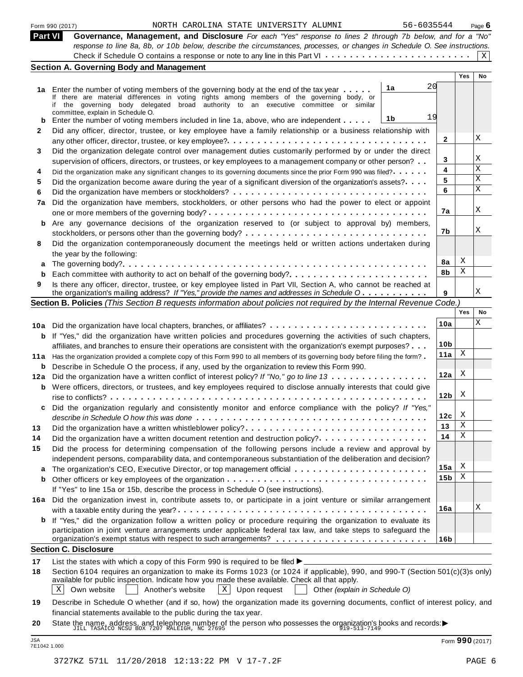|  | Form 990 (2017) |  |
|--|-----------------|--|
|  |                 |  |

#### Form <sup>990</sup> (2017) Page **6** NORTH CAROLINA STATE UNIVERSITY ALUMNI 56-6035544

| Part VI | Governance, Management, and Disclosure For each "Yes" response to lines 2 through 7b below, and for a "No"                |  |
|---------|---------------------------------------------------------------------------------------------------------------------------|--|
|         | response to line 8a, 8b, or 10b below, describe the circumstances, processes, or changes in Schedule O. See instructions. |  |
|         |                                                                                                                           |  |

|     | <b>Section A. Governing Body and Management</b>                                                                                 |                 |            |    |
|-----|---------------------------------------------------------------------------------------------------------------------------------|-----------------|------------|----|
|     |                                                                                                                                 |                 | Yes        | No |
|     | 20<br>1a<br>1a Enter the number of voting members of the governing body at the end of the tax year                              |                 |            |    |
|     | If there are material differences in voting rights among members of the governing body, or                                      |                 |            |    |
|     | if the governing body delegated broad authority to an executive committee or similar<br>committee, explain in Schedule O.       |                 |            |    |
| b   | 19<br>1b<br>Enter the number of voting members included in line 1a, above, who are independent                                  |                 |            |    |
| 2   | Did any officer, director, trustee, or key employee have a family relationship or a business relationship with                  |                 |            |    |
|     |                                                                                                                                 | $\mathbf{2}$    |            | Χ  |
| 3   | Did the organization delegate control over management duties customarily performed by or under the direct                       |                 |            |    |
|     | supervision of officers, directors, or trustees, or key employees to a management company or other person?                      | 3               |            | Χ  |
| 4   | Did the organization make any significant changes to its governing documents since the prior Form 990 was filed?.               | 4               |            | X  |
| 5   | Did the organization become aware during the year of a significant diversion of the organization's assets?                      | 5               |            | Χ  |
| 6   |                                                                                                                                 | 6               |            | X  |
| 7a  | Did the organization have members, stockholders, or other persons who had the power to elect or appoint                         |                 |            |    |
|     |                                                                                                                                 | 7a              |            | X. |
| b   | Are any governance decisions of the organization reserved to (or subject to approval by) members,                               |                 |            |    |
|     | stockholders, or persons other than the governing body? $\ldots$ , , , , , , ,                                                  | 7b              |            | Χ  |
| 8   | Did the organization contemporaneously document the meetings held or written actions undertaken during                          |                 |            |    |
|     | the year by the following:                                                                                                      |                 |            |    |
| a   |                                                                                                                                 | 8a              | Χ          |    |
| b   | Each committee with authority to act on behalf of the governing body?                                                           | 8b              | X          |    |
| 9   | Is there any officer, director, trustee, or key employee listed in Part VII, Section A, who cannot be reached at                |                 |            |    |
|     | the organization's mailing address? If "Yes," provide the names and addresses in Schedule O                                     | 9               |            | X. |
|     | Section B. Policies (This Section B requests information about policies not required by the Internal Revenue Code.)             |                 |            |    |
|     |                                                                                                                                 |                 | <b>Yes</b> | No |
|     |                                                                                                                                 | 10a             |            | X. |
|     | 10a Did the organization have local chapters, branches, or affiliates?                                                          |                 |            |    |
| b   | If "Yes," did the organization have written policies and procedures governing the activities of such chapters,                  | 10b             |            |    |
|     | affiliates, and branches to ensure their operations are consistent with the organization's exempt purposes?                     | 11a             | Χ          |    |
|     | 11a Has the organization provided a complete copy of this Form 990 to all members of its governing body before filing the form? |                 |            |    |
| b   | Describe in Schedule O the process, if any, used by the organization to review this Form 990.                                   | 12a             | X          |    |
| 12a | Did the organization have a written conflict of interest policy? If "No," go to line 13                                         |                 |            |    |
|     | <b>b</b> Were officers, directors, or trustees, and key employees required to disclose annually interests that could give       | 12b             | Χ          |    |
|     | rise to conflicts? __________________________________                                                                           |                 |            |    |
| c   | Did the organization regularly and consistently monitor and enforce compliance with the policy? If "Yes,"                       |                 | X          |    |
|     |                                                                                                                                 | 12c             | X          |    |
| 13  |                                                                                                                                 | 13              | X          |    |
| 14  | Did the organization have a written document retention and destruction policy?                                                  | 14              |            |    |
| 15  | Did the process for determining compensation of the following persons include a review and approval by                          |                 |            |    |
|     | independent persons, comparability data, and contemporaneous substantiation of the deliberation and decision?                   |                 |            |    |
| a   |                                                                                                                                 | 15a             | X<br>X     |    |
| b   |                                                                                                                                 | 15 <sub>b</sub> |            |    |
|     | If "Yes" to line 15a or 15b, describe the process in Schedule O (see instructions).                                             |                 |            |    |
|     | 16a Did the organization invest in, contribute assets to, or participate in a joint venture or similar arrangement              |                 |            |    |
|     |                                                                                                                                 | 16a             |            | Χ  |
|     | <b>b</b> If "Yes," did the organization follow a written policy or procedure requiring the organization to evaluate its         |                 |            |    |
|     | participation in joint venture arrangements under applicable federal tax law, and take steps to safeguard the                   |                 |            |    |
|     | organization's exempt status with respect to such arrangements?                                                                 | 16b             |            |    |
|     | <b>Section C. Disclosure</b>                                                                                                    |                 |            |    |
| 17  | List the states with which a copy of this Form 990 is required to be filed ▶ _________________________________                  |                 |            |    |
| 18  | Section 6104 requires an organization to make its Forms 1023 (or 1024 if applicable), 990, and 990-T (Section 501(c)(3)s only)  |                 |            |    |

**18** available for public inspection. Indicate how you made these available. Check all that apply.<br>  $\boxed{x}$  Own website  $\boxed{\phantom{x}}$  Another's website  $\boxed{x}$  Upon request  $\boxed{\phantom{x}}$  Other (explair

 $\boxed{\text{X}}$  Own website  $\boxed{\text{A}}$  Another's website  $\boxed{\text{X}}$  Upon request  $\boxed{\text{O}}$  Other *(explain in Schedule O)* Another's website

| 19 Describe in Schedule O whether (and if so, how) the organization made its governing documents, conflict of interest policy, and |  |
|------------------------------------------------------------------------------------------------------------------------------------|--|
| financial statements available to the public during the tax year.                                                                  |  |

**20** Imancial statements available to the public during the tax year.<br>State the name, address, and telephone number of the person who possesses the organization's books and records:<br>JILL TASAICO NCSU BOX 7207 RALEIGH, NC 27695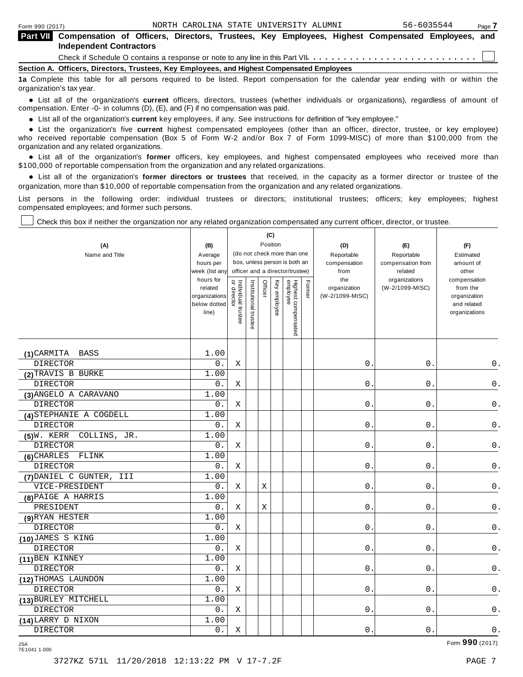| <b>Part VII</b> Compensation of Officers, Directors, Trustees, Key Employees, Highest Compensated Employees, and<br><b>Independent Contractors</b>            |  |
|---------------------------------------------------------------------------------------------------------------------------------------------------------------|--|
|                                                                                                                                                               |  |
| Section A. Officers, Directors, Trustees, Key Employees, and Highest Compensated Employees                                                                    |  |
| 1a Complete this table for all persons required to be listed. Report compensation for the calendar year ending with or within the<br>organization's tax year. |  |

anization's lax year.<br>● List all of the organization's **current** officers, directors, trustees (whether individuals or organizations), regardless of amount of<br>nnensation Enter -0- in columns (D) (E) and (E) if no compensa compensation. Enter -0- in columns (D), (E), and (F) if no compensation was paid.

• List all of the organization's **current** key employees, if any. See instructions for definition of "key employee."<br>● List the experientials five expect highest expressed explores (other than an efficer director of

**Example in the organization's current** key employees, if any. See instructions for definition of key employee.<br>• List the organization's five **current** highest compensated employees (other than an officer, director, trust who received reportable compensation (Box 5 of Form W-2 and/or Box 7 of Form 1099-MISC) of more than \$100,000 from the

organization and any related organizations.<br>• List all of the organization's **former** officers, key employees, and highest compensated employees who received more than<br>\$1.00.000 of reportable componention from the erganiza \$100,000 of reportable compensation from the organization and any related organizations.

% List all of the organization's **former directors or trustees** that received, in the capacity as a former director or trustee of the organization, more than \$10,000 of reportable compensation from the organization and any related organizations.

List persons in the following order: individual trustees or directors; institutional trustees; officers; key employees; highest compensated employees; and former such persons.

┬

Check this box if neither the organization nor any related organization compensated any current officer, director, or trustee.

Т

| (A)<br>Name and Title                        | (B)<br>Average<br>hours per<br>week (list any<br>hours for<br>related<br>organizations |                                   |                       | Officer | (C)<br>Position<br>Key employee | (do not check more than one<br>box, unless person is both an<br>officer and a director/trustee) | Former | (D)<br>Reportable<br>compensation<br>from<br>the<br>organization<br>(W-2/1099-MISC) | (E)<br>Reportable<br>compensation from<br>related<br>organizations<br>(W-2/1099-MISC) | (F)<br>Estimated<br>amount of<br>other<br>compensation<br>from the<br>organization |
|----------------------------------------------|----------------------------------------------------------------------------------------|-----------------------------------|-----------------------|---------|---------------------------------|-------------------------------------------------------------------------------------------------|--------|-------------------------------------------------------------------------------------|---------------------------------------------------------------------------------------|------------------------------------------------------------------------------------|
|                                              | below dotted<br>line)                                                                  | Individual trustee<br>or director | Institutional trustee |         |                                 | Highest compensated<br>employee                                                                 |        |                                                                                     |                                                                                       | and related<br>organizations                                                       |
| $(1)$ CARMITA<br><b>BASS</b>                 | 1.00                                                                                   |                                   |                       |         |                                 |                                                                                                 |        |                                                                                     |                                                                                       |                                                                                    |
| <b>DIRECTOR</b>                              | 0.                                                                                     | X                                 |                       |         |                                 |                                                                                                 |        | 0.                                                                                  | $\boldsymbol{0}$ .                                                                    | 0.                                                                                 |
| (2) TRAVIS B BURKE                           | 1.00                                                                                   |                                   |                       |         |                                 |                                                                                                 |        |                                                                                     |                                                                                       |                                                                                    |
| <b>DIRECTOR</b>                              | 0.                                                                                     | Χ                                 |                       |         |                                 |                                                                                                 |        | $0$ .                                                                               | $0$ .                                                                                 | $\mathsf 0$ .                                                                      |
| (3) ANGELO A CARAVANO                        | 1.00                                                                                   |                                   |                       |         |                                 |                                                                                                 |        |                                                                                     |                                                                                       |                                                                                    |
| DIRECTOR                                     | 0.                                                                                     | Χ                                 |                       |         |                                 |                                                                                                 |        | $0$ .                                                                               | $0$ .                                                                                 | $\mathsf 0$ .                                                                      |
| (4) STEPHANIE A COGDELL                      | 1.00                                                                                   |                                   |                       |         |                                 |                                                                                                 |        |                                                                                     |                                                                                       |                                                                                    |
| DIRECTOR                                     | 0.                                                                                     | Χ                                 |                       |         |                                 |                                                                                                 |        | 0.                                                                                  | 0.                                                                                    | $\mathsf 0$ .                                                                      |
| COLLINS,<br>$(5)^{\mathbb{N}}$ . KERR<br>JR. | 1.00                                                                                   |                                   |                       |         |                                 |                                                                                                 |        |                                                                                     |                                                                                       |                                                                                    |
| DIRECTOR                                     | 0.                                                                                     | Х                                 |                       |         |                                 |                                                                                                 |        | 0.                                                                                  | 0.                                                                                    | $\mathsf 0$ .                                                                      |
| (6) CHARLES<br>FLINK                         | 1.00                                                                                   |                                   |                       |         |                                 |                                                                                                 |        |                                                                                     |                                                                                       |                                                                                    |
| <b>DIRECTOR</b>                              | 0.                                                                                     | Χ                                 |                       |         |                                 |                                                                                                 |        | $0$ .                                                                               | $0$ .                                                                                 | $\mathsf 0$ .                                                                      |
| (7) DANIEL C GUNTER, III                     | 1.00                                                                                   |                                   |                       |         |                                 |                                                                                                 |        |                                                                                     |                                                                                       |                                                                                    |
| VICE-PRESIDENT                               | 0.                                                                                     | Χ                                 |                       | Χ       |                                 |                                                                                                 |        | 0.                                                                                  | 0.                                                                                    | 0.                                                                                 |
| (8) PAIGE A HARRIS                           | 1.00                                                                                   |                                   |                       |         |                                 |                                                                                                 |        |                                                                                     |                                                                                       |                                                                                    |
| PRESIDENT                                    | $0$ .                                                                                  | Χ                                 |                       | X       |                                 |                                                                                                 |        | $0$ .                                                                               | 0.                                                                                    | $\mathsf 0$ .                                                                      |
| (9) RYAN HESTER                              | 1.00                                                                                   |                                   |                       |         |                                 |                                                                                                 |        |                                                                                     |                                                                                       |                                                                                    |
| DIRECTOR                                     | 0.                                                                                     | Χ                                 |                       |         |                                 |                                                                                                 |        | $\mathsf{O}$ .                                                                      | $0$ .                                                                                 | $\mathsf 0$ .                                                                      |
| (10) JAMES S KING                            | 1.00                                                                                   |                                   |                       |         |                                 |                                                                                                 |        |                                                                                     |                                                                                       |                                                                                    |
| DIRECTOR                                     | 0.                                                                                     | Χ                                 |                       |         |                                 |                                                                                                 |        | 0.                                                                                  | 0.                                                                                    | $0$ .                                                                              |
| (11) BEN KINNEY                              | 1.00                                                                                   |                                   |                       |         |                                 |                                                                                                 |        |                                                                                     |                                                                                       |                                                                                    |
| DIRECTOR                                     | $\overline{0}$ .                                                                       | Χ                                 |                       |         |                                 |                                                                                                 |        | $0$ .                                                                               | $0$ .                                                                                 | $0$ .                                                                              |
| (12) THOMAS LAUNDON                          | 1.00                                                                                   |                                   |                       |         |                                 |                                                                                                 |        |                                                                                     |                                                                                       |                                                                                    |
| <b>DIRECTOR</b>                              | $0$ .                                                                                  | Χ                                 |                       |         |                                 |                                                                                                 |        | 0.                                                                                  | 0.                                                                                    | 0.                                                                                 |
| (13) BURLEY MITCHELL                         | 1.00                                                                                   |                                   |                       |         |                                 |                                                                                                 |        |                                                                                     |                                                                                       |                                                                                    |
| DIRECTOR                                     | $0$ .                                                                                  | Χ                                 |                       |         |                                 |                                                                                                 |        | 0.                                                                                  | $0$ .                                                                                 | 0.                                                                                 |
| (14) LARRY D NIXON                           | 1.00                                                                                   |                                   |                       |         |                                 |                                                                                                 |        |                                                                                     |                                                                                       |                                                                                    |
| DIRECTOR                                     | 0.                                                                                     | Χ                                 |                       |         |                                 |                                                                                                 |        | 0.                                                                                  | 0.                                                                                    | $0$ .                                                                              |

7E1041 1.000

Form **990** (2017) JSA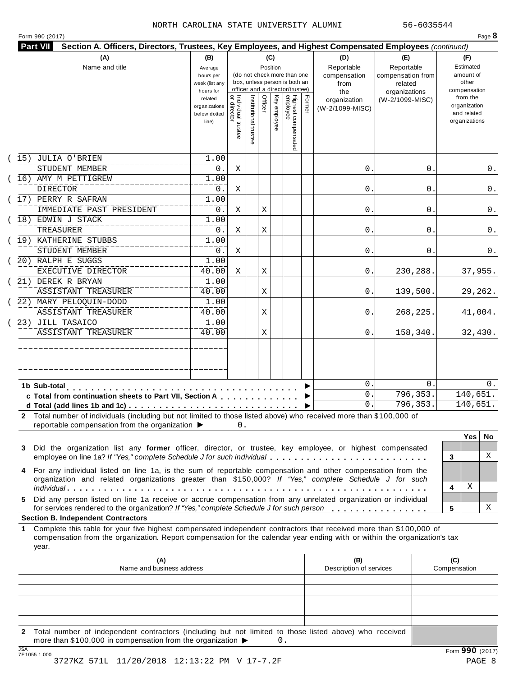#### NORTH CAROLINA STATE UNIVERSITY ALUMNI 56-6035544

|  |  | Form 990 (2017) |  |
|--|--|-----------------|--|
|--|--|-----------------|--|

| (15)<br><b>DIRECTOR</b> | JULIA O'BRIEN                                                                                                                                                                                                                                    | related<br>organizations<br>below dotted<br>line) | <br>  Individual trustee<br>  or director | Institutional trustee | Officer |              |                                 | officer and a director/trustee) | the                             | organizations   |    | compensation                                 |            |     |
|-------------------------|--------------------------------------------------------------------------------------------------------------------------------------------------------------------------------------------------------------------------------------------------|---------------------------------------------------|-------------------------------------------|-----------------------|---------|--------------|---------------------------------|---------------------------------|---------------------------------|-----------------|----|----------------------------------------------|------------|-----|
|                         |                                                                                                                                                                                                                                                  |                                                   |                                           |                       |         | Key employee | Highest compensated<br>employee | Former                          | organization<br>(W-2/1099-MISC) | (W-2/1099-MISC) |    | organization<br>and related<br>organizations | from the   |     |
|                         | STUDENT MEMBER                                                                                                                                                                                                                                   | 1.00<br>0.                                        | Χ                                         |                       |         |              |                                 |                                 | 0.                              |                 | 0. |                                              |            | 0.  |
|                         | (16) AMY M PETTIGREW                                                                                                                                                                                                                             | 1.00                                              |                                           |                       |         |              |                                 |                                 |                                 |                 |    |                                              |            |     |
|                         |                                                                                                                                                                                                                                                  | 0.                                                | Χ                                         |                       |         |              |                                 |                                 | 0.                              |                 | 0  |                                              |            | 0.  |
|                         | (17) PERRY R SAFRAN                                                                                                                                                                                                                              | 1.00                                              |                                           |                       |         |              |                                 |                                 |                                 |                 |    |                                              |            |     |
|                         | IMMEDIATE PAST PRESIDENT                                                                                                                                                                                                                         | 0.                                                | Χ                                         |                       | Χ       |              |                                 |                                 | 0.                              |                 | 0  |                                              |            | 0.  |
|                         | (18) EDWIN J STACK                                                                                                                                                                                                                               | 1.00                                              |                                           |                       |         |              |                                 |                                 |                                 |                 |    |                                              |            |     |
|                         | TREASURER                                                                                                                                                                                                                                        | 0.                                                | Χ                                         |                       | Χ       |              |                                 |                                 | 0.                              |                 | 0  |                                              |            | 0.  |
|                         | (19) KATHERINE STUBBS                                                                                                                                                                                                                            | 1.00                                              |                                           |                       |         |              |                                 |                                 |                                 |                 |    |                                              |            |     |
|                         | STUDENT MEMBER                                                                                                                                                                                                                                   | $0$ .                                             | Χ                                         |                       |         |              |                                 |                                 | 0.                              |                 | 0  |                                              |            | 0.  |
|                         | 20) RALPH E SUGGS                                                                                                                                                                                                                                | 1.00                                              |                                           |                       |         |              |                                 |                                 |                                 |                 |    |                                              |            |     |
|                         | EXECUTIVE DIRECTOR                                                                                                                                                                                                                               | 40.00                                             | Χ                                         |                       | Χ       |              |                                 |                                 | 0.                              | 230,288.        |    |                                              | 37,955.    |     |
|                         | 21) DEREK R BRYAN                                                                                                                                                                                                                                | 1.00                                              |                                           |                       |         |              |                                 |                                 |                                 |                 |    |                                              |            |     |
|                         | ASSISTANT TREASURER                                                                                                                                                                                                                              | 40.00                                             |                                           |                       | Χ       |              |                                 |                                 | 0.                              | 139,500.        |    |                                              | 29,262.    |     |
|                         | (22) MARY PELOQUIN-DODD                                                                                                                                                                                                                          | 1.00                                              |                                           |                       |         |              |                                 |                                 |                                 |                 |    |                                              |            |     |
|                         | ASSISTANT TREASURER                                                                                                                                                                                                                              | 40.00                                             |                                           |                       | Χ       |              |                                 |                                 | 0.                              | 268,225.        |    |                                              | 41,004.    |     |
|                         | (23) JILL TASAICO                                                                                                                                                                                                                                | 1.00                                              |                                           |                       |         |              |                                 |                                 |                                 |                 |    |                                              |            |     |
|                         | ASSISTANT TREASURER                                                                                                                                                                                                                              | 40.00                                             |                                           |                       | Χ       |              |                                 |                                 | 0.                              | 158,340.        |    |                                              | 32,430.    |     |
|                         |                                                                                                                                                                                                                                                  |                                                   |                                           |                       |         |              |                                 |                                 |                                 |                 |    |                                              |            |     |
|                         |                                                                                                                                                                                                                                                  |                                                   |                                           |                       |         |              |                                 |                                 |                                 |                 |    |                                              |            |     |
|                         | 1b Sub-total                                                                                                                                                                                                                                     |                                                   |                                           |                       |         |              |                                 |                                 | 0.                              |                 | 0  |                                              |            | 0.  |
|                         | c Total from continuation sheets to Part VII, Section A                                                                                                                                                                                          |                                                   |                                           |                       |         |              |                                 |                                 | 0.                              | 796,353.        |    |                                              | 140,651.   |     |
|                         |                                                                                                                                                                                                                                                  |                                                   |                                           |                       |         |              |                                 |                                 | 0.                              | 796,353.        |    |                                              | 140,651.   |     |
|                         | 2 Total number of individuals (including but not limited to those listed above) who received more than \$100,000 of<br>reportable compensation from the organization ▶                                                                           |                                                   | 0.                                        |                       |         |              |                                 |                                 |                                 |                 |    |                                              |            |     |
|                         |                                                                                                                                                                                                                                                  |                                                   |                                           |                       |         |              |                                 |                                 |                                 |                 |    |                                              | <b>Yes</b> | No. |
| 3                       | Did the organization list any former officer, director, or trustee, key employee, or highest compensated<br>employee on line 1a? If "Yes," complete Schedule J for such individual                                                               |                                                   |                                           |                       |         |              |                                 |                                 |                                 |                 |    | 3                                            |            | X   |
| 4                       | For any individual listed on line 1a, is the sum of reportable compensation and other compensation from the                                                                                                                                      |                                                   |                                           |                       |         |              |                                 |                                 |                                 |                 |    |                                              |            |     |
|                         | organization and related organizations greater than \$150,000? If "Yes," complete Schedule J for such                                                                                                                                            |                                                   |                                           |                       |         |              |                                 |                                 |                                 |                 |    |                                              |            |     |
|                         |                                                                                                                                                                                                                                                  |                                                   |                                           |                       |         |              |                                 |                                 |                                 |                 |    | 4                                            | Χ          |     |
| 5.                      | Did any person listed on line 1a receive or accrue compensation from any unrelated organization or individual<br>for services rendered to the organization? If "Yes," complete Schedule J for such person                                        |                                                   |                                           |                       |         |              |                                 |                                 |                                 |                 |    | 5                                            |            | X   |
|                         | <b>Section B. Independent Contractors</b>                                                                                                                                                                                                        |                                                   |                                           |                       |         |              |                                 |                                 |                                 |                 |    |                                              |            |     |
| 1.<br>year.             | Complete this table for your five highest compensated independent contractors that received more than \$100,000 of<br>compensation from the organization. Report compensation for the calendar year ending with or within the organization's tax |                                                   |                                           |                       |         |              |                                 |                                 |                                 |                 |    |                                              |            |     |
|                         | (A)<br>Name and business address                                                                                                                                                                                                                 |                                                   |                                           |                       |         |              |                                 |                                 | (B)<br>Description of services  |                 |    | (C)<br>Compensation                          |            |     |
|                         |                                                                                                                                                                                                                                                  |                                                   |                                           |                       |         |              |                                 |                                 |                                 |                 |    |                                              |            |     |
|                         |                                                                                                                                                                                                                                                  |                                                   |                                           |                       |         |              |                                 |                                 |                                 |                 |    |                                              |            |     |
|                         |                                                                                                                                                                                                                                                  |                                                   |                                           |                       |         |              |                                 |                                 |                                 |                 |    |                                              |            |     |

**2** Total number of independent contractors (including but not limited to those listed above) who received more than \$100,000 in compensation from the organization  $\triangleright$  0.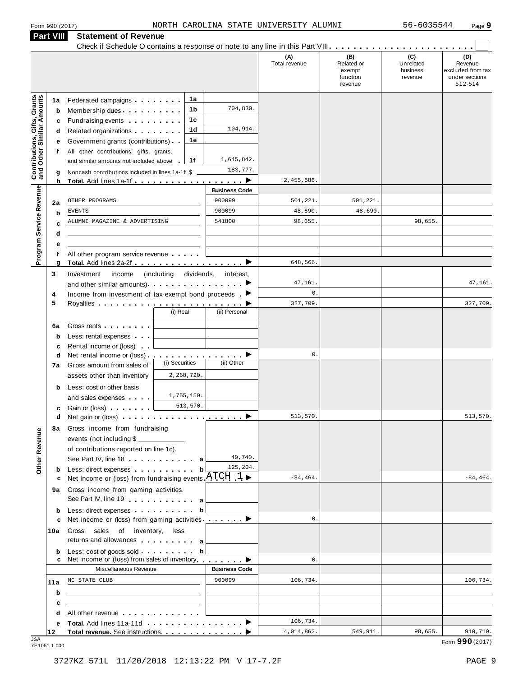**Part VIII Statement of Revenue**

|                                                           | <b>Part VIII</b> | <b>Statement of Revenue</b>                                                                                                                                                                                                                                            |                        |                            |                      |                                                    |                                         |                                                                  |
|-----------------------------------------------------------|------------------|------------------------------------------------------------------------------------------------------------------------------------------------------------------------------------------------------------------------------------------------------------------------|------------------------|----------------------------|----------------------|----------------------------------------------------|-----------------------------------------|------------------------------------------------------------------|
|                                                           |                  |                                                                                                                                                                                                                                                                        |                        |                            | (A)<br>Total revenue | (B)<br>Related or<br>exempt<br>function<br>revenue | (C)<br>Unrelated<br>business<br>revenue | (D)<br>Revenue<br>excluded from tax<br>under sections<br>512-514 |
|                                                           | 1a               | Federated campaigns <b>Federated</b>                                                                                                                                                                                                                                   | 1a                     |                            |                      |                                                    |                                         |                                                                  |
|                                                           | b                | Membership dues <b>All Accords</b> Membership dues                                                                                                                                                                                                                     | 1b                     | 704,830.                   |                      |                                                    |                                         |                                                                  |
|                                                           | c                | Fundraising events <b>Fundraising</b>                                                                                                                                                                                                                                  | 1с                     |                            |                      |                                                    |                                         |                                                                  |
|                                                           | d                | Related organizations <b>contains</b> and the Related organizations and the Relations of the Relations of the Relations of the Relations of the Relations of Relations and Relations of Relations and Relations of Relations and Re                                    | 1d                     | 104,914.                   |                      |                                                    |                                         |                                                                  |
|                                                           | е                | Government grants (contributions).                                                                                                                                                                                                                                     | 1е                     |                            |                      |                                                    |                                         |                                                                  |
| Contributions, Gifts, Grants<br>and Other Similar Amounts | f                | All other contributions, gifts, grants,<br>and similar amounts not included above                                                                                                                                                                                      | 1f                     | 1,645,842.                 |                      |                                                    |                                         |                                                                  |
|                                                           | g                | Noncash contributions included in lines 1a-1f: \$                                                                                                                                                                                                                      |                        | 183,777.                   |                      |                                                    |                                         |                                                                  |
|                                                           | h                | Total. Add lines 1a-1f ▶                                                                                                                                                                                                                                               |                        |                            | 2,455,586.           |                                                    |                                         |                                                                  |
|                                                           |                  |                                                                                                                                                                                                                                                                        |                        | <b>Business Code</b>       |                      |                                                    |                                         |                                                                  |
|                                                           | 2a               | OTHER PROGRAMS                                                                                                                                                                                                                                                         |                        | 900099                     | 501,221.             | 501,221                                            |                                         |                                                                  |
|                                                           | b                | <b>EVENTS</b><br>ALUMNI MAGAZINE & ADVERTISING                                                                                                                                                                                                                         |                        | 900099                     | 48,690.              | 48,690.                                            |                                         |                                                                  |
| Program Service Revenue                                   | c<br>d           | the control of the control of the control of the control of the control of                                                                                                                                                                                             |                        | 541800                     | 98,655.              |                                                    | 98,655.                                 |                                                                  |
|                                                           | е                |                                                                                                                                                                                                                                                                        |                        |                            |                      |                                                    |                                         |                                                                  |
|                                                           |                  | All other program service revenue                                                                                                                                                                                                                                      |                        |                            |                      |                                                    |                                         |                                                                  |
|                                                           | g                |                                                                                                                                                                                                                                                                        |                        |                            | 648,566.             |                                                    |                                         |                                                                  |
|                                                           | 3                | Investment<br>income                                                                                                                                                                                                                                                   | (including dividends,  | interest,                  |                      |                                                    |                                         |                                                                  |
|                                                           |                  |                                                                                                                                                                                                                                                                        |                        |                            | 47,161.              |                                                    |                                         | 47,161.                                                          |
|                                                           | 4                | Income from investment of tax-exempt bond proceeds $\blacksquare$                                                                                                                                                                                                      |                        |                            | $\mathbf{0}$ .       |                                                    |                                         |                                                                  |
|                                                           | 5                |                                                                                                                                                                                                                                                                        |                        |                            | 327,709.             |                                                    |                                         | 327,709.                                                         |
|                                                           |                  |                                                                                                                                                                                                                                                                        | (i) Real               | (ii) Personal              |                      |                                                    |                                         |                                                                  |
|                                                           | 6a               | Gross rents <b>contract of the set of the set of the set of the set of the set of the set of the set of the set of the set of the set of the set of the set of the set of the set of the set of the set of the set of the set of</b>                                   |                        |                            |                      |                                                    |                                         |                                                                  |
|                                                           | b                | Less: rental expenses                                                                                                                                                                                                                                                  |                        |                            |                      |                                                    |                                         |                                                                  |
|                                                           | c                | Rental income or (loss)                                                                                                                                                                                                                                                |                        |                            |                      |                                                    |                                         |                                                                  |
|                                                           | d                | Net rental income or (loss)                                                                                                                                                                                                                                            | (i) Securities         | <u>.</u> . D<br>(ii) Other | 0.                   |                                                    |                                         |                                                                  |
|                                                           | 7a               | Gross amount from sales of                                                                                                                                                                                                                                             |                        |                            |                      |                                                    |                                         |                                                                  |
|                                                           |                  | assets other than inventory                                                                                                                                                                                                                                            | 2,268,720.             |                            |                      |                                                    |                                         |                                                                  |
|                                                           | b                | Less: cost or other basis                                                                                                                                                                                                                                              |                        |                            |                      |                                                    |                                         |                                                                  |
|                                                           |                  | and sales expenses                                                                                                                                                                                                                                                     | 1,755,150.<br>513,570. |                            |                      |                                                    |                                         |                                                                  |
|                                                           | c                | Gain or (loss) <b>compared to the Company</b>                                                                                                                                                                                                                          |                        |                            | 513,570              |                                                    |                                         | 513,570                                                          |
|                                                           |                  | d Net gain or (loss) entertainment and Net gain or (loss)                                                                                                                                                                                                              |                        |                            |                      |                                                    |                                         |                                                                  |
|                                                           |                  | 8a Gross income from fundraising                                                                                                                                                                                                                                       |                        |                            |                      |                                                    |                                         |                                                                  |
|                                                           |                  | events (not including \$<br>of contributions reported on line 1c).                                                                                                                                                                                                     |                        |                            |                      |                                                    |                                         |                                                                  |
|                                                           |                  | See Part IV, line 18 a                                                                                                                                                                                                                                                 |                        | 40,740.                    |                      |                                                    |                                         |                                                                  |
| Other Revenue                                             | b                | Less: direct expenses b                                                                                                                                                                                                                                                |                        | 125,204.                   |                      |                                                    |                                         |                                                                  |
|                                                           | c                | Net income or (loss) from fundraising events $ATCH \tI$                                                                                                                                                                                                                |                        |                            | $-84, 464.$          |                                                    |                                         | $-84, 464.$                                                      |
|                                                           | 9а               | Gross income from gaming activities.<br>See Part IV, line 19 and such a set of the set of the set of the set of the set of the set of the set of the set of the set of the set of the set of the set of the set of the set of the set of the set of the set of the set |                        |                            |                      |                                                    |                                         |                                                                  |
|                                                           | b                | Less: direct expenses b                                                                                                                                                                                                                                                |                        |                            | 0.                   |                                                    |                                         |                                                                  |
|                                                           | c                | Net income or (loss) from gaming activities $\qquad \qquad \blacktriangleright$                                                                                                                                                                                        |                        |                            |                      |                                                    |                                         |                                                                  |
|                                                           | 10a              | Gross sales of inventory,<br>returns and allowances and allowances                                                                                                                                                                                                     | less                   |                            |                      |                                                    |                                         |                                                                  |
|                                                           | b                | Less: cost of goods sold b<br>c Net income or (loss) from sales of inventory                                                                                                                                                                                           |                        | ▸                          | 0.                   |                                                    |                                         |                                                                  |
|                                                           |                  | Miscellaneous Revenue                                                                                                                                                                                                                                                  |                        | <b>Business Code</b>       |                      |                                                    |                                         |                                                                  |
|                                                           | 11a              | NC STATE CLUB                                                                                                                                                                                                                                                          |                        | 900099                     | 106,734.             |                                                    |                                         | 106,734.                                                         |
|                                                           | b                | <u> 1989 - Johann Barn, mars ann an t-Amhain ann an t-A</u>                                                                                                                                                                                                            |                        |                            |                      |                                                    |                                         |                                                                  |
|                                                           | c                | the control of the control of the control of the control of the control of                                                                                                                                                                                             |                        |                            |                      |                                                    |                                         |                                                                  |
|                                                           | d                | All other revenue                                                                                                                                                                                                                                                      |                        |                            |                      |                                                    |                                         |                                                                  |
|                                                           | е                |                                                                                                                                                                                                                                                                        |                        |                            | 106,734.             |                                                    |                                         |                                                                  |
| .ISA                                                      | 12               |                                                                                                                                                                                                                                                                        |                        |                            | 4,014,862.           | 549,911.                                           | 98,655.                                 | 910,710                                                          |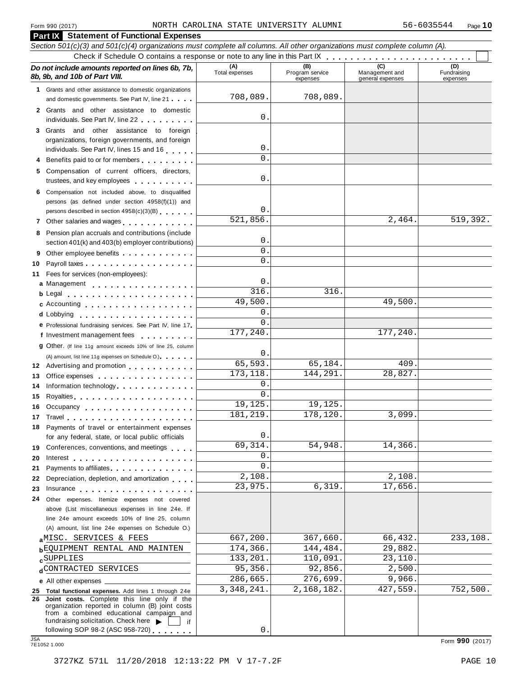|            | <b>Part IX</b> Statement of Functional Expenses                                                                                                                                                                                      |                       |                                    |                                           |                                |
|------------|--------------------------------------------------------------------------------------------------------------------------------------------------------------------------------------------------------------------------------------|-----------------------|------------------------------------|-------------------------------------------|--------------------------------|
|            | Section 501(c)(3) and 501(c)(4) organizations must complete all columns. All other organizations must complete column (A).                                                                                                           |                       |                                    |                                           |                                |
|            |                                                                                                                                                                                                                                      |                       |                                    |                                           |                                |
|            | Do not include amounts reported on lines 6b, 7b,<br>8b, 9b, and 10b of Part VIII.                                                                                                                                                    | (A)<br>Total expenses | (B)<br>Program service<br>expenses | (C)<br>Management and<br>general expenses | (D)<br>Fundraising<br>expenses |
|            | 1 Grants and other assistance to domestic organizations                                                                                                                                                                              |                       |                                    |                                           |                                |
|            | and domestic governments. See Part IV, line 21                                                                                                                                                                                       | 708,089.              | 708,089.                           |                                           |                                |
|            | 2 Grants and other assistance to domestic<br>individuals. See Part IV, line 22                                                                                                                                                       | 0                     |                                    |                                           |                                |
|            | 3 Grants and other assistance to foreign                                                                                                                                                                                             |                       |                                    |                                           |                                |
|            | organizations, foreign governments, and foreign                                                                                                                                                                                      |                       |                                    |                                           |                                |
|            | individuals. See Part IV, lines 15 and 16                                                                                                                                                                                            | 0                     |                                    |                                           |                                |
|            | Benefits paid to or for members                                                                                                                                                                                                      | $\Omega$              |                                    |                                           |                                |
|            | 5 Compensation of current officers, directors,                                                                                                                                                                                       |                       |                                    |                                           |                                |
|            | trustees, and key employees                                                                                                                                                                                                          | 0                     |                                    |                                           |                                |
|            | 6 Compensation not included above, to disqualified                                                                                                                                                                                   |                       |                                    |                                           |                                |
|            | persons (as defined under section 4958(f)(1)) and                                                                                                                                                                                    |                       |                                    |                                           |                                |
|            | persons described in section 4958(c)(3)(B)                                                                                                                                                                                           | 0                     |                                    |                                           |                                |
|            | 7 Other salaries and wages <b>contained contained contained contained contained contained </b>                                                                                                                                       | 521,856.              |                                    | 2,464.                                    | 519,392.                       |
| 8          | Pension plan accruals and contributions (include                                                                                                                                                                                     |                       |                                    |                                           |                                |
|            | section 401(k) and 403(b) employer contributions)                                                                                                                                                                                    | 0                     |                                    |                                           |                                |
| 9          | Other employee benefits                                                                                                                                                                                                              | $\mathbf 0$           |                                    |                                           |                                |
| 10         |                                                                                                                                                                                                                                      | $\Omega$              |                                    |                                           |                                |
|            | 11 Fees for services (non-employees):                                                                                                                                                                                                |                       |                                    |                                           |                                |
|            | a Management                                                                                                                                                                                                                         | $0$ .                 |                                    |                                           |                                |
|            | b Legal entering the service of the service of the service of the service of the service of the service of the                                                                                                                       | 316.                  | 316.                               |                                           |                                |
|            | c Accounting                                                                                                                                                                                                                         | 49,500.               |                                    | 49,500.                                   |                                |
|            | d Lobbying                                                                                                                                                                                                                           | 0                     |                                    |                                           |                                |
|            | e Professional fundraising services. See Part IV, line 17                                                                                                                                                                            | 0                     |                                    |                                           |                                |
|            | f Investment management fees                                                                                                                                                                                                         | 177,240.              |                                    | 177,240.                                  |                                |
|            | <b>g</b> Other. (If line 11g amount exceeds 10% of line 25, column                                                                                                                                                                   |                       |                                    |                                           |                                |
|            | (A) amount, list line 11g expenses on Schedule O.)                                                                                                                                                                                   | $0$ .                 |                                    |                                           |                                |
|            | 12 Advertising and promotion                                                                                                                                                                                                         | 65,593.               | 65,184.                            | 409.                                      |                                |
| 13         | Office expenses example.                                                                                                                                                                                                             | 173, 118.             | 144,291.                           | 28,827.                                   |                                |
| 14.        | Information technology                                                                                                                                                                                                               | 0                     |                                    |                                           |                                |
| 15         | Royalties experiences and a series are a series and a series of the series of the series of the series of the                                                                                                                        | 0.                    |                                    |                                           |                                |
|            | 16 Occupancy                                                                                                                                                                                                                         | 19,125.               | 19,125.                            |                                           |                                |
|            |                                                                                                                                                                                                                                      | 181,219.              | 178, 120.                          | 3,099.                                    |                                |
|            | 18 Payments of travel or entertainment expenses                                                                                                                                                                                      |                       |                                    |                                           |                                |
|            | for any federal, state, or local public officials                                                                                                                                                                                    | 0                     |                                    |                                           |                                |
|            | 19 Conferences, conventions, and meetings                                                                                                                                                                                            | 69,314.               | 54,948.                            | 14,366.                                   |                                |
| 20         |                                                                                                                                                                                                                                      | 0                     |                                    |                                           |                                |
| 21         | Payments to affiliates <b>Exercise Services</b>                                                                                                                                                                                      | 0                     |                                    |                                           |                                |
| 22         | Depreciation, depletion, and amortization                                                                                                                                                                                            | 2,108.                |                                    | 2,108.                                    |                                |
| 23         | Insurance <b>All According to the Contract of the Contract of the Contract of the Contract of the Contract of the Contract of the Contract of the Contract of the Contract of the Contract of the Contract of the Contract of th</b> | 23,975.               | 6,319.                             | 17,656.                                   |                                |
| 24         | Other expenses. Itemize expenses not covered                                                                                                                                                                                         |                       |                                    |                                           |                                |
|            | above (List miscellaneous expenses in line 24e. If                                                                                                                                                                                   |                       |                                    |                                           |                                |
|            | line 24e amount exceeds 10% of line 25, column                                                                                                                                                                                       |                       |                                    |                                           |                                |
|            | (A) amount, list line 24e expenses on Schedule O.)                                                                                                                                                                                   |                       |                                    |                                           |                                |
|            | aMISC. SERVICES & FEES                                                                                                                                                                                                               | 667,200.              | 367,660.                           | 66,432.                                   | 233,108.                       |
|            | <b>bEQUIPMENT RENTAL AND MAINTEN</b>                                                                                                                                                                                                 | 174,366.              | 144,484.                           | 29,882.                                   |                                |
|            | <b>c</b> SUPPLIES                                                                                                                                                                                                                    | 133,201.              | 110,091.                           | 23,110.                                   |                                |
|            | dCONTRACTED SERVICES                                                                                                                                                                                                                 | 95,356.               | 92,856.                            | 2,500.                                    |                                |
|            | e All other expenses ______________                                                                                                                                                                                                  | 286,665.              | 276,699.                           | 9,966.                                    |                                |
|            | 25 Total functional expenses. Add lines 1 through 24e                                                                                                                                                                                | 3,348,241.            | 2,168,182.                         | 427,559.                                  | 752,500.                       |
|            | 26 Joint costs. Complete this line only if the<br>organization reported in column (B) joint costs                                                                                                                                    |                       |                                    |                                           |                                |
|            | from a combined educational campaign and                                                                                                                                                                                             |                       |                                    |                                           |                                |
|            | fundraising solicitation. Check here $\blacktriangleright$<br>if                                                                                                                                                                     |                       |                                    |                                           |                                |
|            | following SOP 98-2 (ASC 958-720)                                                                                                                                                                                                     | 0                     |                                    |                                           |                                |
| <b>JSA</b> | 7E1052 1.000                                                                                                                                                                                                                         |                       |                                    |                                           | Form 990 (2017)                |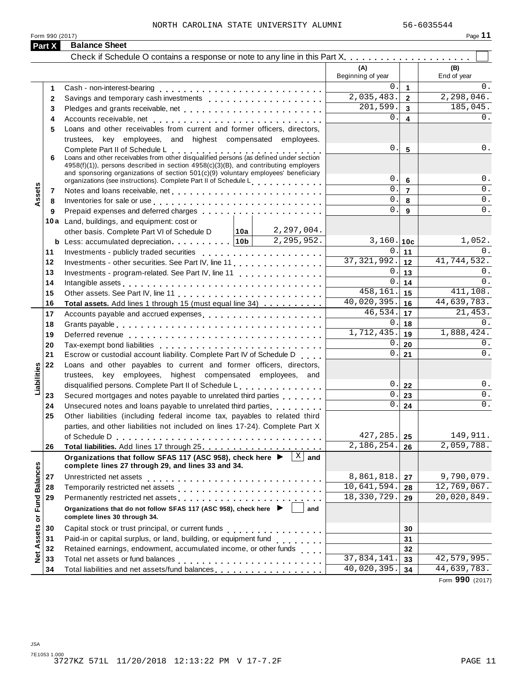#### NORTH CAROLINA STATE UNIVERSITY ALUMNI 56-6035544

|                             | Part X | <b>Balance Sheet</b>                                                                                                                                                                                                           |                            |                |                    |
|-----------------------------|--------|--------------------------------------------------------------------------------------------------------------------------------------------------------------------------------------------------------------------------------|----------------------------|----------------|--------------------|
|                             |        |                                                                                                                                                                                                                                |                            |                |                    |
|                             |        |                                                                                                                                                                                                                                | (A)<br>Beginning of year   |                | (B)<br>End of year |
|                             | 1      |                                                                                                                                                                                                                                | 0.                         | $\mathbf{1}$   | 0.                 |
|                             | 2      |                                                                                                                                                                                                                                | 2,035,483.                 | $\overline{2}$ | 2,298,046.         |
|                             | 3      | Pledges and grants receivable, net enterpresent resources and grants receivable, net enterpresent resources                                                                                                                    | 201,599.                   | 3              | 185,045.           |
|                             | 4      |                                                                                                                                                                                                                                | 0.                         | 4              | 0.                 |
|                             | 5      | Loans and other receivables from current and former officers, directors,                                                                                                                                                       |                            |                |                    |
|                             |        | trustees, key employees, and highest compensated employees.                                                                                                                                                                    |                            |                |                    |
|                             |        | Complete Part II of Schedule L<br>Loans and other receivables from other disqualified persons (as defined under section                                                                                                        | 0.                         | 5              | $0$ .              |
|                             | 6      | 4958(f)(1)), persons described in section 4958(c)(3)(B), and contributing employers                                                                                                                                            |                            |                |                    |
|                             |        | and sponsoring organizations of section $501(c)(9)$ voluntary employees' beneficiary<br>organizations (see instructions). Complete Part II of Schedule Learning and Learning Marian                                            | 0.                         | 6              | $0$ .              |
|                             | 7      |                                                                                                                                                                                                                                | $0$ .                      | $\overline{7}$ | $0$ .              |
| Assets                      | 8      | Inventories for sale or use enterprise to contact the contact of the sale or use of the contact to contact the                                                                                                                 | 0.                         | 8              | $0$ .              |
|                             | 9      | Prepaid expenses and deferred charges                                                                                                                                                                                          | 0.                         | 9              | $0$ .              |
|                             |        | 10a Land, buildings, and equipment: cost or                                                                                                                                                                                    |                            |                |                    |
|                             |        | 2,297,004.<br>other basis. Complete Part VI of Schedule D 10a                                                                                                                                                                  |                            |                |                    |
|                             |        | $2, 29\overline{5, 952}.$                                                                                                                                                                                                      | $3,160.$ 10c               |                | 1,052.             |
|                             | 11     |                                                                                                                                                                                                                                | 0.                         | 11             | $0$ .              |
|                             | 12     | Investments - other securities. See Part IV, line 11                                                                                                                                                                           | 37,321,992.                | 12             | 41,744,532.        |
|                             | 13     | Investments - program-related. See Part IV, line 11                                                                                                                                                                            | 0.                         | 13             | $\overline{0}$ .   |
|                             | 14     | Intangible assets experience in the contract of the contract of the contract of the contract of the contract of the contract of the contract of the contract of the contract of the contract of the contract of the contract o | 0.                         | 14             | $0$ .              |
|                             | 15     |                                                                                                                                                                                                                                | 458,161.                   | 15             | 411,108.           |
|                             | 16     | Total assets. Add lines 1 through 15 (must equal line 34)                                                                                                                                                                      | $\overline{40,020}$ , 395. | 16             | 44,639,783.        |
|                             | 17     | Accounts payable and accrued expenses                                                                                                                                                                                          | 46,534.                    | 17             | 21,453.            |
|                             | 18     |                                                                                                                                                                                                                                | 0.                         | 18             | $0$ .              |
|                             | 19     |                                                                                                                                                                                                                                | 1,712,435.                 | 19             | 1,888,424.         |
|                             | 20     |                                                                                                                                                                                                                                | 0.                         | 20             | 0.                 |
|                             | 21     | Escrow or custodial account liability. Complete Part IV of Schedule D                                                                                                                                                          | 0.                         | 21             | 0.                 |
|                             | 22     | Loans and other payables to current and former officers, directors,                                                                                                                                                            |                            |                |                    |
| Liabilities                 |        | trustees, key employees, highest compensated employees, and                                                                                                                                                                    |                            |                |                    |
|                             |        | disqualified persons. Complete Part II of Schedule L.                                                                                                                                                                          | 0.1                        | 22             | 0.                 |
|                             | 23     | Secured mortgages and notes payable to unrelated third parties                                                                                                                                                                 | $0$ .<br>0.                | 23             | 0.<br>$0$ .        |
|                             | 24     | Unsecured notes and loans payable to unrelated third parties <b>contained</b>                                                                                                                                                  |                            | 24             |                    |
|                             | 25     | Other liabilities (including federal income tax, payables to related third                                                                                                                                                     |                            |                |                    |
|                             |        | parties, and other liabilities not included on lines 17-24). Complete Part X                                                                                                                                                   | 427, 285.                  |                | 149,911.           |
|                             | 26     |                                                                                                                                                                                                                                | 2,186,254.                 | 25<br>26       | 2,059,788.         |
|                             |        | Organizations that follow SFAS 117 (ASC 958), check here ▶<br>$ X $ and                                                                                                                                                        |                            |                |                    |
|                             |        | complete lines 27 through 29, and lines 33 and 34.                                                                                                                                                                             |                            |                |                    |
|                             | 27     | Unrestricted net assets                                                                                                                                                                                                        | 8,861,818.                 | 27             | 9,790,079.         |
|                             | 28     |                                                                                                                                                                                                                                | 10,641,594.                | 28             | 12,769,067.        |
|                             | 29     |                                                                                                                                                                                                                                | 18,330,729.                | 29             | 20,020,849.        |
| Net Assets or Fund Balances |        | Organizations that do not follow SFAS 117 (ASC 958), check here ▶<br>and<br>complete lines 30 through 34.                                                                                                                      |                            |                |                    |
|                             | 30     |                                                                                                                                                                                                                                |                            | 30             |                    |
|                             | 31     | Paid-in or capital surplus, or land, building, or equipment fund [1, 1, 1, 1, 1, 1]                                                                                                                                            |                            | 31             |                    |
|                             | 32     | Retained earnings, endowment, accumulated income, or other funds                                                                                                                                                               |                            | 32             |                    |
|                             | 33     |                                                                                                                                                                                                                                | 37,834,141                 | 33             | 42,579,995.        |
|                             | 34     | Total liabilities and net assets/fund balances [1] [1] Total liabilities and net assets/fund balances [1] 1] Total liabilities                                                                                                 | 40,020,395.                | 34             | 44,639,783.        |
|                             |        |                                                                                                                                                                                                                                |                            |                |                    |

Form **990** (2017)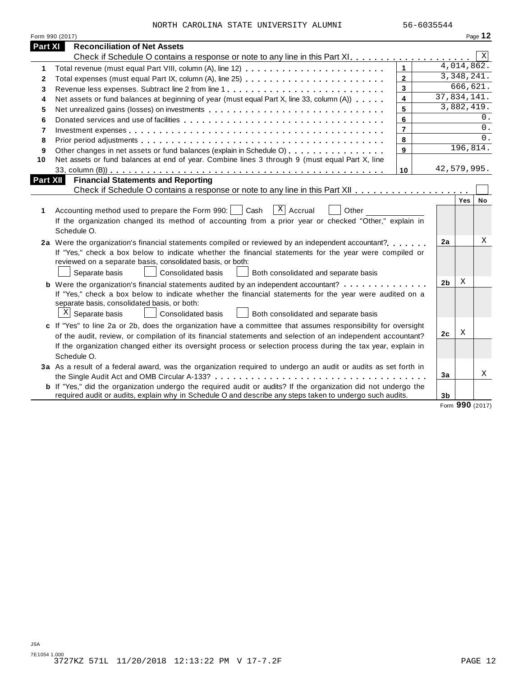|  | NORTH CAROLINA STATE UNIVERSITY ALUMNI | 56-6035544 |
|--|----------------------------------------|------------|
|  |                                        |            |

|                 | Form 990 (2017)                                                                                                       |                |                |                 | Page 12   |
|-----------------|-----------------------------------------------------------------------------------------------------------------------|----------------|----------------|-----------------|-----------|
| Part XI         | <b>Reconciliation of Net Assets</b>                                                                                   |                |                |                 |           |
|                 |                                                                                                                       |                |                |                 | Χ         |
| 1               | Total revenue (must equal Part VIII, column (A), line 12)                                                             | $\mathbf{1}$   |                | 4,014,862.      |           |
| 2               |                                                                                                                       | $\overline{2}$ |                | 3, 348, 241.    |           |
| 3               |                                                                                                                       | $\mathbf{3}$   |                | 666,621.        |           |
| 4               | Net assets or fund balances at beginning of year (must equal Part X, line 33, column (A))                             | 4              | 37,834,141.    |                 |           |
| 5               | Net unrealized gains (losses) on investments                                                                          | 5              |                | 3,882,419.      |           |
| 6               |                                                                                                                       | 6              |                |                 | 0.        |
| 7               |                                                                                                                       | $\overline{7}$ |                |                 | 0.        |
| 8               |                                                                                                                       | 8              |                |                 | 0.        |
| 9               | Other changes in net assets or fund balances (explain in Schedule O)                                                  | 9              |                | 196,814.        |           |
| 10              | Net assets or fund balances at end of year. Combine lines 3 through 9 (must equal Part X, line                        |                |                |                 |           |
|                 |                                                                                                                       | 10             | 42,579,995.    |                 |           |
| <b>Part XII</b> | <b>Financial Statements and Reporting</b>                                                                             |                |                |                 |           |
|                 |                                                                                                                       |                |                |                 |           |
|                 |                                                                                                                       |                |                | Yes             | <b>No</b> |
| 1               | $\lceil x \rceil$ Accrual<br>Accounting method used to prepare the Form 990:     Cash<br>Other                        |                |                |                 |           |
|                 | If the organization changed its method of accounting from a prior year or checked "Other," explain in                 |                |                |                 |           |
|                 | Schedule O.                                                                                                           |                |                |                 |           |
|                 | 2a Were the organization's financial statements compiled or reviewed by an independent accountant?                    |                | 2a             |                 | Χ         |
|                 | If "Yes," check a box below to indicate whether the financial statements for the year were compiled or                |                |                |                 |           |
|                 | reviewed on a separate basis, consolidated basis, or both:                                                            |                |                |                 |           |
|                 | Separate basis<br><b>Consolidated basis</b><br>Both consolidated and separate basis                                   |                |                |                 |           |
|                 | <b>b</b> Were the organization's financial statements audited by an independent accountant?                           |                | 2 <sub>b</sub> | Χ               |           |
|                 | If "Yes," check a box below to indicate whether the financial statements for the year were audited on a               |                |                |                 |           |
|                 | separate basis, consolidated basis, or both:                                                                          |                |                |                 |           |
|                 | Χ<br>Separate basis<br>Consolidated basis<br>Both consolidated and separate basis                                     |                |                |                 |           |
|                 | c If "Yes" to line 2a or 2b, does the organization have a committee that assumes responsibility for oversight         |                |                |                 |           |
|                 | of the audit, review, or compilation of its financial statements and selection of an independent accountant?          |                | 2c             | Χ               |           |
|                 | If the organization changed either its oversight process or selection process during the tax year, explain in         |                |                |                 |           |
|                 | Schedule O.                                                                                                           |                |                |                 |           |
|                 | 3a As a result of a federal award, was the organization required to undergo an audit or audits as set forth in        |                |                |                 |           |
|                 |                                                                                                                       |                | 3a             |                 | Χ         |
|                 | <b>b</b> If "Yes," did the organization undergo the required audit or audits? If the organization did not undergo the |                |                |                 |           |
|                 | required audit or audits, explain why in Schedule O and describe any steps taken to undergo such audits.              |                | 3 <sub>b</sub> |                 |           |
|                 |                                                                                                                       |                |                | Form 990 (2017) |           |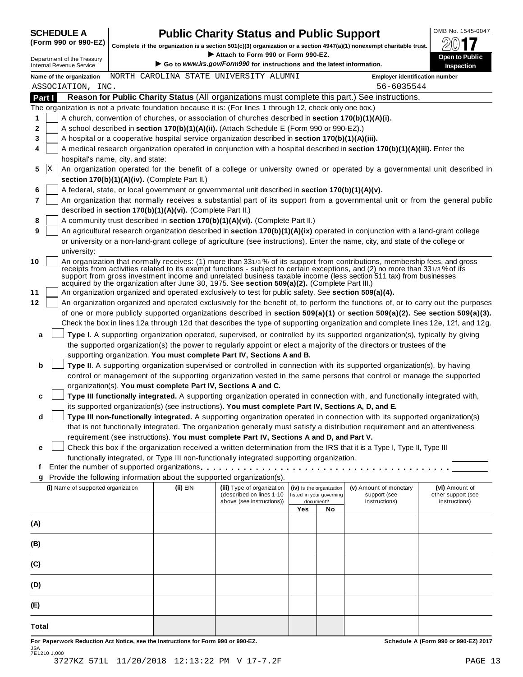**5** X

**6 7**

**8 9**

**10**

**11 12**

**a**

**b**

OMB No. 1545-0047 **SCHEDULE A Public Charity Status and Public Support** Complete if the organization is a section 501(c)(3) organization or a section 4947(a)(1) nonexempt charitable trust.<br>
Attach to Form 990 or Form 990-EZ. Complete if the organization is a section 501(c)(3) organization or a section 4947(a)(1) nonexempt charitable trust.<br>
Department of the Treasury Complete if the organization is a section 501(c)(3) organization or a sectio **Name of the organization** MORTH CAROLINA STATE UNIVERSITY ALUMNI **EMPLOYER Part I Reason for Public Charity Status** (All organizations must complete this part.) See instructions. The organization is not a private foundation because it is: (For lines 1 through 12, check only one box.) A church, convention of churches, or association of churches described in **section 170(b)(1)(A)(i).** A school described in **section 170(b)(1)(A)(ii).** (Attach Schedule E (Form 990 or 990-EZ).) A hospital or a cooperative hospital service organization described in **section 170(b)(1)(A)(iii).** A medical research organization operated in conjunction with a hospital described in **section 170(b)(1)(A)(iii).** Enter the hospital's name, city, and state: An organization operated for the benefit of a college or university owned or operated by a governmental unit described in **section 170(b)(1)(A)(iv).** (Complete Part II.) A federal, state, or local government or governmental unit described in **section 170(b)(1)(A)(v).** An organization that normally receives a substantial part of its support from a governmental unit or from the general public described in **section 170(b)(1)(A)(vi).** (Complete Part II.) A community trust described in **section 170(b)(1)(A)(vi).** (Complete Part II.) An agricultural research organization described in **section 170(b)(1)(A)(ix)** operated in conjunction with a land-grant college or university or a non-land-grant college of agriculture (see instructions). Enter the name, city, and state of the college or university: An organization that normally receives: (1) more than 331/3 % of its support from contributions, membership fees, and gross receipts from activities related to its exempt functions - subject to certain exceptions, and (2) no more than 331/3 %of its support from gross investment income and unrelated business taxable income (less section 511 tax) from businesses acquired by the organization after June 30, 1975. See **section 509(a)(2).** (Complete Part III.) An organization organized and operated exclusively to test for public safety. See **section 509(a)(4).** An organization organized and operated exclusively for the benefit of, to perform the functions of, or to carry out the purposes of one or more publicly supported organizations described in **section 509(a)(1)** or **section 509(a)(2).** See **section 509(a)(3).** Check the box in lines 12a through 12d that describes the type of supporting organization and complete lines 12e, 12f, and 12g. **Type I**. A supporting organization operated, supervised, or controlled by its supported organization(s), typically by giving the supported organization(s) the power to regularly appoint or elect a majority of the directors or trustees of the supporting organization. **You must complete Part IV, Sections A and B. Type II**. A supporting organization supervised or controlled in connection with its supported organization(s), by having control or management of the supporting organization vested in the same persons that control or manage the supported organization(s). **You must complete Part IV, Sections A and C. Type III functionally integrated.** A supporting organization operated in connection with, and functionally integrated with, **Type III non-functionally integrated.** A supporting organization operated in connection with its supported organization(s) that is not functionally integrated. The organization generally must satisfy a distribution requirement and an attentiveness Check this box if the organization received a written determination from the IRS that it is a Type I, Type II, Type III functionally integrated, or Type III non-functionally integrated supporting organization. m m m m m m m m m m m m m m m m m m m m m m m m m m m m m m m m m m m m m m m m m (described on lines 1-10 above (see instructions)) **(iv)** Is the organization listed in your governing document? **(v)** Amount of monetary support (see instructions) **(vi)** Amount of other support (see instructions) **Yes No** ASSOCIATION, INC. SALL CONSERVED ASSOCIATION, INC.

**c d e** its supported organization(s) (see instructions). **You must complete Part IV, Sections A, D, and E.** requirement (see instructions). **You must complete Part IV, Sections A and D, and Part V. f g** Provide the following information about the supported organization(s). Enter the number of supported organizations **(i)** Name of supported organization **(ii)** EIN **(iii)** Type of organization **(A) (B) (C) (D) (E) Total** For Paperwork Reduction Act Notice, see the Instructions for Form 990 or 990-EZ. The Schedule A (Form 990 or 990-EZ) 2017 JSA 7E1210 1.000 3727KZ 571L 11/20/2018 12:13:22 PM V 17-7.2F PAGE 13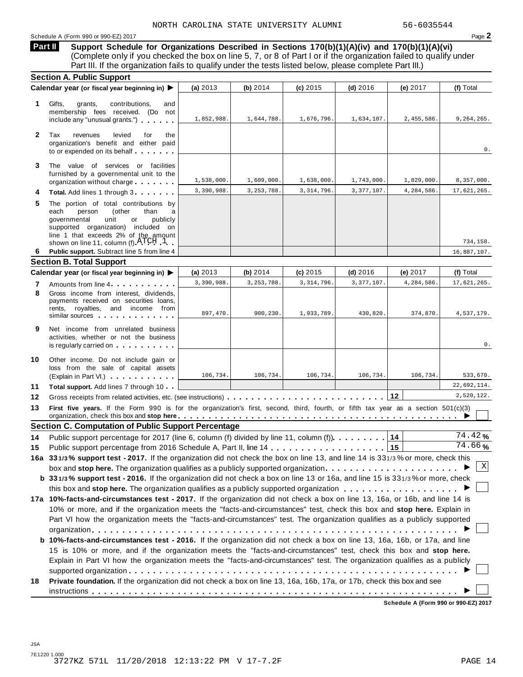#### Schedule <sup>A</sup> (Form <sup>990</sup> or 990-EZ) <sup>2017</sup> Page **2**

**Support Schedule for Organizations Described in Sections 170(b)(1)(A)(iv) and 170(b)(1)(A)(vi)** (Complete only if you checked the box on line 5, 7, or 8 of Part I or if the organization failed to qualify under Part III. If the organization fails to qualify under the tests listed below, please complete Part III.) **Part II**

|                            | <b>Section A. Public Support</b>                                                                                                                                                                                                                                                                                |            |              |              |              |            |             |
|----------------------------|-----------------------------------------------------------------------------------------------------------------------------------------------------------------------------------------------------------------------------------------------------------------------------------------------------------------|------------|--------------|--------------|--------------|------------|-------------|
|                            | Calendar year (or fiscal year beginning in) ▶                                                                                                                                                                                                                                                                   | (a) 2013   | (b) $2014$   | $(c)$ 2015   | $(d)$ 2016   | (e) 2017   | (f) Total   |
| 1.                         | Gifts,<br>contributions.<br>grants,<br>and<br>membership fees received. (Do not<br>include any "unusual grants.")                                                                                                                                                                                               | 1,852,988. | 1,644,788.   | 1,676,796.   | 1,634,107.   | 2,455,586. | 9,264,265.  |
| $\mathbf{2}$               | Tax<br>revenues<br>levied<br>for<br>the<br>organization's benefit and either paid<br>to or expended on its behalf                                                                                                                                                                                               |            |              |              |              |            | 0.          |
| 3                          | The value of services or facilities<br>furnished by a governmental unit to the<br>organization without charge                                                                                                                                                                                                   | 1,538,000  | 1,609,000.   | 1,638,000.   | 1,743,000    | 1,829,000. | 8,357,000.  |
| 4                          | Total. Add lines 1 through 3                                                                                                                                                                                                                                                                                    | 3,390,988  | 3, 253, 788. | 3, 314, 796. | 3, 377, 107. | 4,284,586. | 17,621,265. |
| 5                          | The portion of total contributions by<br>each<br>person<br>(other<br>than<br>a<br>governmental<br>unit<br>publicly<br>or<br>supported organization) included on<br>line 1 that exceeds 2% of the amount<br>shown on line 11, column (f) $\text{ATCH}$ 1                                                         |            |              |              |              |            | 734,158.    |
| 6                          | Public support. Subtract line 5 from line 4                                                                                                                                                                                                                                                                     |            |              |              |              |            | 16,887,107. |
|                            | <b>Section B. Total Support</b>                                                                                                                                                                                                                                                                                 |            |              |              |              |            |             |
|                            | Calendar year (or fiscal year beginning in) ▶                                                                                                                                                                                                                                                                   | (a) $2013$ | (b) $2014$   | $(c)$ 2015   | $(d)$ 2016   | (e) 2017   | (f) Total   |
| 7                          | Amounts from line 4                                                                                                                                                                                                                                                                                             | 3,390,988  | 3, 253, 788. | 3, 314, 796. | 3,377,107    | 4,284,586. | 17,621,265. |
| 8                          | Gross income from interest, dividends,<br>payments received on securities loans,<br>rents, royalties, and income from<br>similar sources experiences                                                                                                                                                            | 897,470.   | 900,230.     | 1,933,789.   | 430,820.     | 374,870.   | 4,537,179.  |
| 9                          | Net income from unrelated business<br>activities, whether or not the business<br>is regularly carried on the control of the state of the state of the state of the state of the state of the state of the state of the state of the state of the state of the state of the state of the state of the state of t |            |              |              |              |            | 0.          |
| 10                         | Other income. Do not include gain or<br>loss from the sale of capital assets<br>(Explain in Part VI.)                                                                                                                                                                                                           | 106,734.   | 106,734.     | 106,734.     | 106,734.     | 106,734.   | 533,670.    |
|                            |                                                                                                                                                                                                                                                                                                                 |            |              |              |              |            | 22,692,114. |
|                            | Total support. Add lines 7 through 10                                                                                                                                                                                                                                                                           |            |              |              |              |            | 2,520,122.  |
|                            |                                                                                                                                                                                                                                                                                                                 |            |              |              |              |            |             |
|                            | First five years. If the Form 990 is for the organization's first, second, third, fourth, or fifth tax year as a section 501(c)(3)                                                                                                                                                                              |            |              |              |              |            |             |
|                            | <b>Section C. Computation of Public Support Percentage</b>                                                                                                                                                                                                                                                      |            |              |              |              |            |             |
|                            | Public support percentage for 2017 (line 6, column (f) divided by line 11, column (f)).                                                                                                                                                                                                                         |            |              |              |              | 14         | 74.42%      |
|                            |                                                                                                                                                                                                                                                                                                                 |            |              |              |              |            | 74.66%      |
|                            | 16a 331/3% support test - 2017. If the organization did not check the box on line 13, and line 14 is 331/3% or more, check this                                                                                                                                                                                 |            |              |              |              |            |             |
|                            | box and stop here. The organization qualifies as a publicly supported organization                                                                                                                                                                                                                              |            |              |              |              |            | Χ           |
|                            | b 331/3% support test - 2016. If the organization did not check a box on line 13 or 16a, and line 15 is 331/3% or more, check                                                                                                                                                                                   |            |              |              |              |            |             |
|                            |                                                                                                                                                                                                                                                                                                                 |            |              |              |              |            |             |
|                            | 17a 10%-facts-and-circumstances test - 2017. If the organization did not check a box on line 13, 16a, or 16b, and line 14 is                                                                                                                                                                                    |            |              |              |              |            |             |
|                            | 10% or more, and if the organization meets the "facts-and-circumstances" test, check this box and stop here. Explain in                                                                                                                                                                                         |            |              |              |              |            |             |
|                            | Part VI how the organization meets the "facts-and-circumstances" test. The organization qualifies as a publicly supported                                                                                                                                                                                       |            |              |              |              |            |             |
|                            |                                                                                                                                                                                                                                                                                                                 |            |              |              |              |            |             |
|                            | <b>b 10%-facts-and-circumstances test - 2016.</b> If the organization did not check a box on line 13, 16a, 16b, or 17a, and line                                                                                                                                                                                |            |              |              |              |            |             |
| 11<br>12<br>13<br>14<br>15 | 15 is 10% or more, and if the organization meets the "facts-and-circumstances" test, check this box and stop here.                                                                                                                                                                                              |            |              |              |              |            |             |
|                            | Explain in Part VI how the organization meets the "facts-and-circumstances" test. The organization qualifies as a publicly                                                                                                                                                                                      |            |              |              |              |            |             |
| 18                         | Private foundation. If the organization did not check a box on line 13, 16a, 16b, 17a, or 17b, check this box and see                                                                                                                                                                                           |            |              |              |              |            |             |

**Schedule A (Form 990 or 990-EZ) 2017**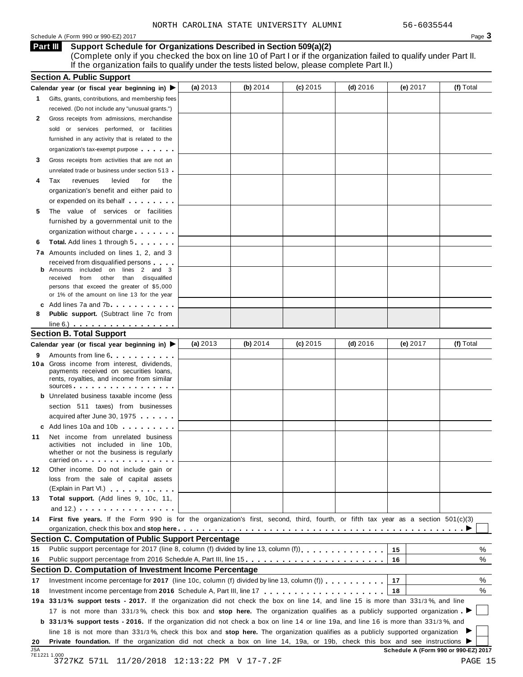#### Schedule A (Form 990 or 990-EZ) 2017 Page 3

**Support Schedule for Organizations Described in Section 509(a)(2) Part III**

(Complete only if you checked the box on line 10 of Part I or if the organization failed to qualify under Part II. If the organization fails to qualify under the tests listed below, please complete Part II.)

| Calendar year (or fiscal year beginning in) $\blacktriangleright$<br>Gifts, grants, contributions, and membership fees<br>received. (Do not include any "unusual grants.")<br>Gross receipts from admissions, merchandise<br>or services performed, or facilities<br>sold<br>furnished in any activity that is related to the<br>organization's tax-exempt purpose<br>Gross receipts from activities that are not an<br>unrelated trade or business under section 513<br>Tax<br>revenues<br>levied<br>for<br>the<br>organization's benefit and either paid to<br>or expended on its behalf <b>contains the set of the set of the set of the set of the set of the set of the set of the set of the set of the set of the set of the set of the set of the set of the set of the set of the set of</b><br>The value of services or facilities<br>furnished by a governmental unit to the<br>organization without charge | (a) $2013$                                                                                                                                                                                                                                                                                                                                                                                                                                                                                                                                                                                       | (b) $2014$ | $(c)$ 2015                                                                                                    | $(d)$ 2016 | (e) 2017                                                                                                                                                                                                                                                   | (f) Total                                                                                                                                                                                                                                                                                                                                                                                                                                                                                                                                                                                                                                                                                                                                                                                                                                                                                                                         |
|------------------------------------------------------------------------------------------------------------------------------------------------------------------------------------------------------------------------------------------------------------------------------------------------------------------------------------------------------------------------------------------------------------------------------------------------------------------------------------------------------------------------------------------------------------------------------------------------------------------------------------------------------------------------------------------------------------------------------------------------------------------------------------------------------------------------------------------------------------------------------------------------------------------------|--------------------------------------------------------------------------------------------------------------------------------------------------------------------------------------------------------------------------------------------------------------------------------------------------------------------------------------------------------------------------------------------------------------------------------------------------------------------------------------------------------------------------------------------------------------------------------------------------|------------|---------------------------------------------------------------------------------------------------------------|------------|------------------------------------------------------------------------------------------------------------------------------------------------------------------------------------------------------------------------------------------------------------|-----------------------------------------------------------------------------------------------------------------------------------------------------------------------------------------------------------------------------------------------------------------------------------------------------------------------------------------------------------------------------------------------------------------------------------------------------------------------------------------------------------------------------------------------------------------------------------------------------------------------------------------------------------------------------------------------------------------------------------------------------------------------------------------------------------------------------------------------------------------------------------------------------------------------------------|
|                                                                                                                                                                                                                                                                                                                                                                                                                                                                                                                                                                                                                                                                                                                                                                                                                                                                                                                        |                                                                                                                                                                                                                                                                                                                                                                                                                                                                                                                                                                                                  |            |                                                                                                               |            |                                                                                                                                                                                                                                                            |                                                                                                                                                                                                                                                                                                                                                                                                                                                                                                                                                                                                                                                                                                                                                                                                                                                                                                                                   |
|                                                                                                                                                                                                                                                                                                                                                                                                                                                                                                                                                                                                                                                                                                                                                                                                                                                                                                                        |                                                                                                                                                                                                                                                                                                                                                                                                                                                                                                                                                                                                  |            |                                                                                                               |            |                                                                                                                                                                                                                                                            |                                                                                                                                                                                                                                                                                                                                                                                                                                                                                                                                                                                                                                                                                                                                                                                                                                                                                                                                   |
|                                                                                                                                                                                                                                                                                                                                                                                                                                                                                                                                                                                                                                                                                                                                                                                                                                                                                                                        |                                                                                                                                                                                                                                                                                                                                                                                                                                                                                                                                                                                                  |            |                                                                                                               |            |                                                                                                                                                                                                                                                            |                                                                                                                                                                                                                                                                                                                                                                                                                                                                                                                                                                                                                                                                                                                                                                                                                                                                                                                                   |
|                                                                                                                                                                                                                                                                                                                                                                                                                                                                                                                                                                                                                                                                                                                                                                                                                                                                                                                        |                                                                                                                                                                                                                                                                                                                                                                                                                                                                                                                                                                                                  |            |                                                                                                               |            |                                                                                                                                                                                                                                                            |                                                                                                                                                                                                                                                                                                                                                                                                                                                                                                                                                                                                                                                                                                                                                                                                                                                                                                                                   |
|                                                                                                                                                                                                                                                                                                                                                                                                                                                                                                                                                                                                                                                                                                                                                                                                                                                                                                                        |                                                                                                                                                                                                                                                                                                                                                                                                                                                                                                                                                                                                  |            |                                                                                                               |            |                                                                                                                                                                                                                                                            |                                                                                                                                                                                                                                                                                                                                                                                                                                                                                                                                                                                                                                                                                                                                                                                                                                                                                                                                   |
|                                                                                                                                                                                                                                                                                                                                                                                                                                                                                                                                                                                                                                                                                                                                                                                                                                                                                                                        |                                                                                                                                                                                                                                                                                                                                                                                                                                                                                                                                                                                                  |            |                                                                                                               |            |                                                                                                                                                                                                                                                            |                                                                                                                                                                                                                                                                                                                                                                                                                                                                                                                                                                                                                                                                                                                                                                                                                                                                                                                                   |
|                                                                                                                                                                                                                                                                                                                                                                                                                                                                                                                                                                                                                                                                                                                                                                                                                                                                                                                        |                                                                                                                                                                                                                                                                                                                                                                                                                                                                                                                                                                                                  |            |                                                                                                               |            |                                                                                                                                                                                                                                                            |                                                                                                                                                                                                                                                                                                                                                                                                                                                                                                                                                                                                                                                                                                                                                                                                                                                                                                                                   |
|                                                                                                                                                                                                                                                                                                                                                                                                                                                                                                                                                                                                                                                                                                                                                                                                                                                                                                                        |                                                                                                                                                                                                                                                                                                                                                                                                                                                                                                                                                                                                  |            |                                                                                                               |            |                                                                                                                                                                                                                                                            |                                                                                                                                                                                                                                                                                                                                                                                                                                                                                                                                                                                                                                                                                                                                                                                                                                                                                                                                   |
|                                                                                                                                                                                                                                                                                                                                                                                                                                                                                                                                                                                                                                                                                                                                                                                                                                                                                                                        |                                                                                                                                                                                                                                                                                                                                                                                                                                                                                                                                                                                                  |            |                                                                                                               |            |                                                                                                                                                                                                                                                            |                                                                                                                                                                                                                                                                                                                                                                                                                                                                                                                                                                                                                                                                                                                                                                                                                                                                                                                                   |
|                                                                                                                                                                                                                                                                                                                                                                                                                                                                                                                                                                                                                                                                                                                                                                                                                                                                                                                        |                                                                                                                                                                                                                                                                                                                                                                                                                                                                                                                                                                                                  |            |                                                                                                               |            |                                                                                                                                                                                                                                                            |                                                                                                                                                                                                                                                                                                                                                                                                                                                                                                                                                                                                                                                                                                                                                                                                                                                                                                                                   |
|                                                                                                                                                                                                                                                                                                                                                                                                                                                                                                                                                                                                                                                                                                                                                                                                                                                                                                                        |                                                                                                                                                                                                                                                                                                                                                                                                                                                                                                                                                                                                  |            |                                                                                                               |            |                                                                                                                                                                                                                                                            |                                                                                                                                                                                                                                                                                                                                                                                                                                                                                                                                                                                                                                                                                                                                                                                                                                                                                                                                   |
|                                                                                                                                                                                                                                                                                                                                                                                                                                                                                                                                                                                                                                                                                                                                                                                                                                                                                                                        |                                                                                                                                                                                                                                                                                                                                                                                                                                                                                                                                                                                                  |            |                                                                                                               |            |                                                                                                                                                                                                                                                            |                                                                                                                                                                                                                                                                                                                                                                                                                                                                                                                                                                                                                                                                                                                                                                                                                                                                                                                                   |
|                                                                                                                                                                                                                                                                                                                                                                                                                                                                                                                                                                                                                                                                                                                                                                                                                                                                                                                        |                                                                                                                                                                                                                                                                                                                                                                                                                                                                                                                                                                                                  |            |                                                                                                               |            |                                                                                                                                                                                                                                                            |                                                                                                                                                                                                                                                                                                                                                                                                                                                                                                                                                                                                                                                                                                                                                                                                                                                                                                                                   |
|                                                                                                                                                                                                                                                                                                                                                                                                                                                                                                                                                                                                                                                                                                                                                                                                                                                                                                                        |                                                                                                                                                                                                                                                                                                                                                                                                                                                                                                                                                                                                  |            |                                                                                                               |            |                                                                                                                                                                                                                                                            |                                                                                                                                                                                                                                                                                                                                                                                                                                                                                                                                                                                                                                                                                                                                                                                                                                                                                                                                   |
|                                                                                                                                                                                                                                                                                                                                                                                                                                                                                                                                                                                                                                                                                                                                                                                                                                                                                                                        |                                                                                                                                                                                                                                                                                                                                                                                                                                                                                                                                                                                                  |            |                                                                                                               |            |                                                                                                                                                                                                                                                            |                                                                                                                                                                                                                                                                                                                                                                                                                                                                                                                                                                                                                                                                                                                                                                                                                                                                                                                                   |
|                                                                                                                                                                                                                                                                                                                                                                                                                                                                                                                                                                                                                                                                                                                                                                                                                                                                                                                        |                                                                                                                                                                                                                                                                                                                                                                                                                                                                                                                                                                                                  |            |                                                                                                               |            |                                                                                                                                                                                                                                                            |                                                                                                                                                                                                                                                                                                                                                                                                                                                                                                                                                                                                                                                                                                                                                                                                                                                                                                                                   |
| Total. Add lines 1 through 5                                                                                                                                                                                                                                                                                                                                                                                                                                                                                                                                                                                                                                                                                                                                                                                                                                                                                           |                                                                                                                                                                                                                                                                                                                                                                                                                                                                                                                                                                                                  |            |                                                                                                               |            |                                                                                                                                                                                                                                                            |                                                                                                                                                                                                                                                                                                                                                                                                                                                                                                                                                                                                                                                                                                                                                                                                                                                                                                                                   |
| 7a Amounts included on lines 1, 2, and 3                                                                                                                                                                                                                                                                                                                                                                                                                                                                                                                                                                                                                                                                                                                                                                                                                                                                               |                                                                                                                                                                                                                                                                                                                                                                                                                                                                                                                                                                                                  |            |                                                                                                               |            |                                                                                                                                                                                                                                                            |                                                                                                                                                                                                                                                                                                                                                                                                                                                                                                                                                                                                                                                                                                                                                                                                                                                                                                                                   |
| received from disqualified persons<br><b>b</b> Amounts included on lines 2 and 3                                                                                                                                                                                                                                                                                                                                                                                                                                                                                                                                                                                                                                                                                                                                                                                                                                       |                                                                                                                                                                                                                                                                                                                                                                                                                                                                                                                                                                                                  |            |                                                                                                               |            |                                                                                                                                                                                                                                                            |                                                                                                                                                                                                                                                                                                                                                                                                                                                                                                                                                                                                                                                                                                                                                                                                                                                                                                                                   |
| from other than disqualified<br>received                                                                                                                                                                                                                                                                                                                                                                                                                                                                                                                                                                                                                                                                                                                                                                                                                                                                               |                                                                                                                                                                                                                                                                                                                                                                                                                                                                                                                                                                                                  |            |                                                                                                               |            |                                                                                                                                                                                                                                                            |                                                                                                                                                                                                                                                                                                                                                                                                                                                                                                                                                                                                                                                                                                                                                                                                                                                                                                                                   |
| persons that exceed the greater of \$5,000                                                                                                                                                                                                                                                                                                                                                                                                                                                                                                                                                                                                                                                                                                                                                                                                                                                                             |                                                                                                                                                                                                                                                                                                                                                                                                                                                                                                                                                                                                  |            |                                                                                                               |            |                                                                                                                                                                                                                                                            |                                                                                                                                                                                                                                                                                                                                                                                                                                                                                                                                                                                                                                                                                                                                                                                                                                                                                                                                   |
| or 1% of the amount on line 13 for the year                                                                                                                                                                                                                                                                                                                                                                                                                                                                                                                                                                                                                                                                                                                                                                                                                                                                            |                                                                                                                                                                                                                                                                                                                                                                                                                                                                                                                                                                                                  |            |                                                                                                               |            |                                                                                                                                                                                                                                                            |                                                                                                                                                                                                                                                                                                                                                                                                                                                                                                                                                                                                                                                                                                                                                                                                                                                                                                                                   |
| c Add lines 7a and 7b                                                                                                                                                                                                                                                                                                                                                                                                                                                                                                                                                                                                                                                                                                                                                                                                                                                                                                  |                                                                                                                                                                                                                                                                                                                                                                                                                                                                                                                                                                                                  |            |                                                                                                               |            |                                                                                                                                                                                                                                                            |                                                                                                                                                                                                                                                                                                                                                                                                                                                                                                                                                                                                                                                                                                                                                                                                                                                                                                                                   |
| <b>Public support.</b> (Subtract line 7c from                                                                                                                                                                                                                                                                                                                                                                                                                                                                                                                                                                                                                                                                                                                                                                                                                                                                          |                                                                                                                                                                                                                                                                                                                                                                                                                                                                                                                                                                                                  |            |                                                                                                               |            |                                                                                                                                                                                                                                                            |                                                                                                                                                                                                                                                                                                                                                                                                                                                                                                                                                                                                                                                                                                                                                                                                                                                                                                                                   |
| $line 6.)$ $\ldots$ $\ldots$ $\ldots$ $\ldots$ $\ldots$ $\ldots$ $\ldots$                                                                                                                                                                                                                                                                                                                                                                                                                                                                                                                                                                                                                                                                                                                                                                                                                                              |                                                                                                                                                                                                                                                                                                                                                                                                                                                                                                                                                                                                  |            |                                                                                                               |            |                                                                                                                                                                                                                                                            |                                                                                                                                                                                                                                                                                                                                                                                                                                                                                                                                                                                                                                                                                                                                                                                                                                                                                                                                   |
|                                                                                                                                                                                                                                                                                                                                                                                                                                                                                                                                                                                                                                                                                                                                                                                                                                                                                                                        |                                                                                                                                                                                                                                                                                                                                                                                                                                                                                                                                                                                                  |            |                                                                                                               |            |                                                                                                                                                                                                                                                            |                                                                                                                                                                                                                                                                                                                                                                                                                                                                                                                                                                                                                                                                                                                                                                                                                                                                                                                                   |
| Calendar year (or fiscal year beginning in) ▶                                                                                                                                                                                                                                                                                                                                                                                                                                                                                                                                                                                                                                                                                                                                                                                                                                                                          | (a) $2013$                                                                                                                                                                                                                                                                                                                                                                                                                                                                                                                                                                                       | (b) $2014$ | $(c)$ 2015                                                                                                    | $(d)$ 2016 | (e) $2017$                                                                                                                                                                                                                                                 | (f) Total                                                                                                                                                                                                                                                                                                                                                                                                                                                                                                                                                                                                                                                                                                                                                                                                                                                                                                                         |
| Amounts from line 6. The state of the state of the state of the state of the state of the state of the state of the state of the state of the state of the state of the state of the state of the state of the state of the st                                                                                                                                                                                                                                                                                                                                                                                                                                                                                                                                                                                                                                                                                         |                                                                                                                                                                                                                                                                                                                                                                                                                                                                                                                                                                                                  |            |                                                                                                               |            |                                                                                                                                                                                                                                                            |                                                                                                                                                                                                                                                                                                                                                                                                                                                                                                                                                                                                                                                                                                                                                                                                                                                                                                                                   |
| 10 a Gross income from interest, dividends,<br>payments received on securities loans,<br>rents, royalties, and income from similar                                                                                                                                                                                                                                                                                                                                                                                                                                                                                                                                                                                                                                                                                                                                                                                     |                                                                                                                                                                                                                                                                                                                                                                                                                                                                                                                                                                                                  |            |                                                                                                               |            |                                                                                                                                                                                                                                                            |                                                                                                                                                                                                                                                                                                                                                                                                                                                                                                                                                                                                                                                                                                                                                                                                                                                                                                                                   |
|                                                                                                                                                                                                                                                                                                                                                                                                                                                                                                                                                                                                                                                                                                                                                                                                                                                                                                                        |                                                                                                                                                                                                                                                                                                                                                                                                                                                                                                                                                                                                  |            |                                                                                                               |            |                                                                                                                                                                                                                                                            |                                                                                                                                                                                                                                                                                                                                                                                                                                                                                                                                                                                                                                                                                                                                                                                                                                                                                                                                   |
|                                                                                                                                                                                                                                                                                                                                                                                                                                                                                                                                                                                                                                                                                                                                                                                                                                                                                                                        |                                                                                                                                                                                                                                                                                                                                                                                                                                                                                                                                                                                                  |            |                                                                                                               |            |                                                                                                                                                                                                                                                            |                                                                                                                                                                                                                                                                                                                                                                                                                                                                                                                                                                                                                                                                                                                                                                                                                                                                                                                                   |
|                                                                                                                                                                                                                                                                                                                                                                                                                                                                                                                                                                                                                                                                                                                                                                                                                                                                                                                        |                                                                                                                                                                                                                                                                                                                                                                                                                                                                                                                                                                                                  |            |                                                                                                               |            |                                                                                                                                                                                                                                                            |                                                                                                                                                                                                                                                                                                                                                                                                                                                                                                                                                                                                                                                                                                                                                                                                                                                                                                                                   |
|                                                                                                                                                                                                                                                                                                                                                                                                                                                                                                                                                                                                                                                                                                                                                                                                                                                                                                                        |                                                                                                                                                                                                                                                                                                                                                                                                                                                                                                                                                                                                  |            |                                                                                                               |            |                                                                                                                                                                                                                                                            |                                                                                                                                                                                                                                                                                                                                                                                                                                                                                                                                                                                                                                                                                                                                                                                                                                                                                                                                   |
|                                                                                                                                                                                                                                                                                                                                                                                                                                                                                                                                                                                                                                                                                                                                                                                                                                                                                                                        |                                                                                                                                                                                                                                                                                                                                                                                                                                                                                                                                                                                                  |            |                                                                                                               |            |                                                                                                                                                                                                                                                            |                                                                                                                                                                                                                                                                                                                                                                                                                                                                                                                                                                                                                                                                                                                                                                                                                                                                                                                                   |
| activities not included in line 10b,<br>whether or not the business is regularly                                                                                                                                                                                                                                                                                                                                                                                                                                                                                                                                                                                                                                                                                                                                                                                                                                       |                                                                                                                                                                                                                                                                                                                                                                                                                                                                                                                                                                                                  |            |                                                                                                               |            |                                                                                                                                                                                                                                                            |                                                                                                                                                                                                                                                                                                                                                                                                                                                                                                                                                                                                                                                                                                                                                                                                                                                                                                                                   |
|                                                                                                                                                                                                                                                                                                                                                                                                                                                                                                                                                                                                                                                                                                                                                                                                                                                                                                                        |                                                                                                                                                                                                                                                                                                                                                                                                                                                                                                                                                                                                  |            |                                                                                                               |            |                                                                                                                                                                                                                                                            |                                                                                                                                                                                                                                                                                                                                                                                                                                                                                                                                                                                                                                                                                                                                                                                                                                                                                                                                   |
|                                                                                                                                                                                                                                                                                                                                                                                                                                                                                                                                                                                                                                                                                                                                                                                                                                                                                                                        |                                                                                                                                                                                                                                                                                                                                                                                                                                                                                                                                                                                                  |            |                                                                                                               |            |                                                                                                                                                                                                                                                            |                                                                                                                                                                                                                                                                                                                                                                                                                                                                                                                                                                                                                                                                                                                                                                                                                                                                                                                                   |
|                                                                                                                                                                                                                                                                                                                                                                                                                                                                                                                                                                                                                                                                                                                                                                                                                                                                                                                        |                                                                                                                                                                                                                                                                                                                                                                                                                                                                                                                                                                                                  |            |                                                                                                               |            |                                                                                                                                                                                                                                                            |                                                                                                                                                                                                                                                                                                                                                                                                                                                                                                                                                                                                                                                                                                                                                                                                                                                                                                                                   |
|                                                                                                                                                                                                                                                                                                                                                                                                                                                                                                                                                                                                                                                                                                                                                                                                                                                                                                                        |                                                                                                                                                                                                                                                                                                                                                                                                                                                                                                                                                                                                  |            |                                                                                                               |            |                                                                                                                                                                                                                                                            |                                                                                                                                                                                                                                                                                                                                                                                                                                                                                                                                                                                                                                                                                                                                                                                                                                                                                                                                   |
|                                                                                                                                                                                                                                                                                                                                                                                                                                                                                                                                                                                                                                                                                                                                                                                                                                                                                                                        |                                                                                                                                                                                                                                                                                                                                                                                                                                                                                                                                                                                                  |            |                                                                                                               |            |                                                                                                                                                                                                                                                            |                                                                                                                                                                                                                                                                                                                                                                                                                                                                                                                                                                                                                                                                                                                                                                                                                                                                                                                                   |
|                                                                                                                                                                                                                                                                                                                                                                                                                                                                                                                                                                                                                                                                                                                                                                                                                                                                                                                        |                                                                                                                                                                                                                                                                                                                                                                                                                                                                                                                                                                                                  |            |                                                                                                               |            |                                                                                                                                                                                                                                                            |                                                                                                                                                                                                                                                                                                                                                                                                                                                                                                                                                                                                                                                                                                                                                                                                                                                                                                                                   |
|                                                                                                                                                                                                                                                                                                                                                                                                                                                                                                                                                                                                                                                                                                                                                                                                                                                                                                                        |                                                                                                                                                                                                                                                                                                                                                                                                                                                                                                                                                                                                  |            |                                                                                                               |            |                                                                                                                                                                                                                                                            |                                                                                                                                                                                                                                                                                                                                                                                                                                                                                                                                                                                                                                                                                                                                                                                                                                                                                                                                   |
|                                                                                                                                                                                                                                                                                                                                                                                                                                                                                                                                                                                                                                                                                                                                                                                                                                                                                                                        |                                                                                                                                                                                                                                                                                                                                                                                                                                                                                                                                                                                                  |            |                                                                                                               |            |                                                                                                                                                                                                                                                            |                                                                                                                                                                                                                                                                                                                                                                                                                                                                                                                                                                                                                                                                                                                                                                                                                                                                                                                                   |
|                                                                                                                                                                                                                                                                                                                                                                                                                                                                                                                                                                                                                                                                                                                                                                                                                                                                                                                        |                                                                                                                                                                                                                                                                                                                                                                                                                                                                                                                                                                                                  |            |                                                                                                               |            |                                                                                                                                                                                                                                                            | %                                                                                                                                                                                                                                                                                                                                                                                                                                                                                                                                                                                                                                                                                                                                                                                                                                                                                                                                 |
|                                                                                                                                                                                                                                                                                                                                                                                                                                                                                                                                                                                                                                                                                                                                                                                                                                                                                                                        |                                                                                                                                                                                                                                                                                                                                                                                                                                                                                                                                                                                                  |            |                                                                                                               |            |                                                                                                                                                                                                                                                            | %                                                                                                                                                                                                                                                                                                                                                                                                                                                                                                                                                                                                                                                                                                                                                                                                                                                                                                                                 |
|                                                                                                                                                                                                                                                                                                                                                                                                                                                                                                                                                                                                                                                                                                                                                                                                                                                                                                                        |                                                                                                                                                                                                                                                                                                                                                                                                                                                                                                                                                                                                  |            |                                                                                                               |            |                                                                                                                                                                                                                                                            |                                                                                                                                                                                                                                                                                                                                                                                                                                                                                                                                                                                                                                                                                                                                                                                                                                                                                                                                   |
|                                                                                                                                                                                                                                                                                                                                                                                                                                                                                                                                                                                                                                                                                                                                                                                                                                                                                                                        |                                                                                                                                                                                                                                                                                                                                                                                                                                                                                                                                                                                                  |            |                                                                                                               |            |                                                                                                                                                                                                                                                            | %                                                                                                                                                                                                                                                                                                                                                                                                                                                                                                                                                                                                                                                                                                                                                                                                                                                                                                                                 |
|                                                                                                                                                                                                                                                                                                                                                                                                                                                                                                                                                                                                                                                                                                                                                                                                                                                                                                                        |                                                                                                                                                                                                                                                                                                                                                                                                                                                                                                                                                                                                  |            |                                                                                                               |            |                                                                                                                                                                                                                                                            |                                                                                                                                                                                                                                                                                                                                                                                                                                                                                                                                                                                                                                                                                                                                                                                                                                                                                                                                   |
|                                                                                                                                                                                                                                                                                                                                                                                                                                                                                                                                                                                                                                                                                                                                                                                                                                                                                                                        |                                                                                                                                                                                                                                                                                                                                                                                                                                                                                                                                                                                                  |            |                                                                                                               |            |                                                                                                                                                                                                                                                            | %                                                                                                                                                                                                                                                                                                                                                                                                                                                                                                                                                                                                                                                                                                                                                                                                                                                                                                                                 |
|                                                                                                                                                                                                                                                                                                                                                                                                                                                                                                                                                                                                                                                                                                                                                                                                                                                                                                                        |                                                                                                                                                                                                                                                                                                                                                                                                                                                                                                                                                                                                  |            |                                                                                                               |            |                                                                                                                                                                                                                                                            |                                                                                                                                                                                                                                                                                                                                                                                                                                                                                                                                                                                                                                                                                                                                                                                                                                                                                                                                   |
|                                                                                                                                                                                                                                                                                                                                                                                                                                                                                                                                                                                                                                                                                                                                                                                                                                                                                                                        |                                                                                                                                                                                                                                                                                                                                                                                                                                                                                                                                                                                                  |            |                                                                                                               |            |                                                                                                                                                                                                                                                            |                                                                                                                                                                                                                                                                                                                                                                                                                                                                                                                                                                                                                                                                                                                                                                                                                                                                                                                                   |
|                                                                                                                                                                                                                                                                                                                                                                                                                                                                                                                                                                                                                                                                                                                                                                                                                                                                                                                        |                                                                                                                                                                                                                                                                                                                                                                                                                                                                                                                                                                                                  |            |                                                                                                               |            |                                                                                                                                                                                                                                                            |                                                                                                                                                                                                                                                                                                                                                                                                                                                                                                                                                                                                                                                                                                                                                                                                                                                                                                                                   |
|                                                                                                                                                                                                                                                                                                                                                                                                                                                                                                                                                                                                                                                                                                                                                                                                                                                                                                                        |                                                                                                                                                                                                                                                                                                                                                                                                                                                                                                                                                                                                  |            |                                                                                                               |            |                                                                                                                                                                                                                                                            |                                                                                                                                                                                                                                                                                                                                                                                                                                                                                                                                                                                                                                                                                                                                                                                                                                                                                                                                   |
|                                                                                                                                                                                                                                                                                                                                                                                                                                                                                                                                                                                                                                                                                                                                                                                                                                                                                                                        |                                                                                                                                                                                                                                                                                                                                                                                                                                                                                                                                                                                                  |            |                                                                                                               |            |                                                                                                                                                                                                                                                            |                                                                                                                                                                                                                                                                                                                                                                                                                                                                                                                                                                                                                                                                                                                                                                                                                                                                                                                                   |
|                                                                                                                                                                                                                                                                                                                                                                                                                                                                                                                                                                                                                                                                                                                                                                                                                                                                                                                        |                                                                                                                                                                                                                                                                                                                                                                                                                                                                                                                                                                                                  |            |                                                                                                               |            |                                                                                                                                                                                                                                                            |                                                                                                                                                                                                                                                                                                                                                                                                                                                                                                                                                                                                                                                                                                                                                                                                                                                                                                                                   |
|                                                                                                                                                                                                                                                                                                                                                                                                                                                                                                                                                                                                                                                                                                                                                                                                                                                                                                                        | <b>Section B. Total Support</b><br>sources<br><b>b</b> Unrelated business taxable income (less<br>section 511 taxes) from businesses<br>acquired after June 30, 1975<br>c Add lines 10a and 10b<br>Net income from unrelated business<br>carried on the carried on the control of the care of the control of the control of the control of the control o<br>Other income. Do not include gain or<br>loss from the sale of capital assets<br>(Explain in Part VI.) <b>All Accords</b><br>Total support. (Add lines 9, 10c, 11,<br>and $12.$ ) $\cdots$ $\cdots$ $\cdots$ $\cdots$<br>7E1221 1.000 |            | Section C. Computation of Public Support Percentage<br>Section D. Computation of Investment Income Percentage |            | Public support percentage from 2016 Schedule A, Part III, line 15.<br>Investment income percentage for 2017 (line 10c, column (f) divided by line 13, column (f) $\ldots$ ,,,,,,,,<br>Investment income percentage from 2016 Schedule A, Part III, line 17 | First five years. If the Form 990 is for the organization's first, second, third, fourth, or fifth tax year as a section 501(c)(3)<br>15<br>16<br>17<br>18<br>19a 331/3% support tests - 2017. If the organization did not check the box on line 14, and line 15 is more than 331/3%, and line<br>17 is not more than 331/3%, check this box and stop here. The organization qualifies as a publicly supported organization<br><b>b</b> 331/3% support tests - 2016. If the organization did not check a box on line 14 or line 19a, and line 16 is more than 331/3%, and<br>line 18 is not more than 331/3%, check this box and stop here. The organization qualifies as a publicly supported organization<br>Private foundation. If the organization did not check a box on line 14, 19a, or 19b, check this box and see instructions ▶<br>Schedule A (Form 990 or 990-EZ) 2017<br>3727KZ 571L 11/20/2018 12:13:22 PM V 17-7.2F |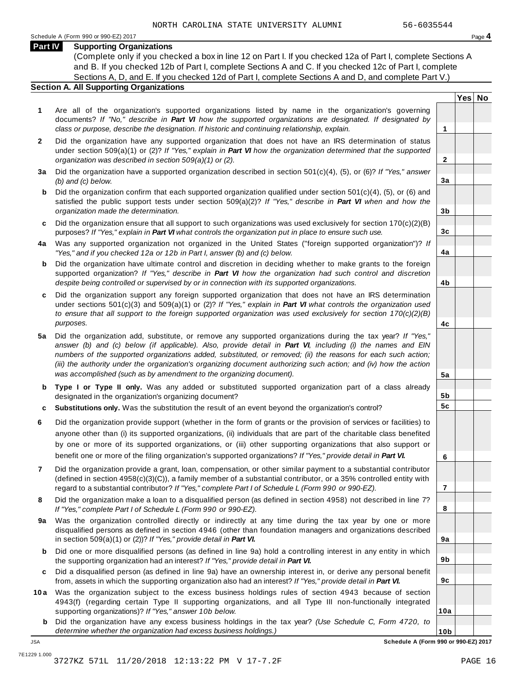**Yes No**

**2**

**3a**

**3b**

**3c**

**4a**

**4b**

**4c**

**5a**

**5b 5c**

**6**

**7**

**8**

**9a**

**9b**

**9c**

**10a**

#### **Part IV Supporting Organizations**

(Complete only if you checked a box in line 12 on Part I. If you checked 12a of Part I, complete Sections A and B. If you checked 12b of Part I, complete Sections A and C. If you checked 12c of Part I, complete Sections A, D, and E. If you checked 12d of Part I, complete Sections A and D, and complete Part V.)

#### **Section A. All Supporting Organizations**

- **1** Are all of the organization's supported organizations listed by name in the organization's governing documents? *If "No," describe in Part VI how the supported organizations are designated. If designated by class or purpose, describe the designation. If historic and continuing relationship, explain.* **1**
- **2** Did the organization have any supported organization that does not have an IRS determination of status under section 509(a)(1) or (2)? *If"Yes," explain in Part VI how the organization determined that the supported organization was described in section 509(a)(1) or (2).*
- **3 a** Did the organization have a supported organization described in section 501(c)(4), (5), or (6)? *If "Yes," answer (b) and (c) below.*
- **b** Did the organization confirm that each supported organization qualified under section 501(c)(4), (5), or (6) and | satisfied the public support tests under section 509(a)(2)? *If "Yes," describe in Part VI when and how the organization made the determination.*
- **c** Did the organization ensure that all support to such organizations was used exclusively for section 170(c)(2)(B) purposes? *If"Yes," explain in Part VI what controls the organization put in place to ensure such use.*
- **4 a** Was any supported organization not organized in the United States ("foreign supported organization")? *If "Yes," and if you checked 12a or 12b in Part I, answer (b) and (c) below.*
- **b** Did the organization have ultimate control and discretion in deciding whether to make grants to the foreign | supported organization? *If "Yes," describe in Part VI how the organization had such control and discretion despite being controlled or supervised by or in connection with its supported organizations.*
- **c** Did the organization support any foreign supported organization that does not have an IRS determination | under sections 501(c)(3) and 509(a)(1) or (2)? *If "Yes," explain in Part VI what controls the organization used to ensure that all support to the foreign supported organization was used exclusively for section 170(c)(2)(B) purposes.*
- **5 a** Did the organization add, substitute, or remove any supported organizations during the tax year? *If "Yes,"* answer (b) and (c) below (if applicable). Also, provide detail in Part VI, including (i) the names and EIN *numbers of the supported organizations added, substituted, or removed; (ii) the reasons for each such action;* (iii) the authority under the organization's organizing document authorizing such action; and (iv) how the action *was accomplished (such as by amendment to the organizing document).*
- **b** Type I or Type II only. Was any added or substituted supported organization part of a class already | designated in the organization's organizing document?
- **c Substitutions only.** Was the substitution the result of an event beyond the organization's control?
- **6** Did the organization provide support (whether in the form of grants or the provision of services or facilities) to anyone other than (i) its supported organizations, (ii) individuals that are part of the charitable class benefited by one or more of its supported organizations, or (iii) other supporting organizations that also support or benefit one or more of the filing organization's supported organizations? *If"Yes," provide detail in Part VI.*
- **7** Did the organization provide a grant, loan, compensation, or other similar payment to a substantial contributor (defined in section 4958(c)(3)(C)), a family member of a substantial contributor, or a 35% controlled entity with regard to a substantial contributor? *If"Yes," complete Part I of Schedule L (Form 990 or 990-EZ).*
- **8** Did the organization make a loan to a disqualified person (as defined in section 4958) not described in line 7? *If "Yes," complete Part I of Schedule L (Form 990 or 990-EZ).*
- **a** Was the organization controlled directly or indirectly at any time during the tax year by one or more | **9** disqualified persons as defined in section 4946 (other than foundation managers and organizations described in section 509(a)(1) or (2))? *If"Yes," provide detail in Part VI.*
- **b** Did one or more disqualified persons (as defined in line 9a) hold a controlling interest in any entity in which | the supporting organization had an interest? *If"Yes," provide detail in Part VI.*
- **c** Did a disqualified person (as defined in line 9a) have an ownership interest in, or derive any personal benefit from, assets in which the supporting organization also had an interest? *If"Yes," provide detail in Part VI.*
- **10a** Was the organization subject to the excess business holdings rules of section 4943 because of section | 4943(f) (regarding certain Type II supporting organizations, and all Type III non-functionally integrated supporting organizations)? *If"Yes," answer 10b below.*
	- **b** Did the organization have any excess business holdings in the tax year? *(Use Schedule C, Form 4720, to determine whether the organization had excess business holdings.)*

**10b** JSA **Schedule A (Form 990 or 990-EZ) 2017**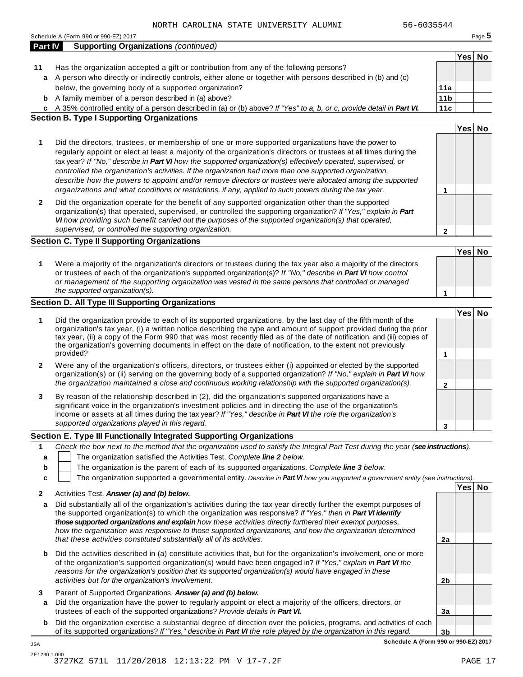|                | Schedule A (Form 990 or 990-EZ) 2017                                                                                                                                                                                                                                                                                                                                                                                                                                                                                                                                                                                                                                         |                        |        | Page 5 |
|----------------|------------------------------------------------------------------------------------------------------------------------------------------------------------------------------------------------------------------------------------------------------------------------------------------------------------------------------------------------------------------------------------------------------------------------------------------------------------------------------------------------------------------------------------------------------------------------------------------------------------------------------------------------------------------------------|------------------------|--------|--------|
| <b>Part IV</b> | <b>Supporting Organizations (continued)</b>                                                                                                                                                                                                                                                                                                                                                                                                                                                                                                                                                                                                                                  |                        |        |        |
|                |                                                                                                                                                                                                                                                                                                                                                                                                                                                                                                                                                                                                                                                                              |                        | Yes No |        |
| 11             | Has the organization accepted a gift or contribution from any of the following persons?                                                                                                                                                                                                                                                                                                                                                                                                                                                                                                                                                                                      |                        |        |        |
| a              | A person who directly or indirectly controls, either alone or together with persons described in (b) and (c)                                                                                                                                                                                                                                                                                                                                                                                                                                                                                                                                                                 |                        |        |        |
|                | below, the governing body of a supported organization?                                                                                                                                                                                                                                                                                                                                                                                                                                                                                                                                                                                                                       | 11a<br>11 <sub>b</sub> |        |        |
| b              | A family member of a person described in (a) above?<br>A 35% controlled entity of a person described in (a) or (b) above? If "Yes" to a, b, or c, provide detail in Part VI.                                                                                                                                                                                                                                                                                                                                                                                                                                                                                                 | 11c                    |        |        |
| C              | <b>Section B. Type I Supporting Organizations</b>                                                                                                                                                                                                                                                                                                                                                                                                                                                                                                                                                                                                                            |                        |        |        |
|                |                                                                                                                                                                                                                                                                                                                                                                                                                                                                                                                                                                                                                                                                              |                        | Yes No |        |
| 1              | Did the directors, trustees, or membership of one or more supported organizations have the power to<br>regularly appoint or elect at least a majority of the organization's directors or trustees at all times during the<br>tax year? If "No," describe in Part VI how the supported organization(s) effectively operated, supervised, or<br>controlled the organization's activities. If the organization had more than one supported organization,<br>describe how the powers to appoint and/or remove directors or trustees were allocated among the supported<br>organizations and what conditions or restrictions, if any, applied to such powers during the tax year. | 1                      |        |        |
| $\mathbf{2}$   | Did the organization operate for the benefit of any supported organization other than the supported<br>organization(s) that operated, supervised, or controlled the supporting organization? If "Yes," explain in Part<br>VI how providing such benefit carried out the purposes of the supported organization(s) that operated,<br>supervised, or controlled the supporting organization.                                                                                                                                                                                                                                                                                   | $\mathbf{2}$           |        |        |
|                | <b>Section C. Type II Supporting Organizations</b>                                                                                                                                                                                                                                                                                                                                                                                                                                                                                                                                                                                                                           |                        |        |        |
|                |                                                                                                                                                                                                                                                                                                                                                                                                                                                                                                                                                                                                                                                                              |                        | Yes No |        |
| 1              | Were a majority of the organization's directors or trustees during the tax year also a majority of the directors<br>or trustees of each of the organization's supported organization(s)? If "No," describe in Part VI how control<br>or management of the supporting organization was vested in the same persons that controlled or managed                                                                                                                                                                                                                                                                                                                                  |                        |        |        |
|                | the supported organization(s).                                                                                                                                                                                                                                                                                                                                                                                                                                                                                                                                                                                                                                               | 1                      |        |        |
|                | <b>Section D. All Type III Supporting Organizations</b>                                                                                                                                                                                                                                                                                                                                                                                                                                                                                                                                                                                                                      |                        |        |        |
|                |                                                                                                                                                                                                                                                                                                                                                                                                                                                                                                                                                                                                                                                                              |                        | Yes No |        |
| 1              | Did the organization provide to each of its supported organizations, by the last day of the fifth month of the<br>organization's tax year, (i) a written notice describing the type and amount of support provided during the prior<br>tax year, (ii) a copy of the Form 990 that was most recently filed as of the date of notification, and (iii) copies of<br>the organization's governing documents in effect on the date of notification, to the extent not previously<br>provided?                                                                                                                                                                                     | 1                      |        |        |
| 2              | Were any of the organization's officers, directors, or trustees either (i) appointed or elected by the supported<br>organization(s) or (ii) serving on the governing body of a supported organization? If "No," explain in Part VI how<br>the organization maintained a close and continuous working relationship with the supported organization(s).                                                                                                                                                                                                                                                                                                                        | $\mathbf{2}$           |        |        |
| 3              | By reason of the relationship described in (2), did the organization's supported organizations have a<br>significant voice in the organization's investment policies and in directing the use of the organization's<br>income or assets at all times during the tax year? If "Yes," describe in Part VI the role the organization's<br>supported organizations played in this regard.                                                                                                                                                                                                                                                                                        | 3                      |        |        |
|                | Section E. Type III Functionally Integrated Supporting Organizations                                                                                                                                                                                                                                                                                                                                                                                                                                                                                                                                                                                                         |                        |        |        |
| 1              | Check the box next to the method that the organization used to satisfy the Integral Part Test during the year (see instructions).                                                                                                                                                                                                                                                                                                                                                                                                                                                                                                                                            |                        |        |        |
| a              | The organization satisfied the Activities Test. Complete line 2 below.                                                                                                                                                                                                                                                                                                                                                                                                                                                                                                                                                                                                       |                        |        |        |
| b              | The organization is the parent of each of its supported organizations. Complete line 3 below.                                                                                                                                                                                                                                                                                                                                                                                                                                                                                                                                                                                |                        |        |        |
| c              | The organization supported a governmental entity. Describe in Part VI how you supported a government entity (see instructions).                                                                                                                                                                                                                                                                                                                                                                                                                                                                                                                                              |                        |        |        |
|                |                                                                                                                                                                                                                                                                                                                                                                                                                                                                                                                                                                                                                                                                              |                        | Yes No |        |
| 2              | Activities Test. Answer (a) and (b) below.                                                                                                                                                                                                                                                                                                                                                                                                                                                                                                                                                                                                                                   |                        |        |        |
| a              | Did substantially all of the organization's activities during the tax year directly further the exempt purposes of<br>the supported organization(s) to which the organization was responsive? If "Yes," then in Part VI identify<br>those supported organizations and explain how these activities directly furthered their exempt purposes,                                                                                                                                                                                                                                                                                                                                 |                        |        |        |
|                | how the organization was responsive to those supported organizations, and how the organization determined                                                                                                                                                                                                                                                                                                                                                                                                                                                                                                                                                                    |                        |        |        |
|                | that these activities constituted substantially all of its activities.                                                                                                                                                                                                                                                                                                                                                                                                                                                                                                                                                                                                       | 2a                     |        |        |
| b              | Did the activities described in (a) constitute activities that, but for the organization's involvement, one or more<br>of the organization's supported organization(s) would have been engaged in? If "Yes," explain in Part VI the<br>reasons for the organization's position that its supported organization(s) would have engaged in these                                                                                                                                                                                                                                                                                                                                |                        |        |        |
|                | activities but for the organization's involvement.                                                                                                                                                                                                                                                                                                                                                                                                                                                                                                                                                                                                                           | 2b                     |        |        |
| 3<br>а         | Parent of Supported Organizations. Answer (a) and (b) below.<br>Did the organization have the power to regularly appoint or elect a majority of the officers, directors, or<br>trustees of each of the supported organizations? Provide details in Part VI.                                                                                                                                                                                                                                                                                                                                                                                                                  | 3a                     |        |        |
| b              | Did the organization exercise a substantial degree of direction over the policies, programs, and activities of each                                                                                                                                                                                                                                                                                                                                                                                                                                                                                                                                                          |                        |        |        |
|                | of its supported organizations? If "Yes," describe in Part VI the role played by the organization in this regard.                                                                                                                                                                                                                                                                                                                                                                                                                                                                                                                                                            | 3 <sub>b</sub>         |        |        |

JSA

**Schedule A (Form 990 or 990-EZ) 2017**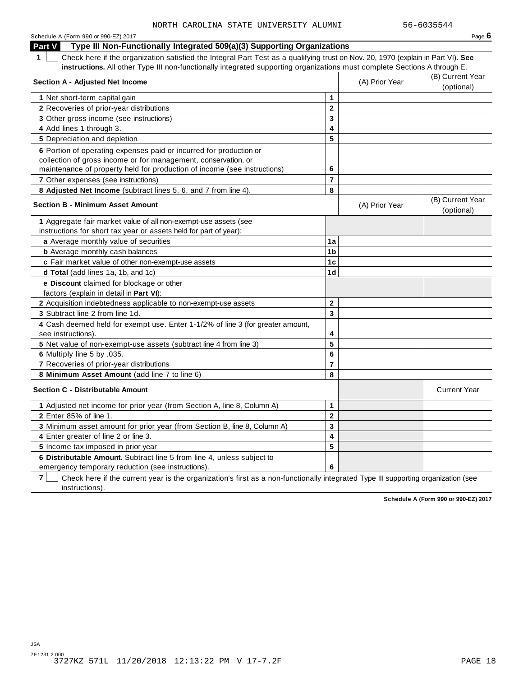| Schedule A (Form 990 or 990-EZ) 2017                                                                                                            |                |                | Page $6$                       |
|-------------------------------------------------------------------------------------------------------------------------------------------------|----------------|----------------|--------------------------------|
| Type III Non-Functionally Integrated 509(a)(3) Supporting Organizations<br><b>Part V</b>                                                        |                |                |                                |
| $\mathbf 1$<br>Check here if the organization satisfied the Integral Part Test as a qualifying trust on Nov. 20, 1970 (explain in Part VI). See |                |                |                                |
| instructions. All other Type III non-functionally integrated supporting organizations must complete Sections A through E.                       |                |                |                                |
| <b>Section A - Adjusted Net Income</b>                                                                                                          |                | (A) Prior Year | (B) Current Year               |
|                                                                                                                                                 |                |                | (optional)                     |
| 1 Net short-term capital gain                                                                                                                   | $\mathbf{1}$   |                |                                |
| 2 Recoveries of prior-year distributions                                                                                                        | $\mathbf 2$    |                |                                |
| 3 Other gross income (see instructions)                                                                                                         | 3              |                |                                |
| 4 Add lines 1 through 3.                                                                                                                        | 4              |                |                                |
| 5 Depreciation and depletion                                                                                                                    | 5              |                |                                |
| 6 Portion of operating expenses paid or incurred for production or                                                                              |                |                |                                |
| collection of gross income or for management, conservation, or                                                                                  |                |                |                                |
| maintenance of property held for production of income (see instructions)                                                                        | 6              |                |                                |
| 7 Other expenses (see instructions)                                                                                                             | $\overline{7}$ |                |                                |
| 8 Adjusted Net Income (subtract lines 5, 6, and 7 from line 4).                                                                                 | 8              |                |                                |
| <b>Section B - Minimum Asset Amount</b>                                                                                                         |                | (A) Prior Year | (B) Current Year<br>(optional) |
| 1 Aggregate fair market value of all non-exempt-use assets (see                                                                                 |                |                |                                |
| instructions for short tax year or assets held for part of year):                                                                               |                |                |                                |
| a Average monthly value of securities                                                                                                           | 1a             |                |                                |
| <b>b</b> Average monthly cash balances                                                                                                          | 1 <sub>b</sub> |                |                                |
| c Fair market value of other non-exempt-use assets                                                                                              | 1 <sub>c</sub> |                |                                |
| d Total (add lines 1a, 1b, and 1c)                                                                                                              | 1 <sub>d</sub> |                |                                |
| e Discount claimed for blockage or other                                                                                                        |                |                |                                |
| factors (explain in detail in <b>Part VI</b> ):                                                                                                 |                |                |                                |
| 2 Acquisition indebtedness applicable to non-exempt-use assets                                                                                  | $\mathbf{2}$   |                |                                |
| 3 Subtract line 2 from line 1d.                                                                                                                 | $\overline{3}$ |                |                                |
| 4 Cash deemed held for exempt use. Enter 1-1/2% of line 3 (for greater amount,<br>see instructions).                                            | 4              |                |                                |
| 5 Net value of non-exempt-use assets (subtract line 4 from line 3)                                                                              | 5              |                |                                |
| 6 Multiply line 5 by .035.                                                                                                                      | 6              |                |                                |
| 7 Recoveries of prior-year distributions                                                                                                        | $\overline{7}$ |                |                                |
| 8 Minimum Asset Amount (add line 7 to line 6)                                                                                                   | 8              |                |                                |
| <b>Section C - Distributable Amount</b>                                                                                                         |                |                | <b>Current Year</b>            |
| 1 Adjusted net income for prior year (from Section A, line 8, Column A)                                                                         | $\mathbf{1}$   |                |                                |
| 2 Enter 85% of line 1.                                                                                                                          | $\mathbf 2$    |                |                                |
| 3 Minimum asset amount for prior year (from Section B, line 8, Column A)                                                                        | 3              |                |                                |
| 4 Enter greater of line 2 or line 3.                                                                                                            | 4              |                |                                |
| 5 Income tax imposed in prior year                                                                                                              | 5              |                |                                |
| 6 Distributable Amount. Subtract line 5 from line 4, unless subject to                                                                          |                |                |                                |
| emergency temporary reduction (see instructions).                                                                                               | 6              |                |                                |

**7** | Check here if the current year is the organization's first as a non-functionally integrated Type III supporting organization (see instructions).

**Schedule A (Form 990 or 990-EZ) 2017**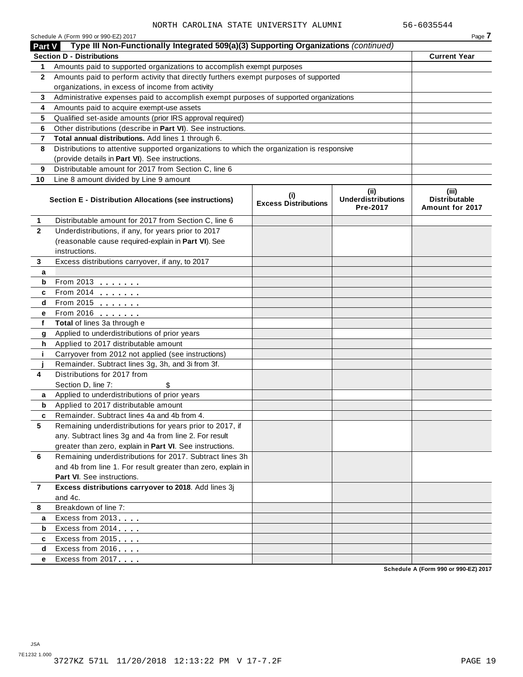|              | Schedule A (Form 990 or 990-EZ) 2017                                                       |                                    |                                               | Page 7                                           |
|--------------|--------------------------------------------------------------------------------------------|------------------------------------|-----------------------------------------------|--------------------------------------------------|
| Part V       | Type III Non-Functionally Integrated 509(a)(3) Supporting Organizations (continued)        |                                    |                                               |                                                  |
|              | <b>Section D - Distributions</b>                                                           |                                    |                                               | <b>Current Year</b>                              |
| 1.           | Amounts paid to supported organizations to accomplish exempt purposes                      |                                    |                                               |                                                  |
| $\mathbf{2}$ | Amounts paid to perform activity that directly furthers exempt purposes of supported       |                                    |                                               |                                                  |
|              | organizations, in excess of income from activity                                           |                                    |                                               |                                                  |
| 3            | Administrative expenses paid to accomplish exempt purposes of supported organizations      |                                    |                                               |                                                  |
| 4            | Amounts paid to acquire exempt-use assets                                                  |                                    |                                               |                                                  |
| 5            | Qualified set-aside amounts (prior IRS approval required)                                  |                                    |                                               |                                                  |
| 6            | Other distributions (describe in Part VI). See instructions.                               |                                    |                                               |                                                  |
| 7            | Total annual distributions. Add lines 1 through 6.                                         |                                    |                                               |                                                  |
| 8            | Distributions to attentive supported organizations to which the organization is responsive |                                    |                                               |                                                  |
|              | (provide details in Part VI). See instructions.                                            |                                    |                                               |                                                  |
| 9            | Distributable amount for 2017 from Section C, line 6                                       |                                    |                                               |                                                  |
| 10           | Line 8 amount divided by Line 9 amount                                                     |                                    |                                               |                                                  |
|              | Section E - Distribution Allocations (see instructions)                                    | (i)<br><b>Excess Distributions</b> | (ii)<br><b>Underdistributions</b><br>Pre-2017 | (iii)<br><b>Distributable</b><br>Amount for 2017 |
| 1            | Distributable amount for 2017 from Section C, line 6                                       |                                    |                                               |                                                  |
| $\mathbf{2}$ | Underdistributions, if any, for years prior to 2017                                        |                                    |                                               |                                                  |
|              | (reasonable cause required-explain in Part VI). See                                        |                                    |                                               |                                                  |
|              | instructions.                                                                              |                                    |                                               |                                                  |
| 3            | Excess distributions carryover, if any, to 2017                                            |                                    |                                               |                                                  |
| а            |                                                                                            |                                    |                                               |                                                  |
| b            | From 2013                                                                                  |                                    |                                               |                                                  |
| c            | From 2014                                                                                  |                                    |                                               |                                                  |
| d            |                                                                                            |                                    |                                               |                                                  |
| е            | From 2016                                                                                  |                                    |                                               |                                                  |
| f            | Total of lines 3a through e                                                                |                                    |                                               |                                                  |
| g            | Applied to underdistributions of prior years                                               |                                    |                                               |                                                  |
| h            | Applied to 2017 distributable amount                                                       |                                    |                                               |                                                  |
| j.           | Carryover from 2012 not applied (see instructions)                                         |                                    |                                               |                                                  |
|              | Remainder. Subtract lines 3g, 3h, and 3i from 3f.                                          |                                    |                                               |                                                  |
| 4            | Distributions for 2017 from                                                                |                                    |                                               |                                                  |
|              | Section D, line 7:                                                                         |                                    |                                               |                                                  |
| а            | Applied to underdistributions of prior years                                               |                                    |                                               |                                                  |
| b            | Applied to 2017 distributable amount                                                       |                                    |                                               |                                                  |
|              | Remainder. Subtract lines 4a and 4b from 4.                                                |                                    |                                               |                                                  |
| 5            | Remaining underdistributions for years prior to 2017, if                                   |                                    |                                               |                                                  |
|              | any. Subtract lines 3g and 4a from line 2. For result                                      |                                    |                                               |                                                  |
|              | greater than zero, explain in Part VI. See instructions.                                   |                                    |                                               |                                                  |
| 6            | Remaining underdistributions for 2017. Subtract lines 3h                                   |                                    |                                               |                                                  |
|              | and 4b from line 1. For result greater than zero, explain in<br>Part VI. See instructions. |                                    |                                               |                                                  |
|              |                                                                                            |                                    |                                               |                                                  |
| $\mathbf{7}$ | Excess distributions carryover to 2018. Add lines 3j<br>and 4c.                            |                                    |                                               |                                                  |
|              | Breakdown of line 7:                                                                       |                                    |                                               |                                                  |
| 8            | Excess from 2013                                                                           |                                    |                                               |                                                  |
| a<br>b       | Excess from 2014                                                                           |                                    |                                               |                                                  |
|              | Excess from 2015                                                                           |                                    |                                               |                                                  |
| c<br>d       | Excess from 2016                                                                           |                                    |                                               |                                                  |
|              | Excess from 2017                                                                           |                                    |                                               |                                                  |
| е            |                                                                                            |                                    |                                               | <b>Cohodulo A (Form 000 or 000 E7) 2017</b>      |

**Schedule A (Form 990 or 990-EZ) 2017**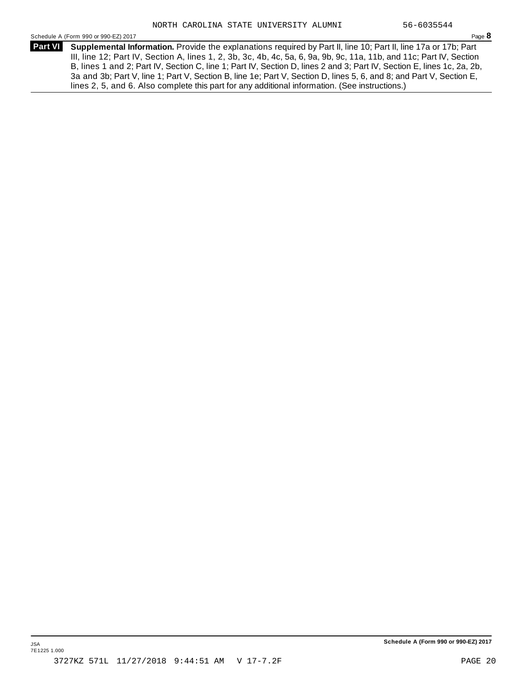Schedule <sup>A</sup> (Form <sup>990</sup> or 990-EZ) <sup>2017</sup> Page **8**

**Supplemental Information.** Provide the explanations required by Part II, line 10; Part II, line 17a or 17b; Part **Part VI** III, line 12; Part IV, Section A, lines 1, 2, 3b, 3c, 4b, 4c, 5a, 6, 9a, 9b, 9c, 11a, 11b, and 11c; Part IV, Section B, lines 1 and 2; Part IV, Section C, line 1; Part IV, Section D, lines 2 and 3; Part IV, Section E, lines 1c, 2a, 2b, 3a and 3b; Part V, line 1; Part V, Section B, line 1e; Part V, Section D, lines 5, 6, and 8; and Part V, Section E, lines 2, 5, and 6. Also complete this part for any additional information. (See instructions.)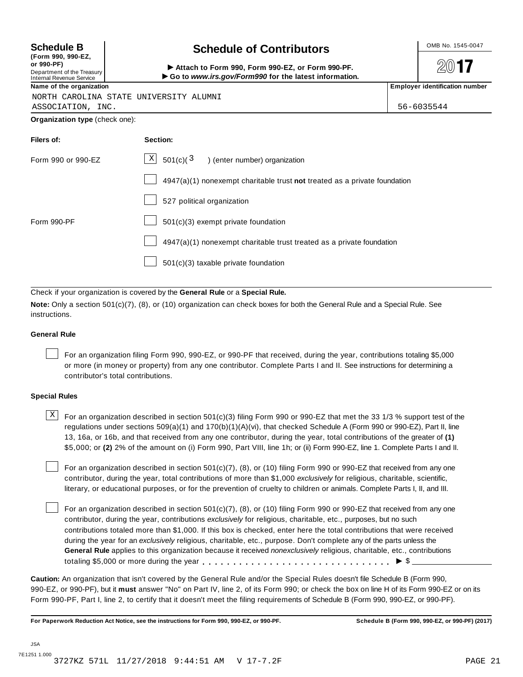| (Form 990, 990-EZ,         |  |
|----------------------------|--|
| or 990-PF)                 |  |
| Department of the Treasury |  |
| Internal Devenue Consice   |  |

## **Schedule B**  $\leftarrow$  **Contributors**

(Porm 990, Form 990, Form 990-EZ, or Form 990-PF.<br>Department of the Treasury → Attach to Form 990, Form 990-EZ, or Form 990-PF.<br>Internal Revenue Service → → Go to www.irs.gov/Form990 for the latest information.<br>Name of th

 $20$ **17** 

ASSOCIATION, INC. 56-6035544

**Organization type** (check one):

| Filers of:         | Section:                                                                  |
|--------------------|---------------------------------------------------------------------------|
| Form 990 or 990-EZ | $X$ 501(c)( $3$ ) (enter number) organization                             |
|                    | 4947(a)(1) nonexempt charitable trust not treated as a private foundation |
|                    | 527 political organization                                                |
| Form 990-PF        | 501(c)(3) exempt private foundation                                       |
|                    | 4947(a)(1) nonexempt charitable trust treated as a private foundation     |
|                    | $501(c)(3)$ taxable private foundation                                    |

Check if your organization is covered by the **General Rule** or a **Special Rule.**

**Note:** Only a section 501(c)(7), (8), or (10) organization can check boxes for both the General Rule and a Special Rule. See instructions.

#### **General Rule**

For an organization filing Form 990, 990-EZ, or 990-PF that received, during the year, contributions totaling \$5,000 or more (in money or property) from any one contributor. Complete Parts I and II. See instructions for determining a contributor's total contributions.

#### **Special Rules**

 $\text{X}$  For an organization described in section 501(c)(3) filing Form 990 or 990-EZ that met the 33 1/3 % support test of the regulations under sections 509(a)(1) and 170(b)(1)(A)(vi), that checked Schedule A (Form 990 or 990-EZ), Part II, line 13, 16a, or 16b, and that received from any one contributor, during the year, total contributions of the greater of **(1)** \$5,000; or **(2)** 2% of the amount on (i) Form 990, Part VIII, line 1h; or (ii) Form 990-EZ, line 1. Complete Parts I and II.

For an organization described in section 501(c)(7), (8), or (10) filing Form 990 or 990-EZ that received from any one contributor, during the year, total contributions of more than \$1,000 *exclusively* for religious, charitable, scientific, literary, or educational purposes, or for the prevention of cruelty to children or animals. Complete Parts I, II, and III.

For an organization described in section 501(c)(7), (8), or (10) filing Form 990 or 990-EZ that received from any one contributor, during the year, contributions *exclusively* for religious, charitable, etc., purposes, but no such contributions totaled more than \$1,000. If this box is checked, enter here the total contributions that were received during the year for an *exclusively* religious, charitable, etc., purpose. Don't complete any of the parts unless the **General Rule** applies to this organization because it received *nonexclusively* religious, charitable, etc., contributions totaling \$5,000 or more during the year m m m m m m m m m m m m m m m m m m m m m m m m m m m m m m m I \$

**Caution:** An organization that isn't covered by the General Rule and/or the Special Rules doesn't file Schedule B (Form 990, 990-EZ, or 990-PF), but it **must** answer "No" on Part IV, line 2, of its Form 990; or check the box on line H of its Form 990-EZ or on its Form 990-PF, Part I, line 2, to certify that it doesn't meet the filing requirements of Schedule B (Form 990, 990-EZ, or 990-PF).

For Paperwork Reduction Act Notice, see the instructions for Form 990, 990-EZ, or 990-PF. Schedule B (Form 990, 990-EZ, or 990-PF) (2017)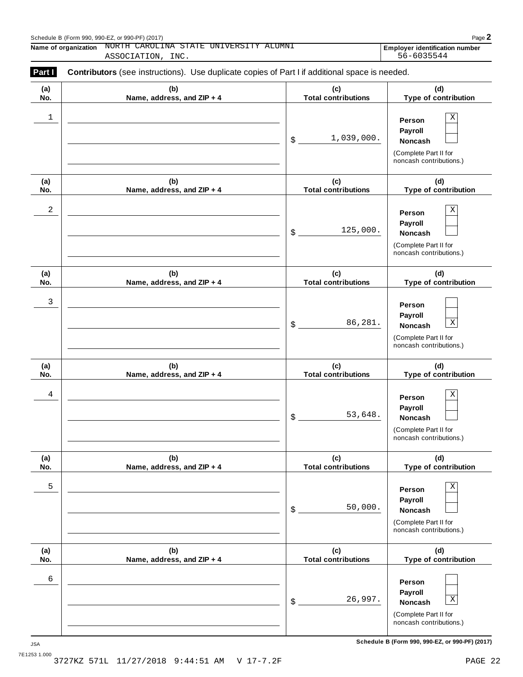| Schedule B (Form 990, 990-EZ, or 990-PF) (2017) | Page |
|-------------------------------------------------|------|
|                                                 |      |

**Name of organization NORTH CAROLINA STATE UNIVERSITY ALUMNI Employer identification number** NORTH CAROLINA STATE UNIVERSITY ALUMNI<br>ASSOCIATION, INC. 56-6035544

| Part I     | Contributors (see instructions). Use duplicate copies of Part I if additional space is needed. |                                         |                                                                                                        |
|------------|------------------------------------------------------------------------------------------------|-----------------------------------------|--------------------------------------------------------------------------------------------------------|
| (a)<br>No. | (b)<br>Name, address, and ZIP + 4                                                              | (c)<br><b>Total contributions</b>       | (d)<br>Type of contribution                                                                            |
| 1          |                                                                                                | 1,039,000.<br>$\boldsymbol{\mathsf{S}}$ | Χ<br>Person<br>Payroll<br>Noncash<br>(Complete Part II for<br>noncash contributions.)                  |
| (a)<br>No. | (b)<br>Name, address, and ZIP + 4                                                              | (c)<br><b>Total contributions</b>       | (d)<br>Type of contribution                                                                            |
| 2          |                                                                                                | 125,000.<br>\$                          | Χ<br>Person<br>Payroll<br><b>Noncash</b><br>(Complete Part II for<br>noncash contributions.)           |
| (a)<br>No. | (b)<br>Name, address, and ZIP + 4                                                              | (c)<br><b>Total contributions</b>       | (d)<br>Type of contribution                                                                            |
| 3          |                                                                                                | 86,281.<br>\$                           | Person<br>Payroll<br>$\mathbf X$<br><b>Noncash</b><br>(Complete Part II for<br>noncash contributions.) |
| (a)<br>No. | (b)<br>Name, address, and ZIP + 4                                                              | (c)<br><b>Total contributions</b>       | (d)<br>Type of contribution                                                                            |
| 4          |                                                                                                | 53,648.<br>\$                           | Х<br>Person<br>Payroll<br><b>Noncash</b><br>(Complete Part II for<br>noncash contributions.)           |
| (a)<br>No. | (b)<br>Name, address, and ZIP + 4                                                              | (c)<br><b>Total contributions</b>       | (d)<br>Type of contribution                                                                            |
| 5          |                                                                                                | 50,000.<br>\$                           | Х<br>Person<br>Payroll<br>Noncash<br>(Complete Part II for<br>noncash contributions.)                  |
| (a)<br>No. | (b)<br>Name, address, and ZIP + 4                                                              | (c)<br><b>Total contributions</b>       | (d)<br>Type of contribution                                                                            |
| 6          |                                                                                                | 26,997.<br>\$                           | Person<br>Payroll<br>$\mathbf X$<br>Noncash<br>(Complete Part II for<br>noncash contributions.)        |

**Schedule B (Form 990, 990-EZ, or 990-PF) (2017)** JSA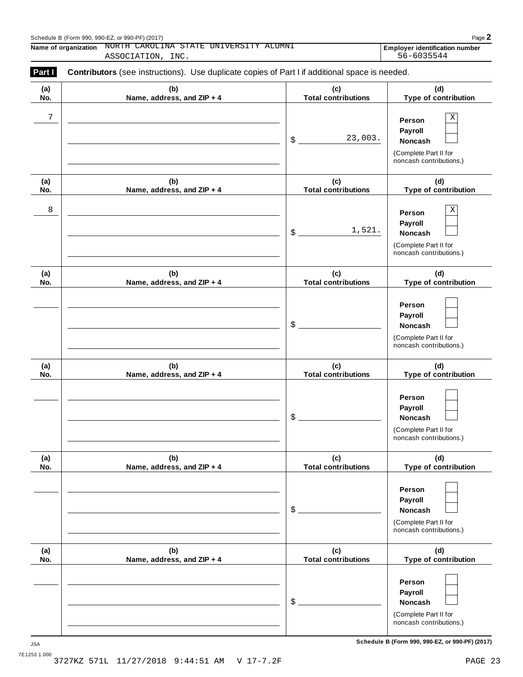| Schedule B (Form 990, 990-EZ, or 990-PF) (2017) | Page |
|-------------------------------------------------|------|
|                                                 |      |

**Name of organization NORTH CAROLINA STATE UNIVERSITY ALUMNI Employer identification number** NORTH CAROLINA STATE UNIVERSITY ALUMNI<br>ASSOCIATION, INC. 56-6035544

| (a) | (b)                        | (c)                                    | (d)                                                                                   |
|-----|----------------------------|----------------------------------------|---------------------------------------------------------------------------------------|
| No. | Name, address, and ZIP + 4 | <b>Total contributions</b>             | Type of contribution                                                                  |
| 7   |                            | 23,003.<br>$\mathcal{L}_{\mathcal{L}}$ | Χ<br>Person<br>Payroll<br>Noncash<br>(Complete Part II for<br>noncash contributions.) |
| (a) | (b)                        | (c)                                    | (d)                                                                                   |
| No. | Name, address, and ZIP + 4 | <b>Total contributions</b>             | Type of contribution                                                                  |
| 8   |                            | 1,521.<br>$\frac{1}{2}$                | Χ<br>Person<br>Payroll<br>Noncash<br>(Complete Part II for<br>noncash contributions.) |
| (a) | (b)                        | (c)                                    | (d)                                                                                   |
| No. | Name, address, and ZIP + 4 | <b>Total contributions</b>             | Type of contribution                                                                  |
|     |                            | \$                                     | Person<br>Payroll<br>Noncash<br>(Complete Part II for<br>noncash contributions.)      |
| (a) | (b)                        | (c)                                    | (d)                                                                                   |
| No. | Name, address, and ZIP + 4 | <b>Total contributions</b>             | Type of contribution                                                                  |
|     |                            | \$                                     | Person<br>Payroll<br>Noncash<br>(Complete Part II for<br>noncash contributions.)      |
| (a) | (b)                        | (c)                                    | (d)                                                                                   |
| No. | Name, address, and ZIP + 4 | <b>Total contributions</b>             | Type of contribution                                                                  |
|     |                            | \$                                     | Person<br>Payroll<br>Noncash<br>(Complete Part II for<br>noncash contributions.)      |
| (a) | (b)                        | (c)                                    | (d)                                                                                   |
| No. | Name, address, and ZIP + 4 | <b>Total contributions</b>             | Type of contribution                                                                  |
|     |                            | \$                                     | Person<br>Payroll<br>Noncash<br>(Complete Part II for<br>noncash contributions.)      |

**Schedule B (Form 990, 990-EZ, or 990-PF) (2017)** JSA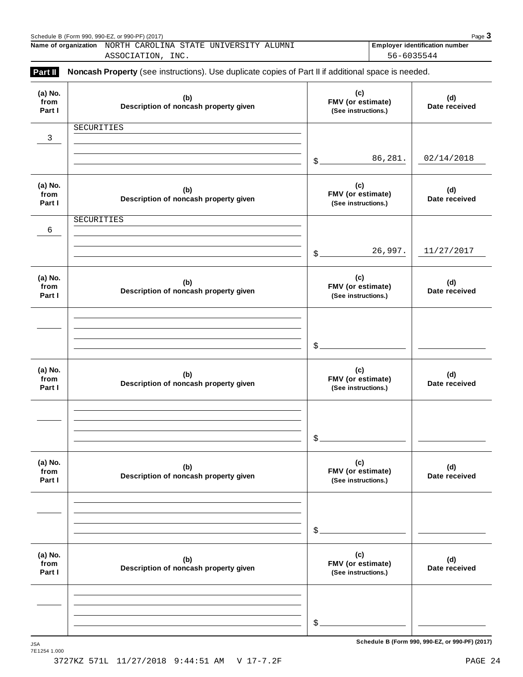|                           | Schedule B (Form 990, 990-EZ, or 990-PF) (2017)                                                     |               |                                                 | Page 3                         |
|---------------------------|-----------------------------------------------------------------------------------------------------|---------------|-------------------------------------------------|--------------------------------|
|                           | Name of organization NORTH CAROLINA STATE UNIVERSITY ALUMNI<br>ASSOCIATION, INC.                    |               | 56-6035544                                      | Employer identification number |
| Part II                   | Noncash Property (see instructions). Use duplicate copies of Part II if additional space is needed. |               |                                                 |                                |
| (a) No.<br>from<br>Part I | (b)<br>Description of noncash property given                                                        |               | (c)<br>FMV (or estimate)<br>(See instructions.) | (d)<br>Date received           |
| $\mathbf{3}$              | SECURITIES                                                                                          |               |                                                 |                                |
|                           |                                                                                                     | $\frac{1}{2}$ | 86,281.                                         | 02/14/2018                     |
| (a) No.<br>from<br>Part I | (b)<br>Description of noncash property given                                                        |               | (c)<br>FMV (or estimate)<br>(See instructions.) | (d)<br>Date received           |
| $\epsilon$                | SECURITIES                                                                                          |               |                                                 |                                |
|                           |                                                                                                     | $\frac{1}{2}$ | 26,997.                                         | 11/27/2017                     |
| (a) No.<br>from<br>Part I | (b)<br>Description of noncash property given                                                        |               | (c)<br>FMV (or estimate)<br>(See instructions.) | (d)<br>Date received           |
|                           |                                                                                                     |               |                                                 |                                |
|                           |                                                                                                     | $\frac{1}{2}$ |                                                 |                                |
| (a) No.<br>from<br>Part I | (b)<br>Description of noncash property given                                                        |               | (c)<br>FMV (or estimate)<br>(See instructions.) | (d)<br>Date received           |
|                           |                                                                                                     |               |                                                 |                                |
|                           |                                                                                                     | \$            |                                                 |                                |
| (a) No.<br>from<br>Part I | (b)<br>Description of noncash property given                                                        |               | (c)<br>FMV (or estimate)<br>(See instructions.) | (d)<br>Date received           |
|                           |                                                                                                     |               |                                                 |                                |
|                           |                                                                                                     | \$            |                                                 |                                |
| (a) No.<br>from<br>Part I | (b)<br>Description of noncash property given                                                        |               | (c)<br>FMV (or estimate)<br>(See instructions.) | (d)<br>Date received           |
|                           |                                                                                                     |               |                                                 |                                |
|                           |                                                                                                     | \$            |                                                 |                                |
|                           |                                                                                                     |               |                                                 |                                |

 $S$ chedule B (Form 990, 990-EZ, or 990-PF) (2017)

7E1254 1.000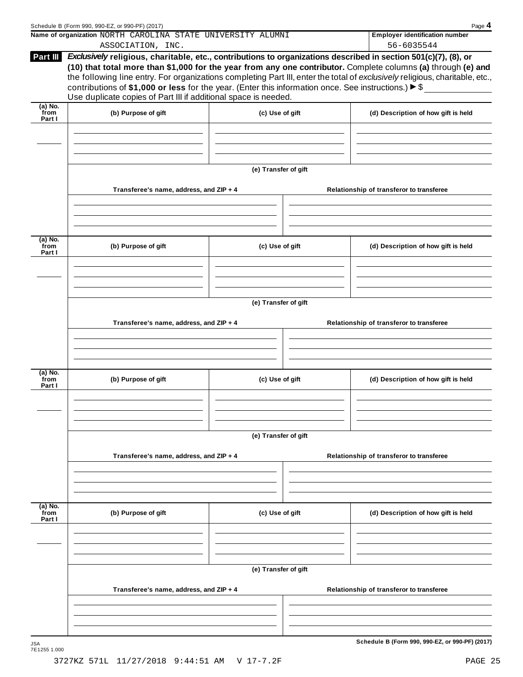|                           | Schedule B (Form 990, 990-EZ, or 990-PF) (2017)<br>Name of organization NORTH CAROLINA STATE UNIVERSITY ALUMNI                                                                                                                                                                                                                                                                                                                                                                                                                                                  |                      | Page 4<br><b>Employer identification number</b> |
|---------------------------|-----------------------------------------------------------------------------------------------------------------------------------------------------------------------------------------------------------------------------------------------------------------------------------------------------------------------------------------------------------------------------------------------------------------------------------------------------------------------------------------------------------------------------------------------------------------|----------------------|-------------------------------------------------|
|                           | ASSOCIATION, INC.                                                                                                                                                                                                                                                                                                                                                                                                                                                                                                                                               |                      | 56-6035544                                      |
| Part III                  | Exclusively religious, charitable, etc., contributions to organizations described in section 501(c)(7), (8), or<br>(10) that total more than \$1,000 for the year from any one contributor. Complete columns (a) through (e) and<br>the following line entry. For organizations completing Part III, enter the total of exclusively religious, charitable, etc.,<br>contributions of \$1,000 or less for the year. (Enter this information once. See instructions.) $\blacktriangleright$ \$<br>Use duplicate copies of Part III if additional space is needed. |                      |                                                 |
| (a) No.                   |                                                                                                                                                                                                                                                                                                                                                                                                                                                                                                                                                                 |                      |                                                 |
| from<br>Part I            | (b) Purpose of gift                                                                                                                                                                                                                                                                                                                                                                                                                                                                                                                                             | (c) Use of gift      | (d) Description of how gift is held             |
|                           |                                                                                                                                                                                                                                                                                                                                                                                                                                                                                                                                                                 | (e) Transfer of gift |                                                 |
|                           | Transferee's name, address, and ZIP + 4                                                                                                                                                                                                                                                                                                                                                                                                                                                                                                                         |                      | Relationship of transferor to transferee        |
| (a) No.                   |                                                                                                                                                                                                                                                                                                                                                                                                                                                                                                                                                                 |                      |                                                 |
| from<br>Part I            | (b) Purpose of gift                                                                                                                                                                                                                                                                                                                                                                                                                                                                                                                                             | (c) Use of gift      | (d) Description of how gift is held             |
|                           |                                                                                                                                                                                                                                                                                                                                                                                                                                                                                                                                                                 | (e) Transfer of gift |                                                 |
|                           | Transferee's name, address, and ZIP + 4                                                                                                                                                                                                                                                                                                                                                                                                                                                                                                                         |                      | Relationship of transferor to transferee        |
|                           |                                                                                                                                                                                                                                                                                                                                                                                                                                                                                                                                                                 |                      |                                                 |
| (a) No.<br>from<br>Part I | (b) Purpose of gift                                                                                                                                                                                                                                                                                                                                                                                                                                                                                                                                             | (c) Use of gift      | (d) Description of how gift is held             |
|                           |                                                                                                                                                                                                                                                                                                                                                                                                                                                                                                                                                                 | (e) Transfer of gift |                                                 |
|                           | Transferee's name, address, and ZIP + 4                                                                                                                                                                                                                                                                                                                                                                                                                                                                                                                         |                      | Relationship of transferor to transferee        |
|                           |                                                                                                                                                                                                                                                                                                                                                                                                                                                                                                                                                                 |                      |                                                 |
| (a) No.<br>from<br>Part I | (b) Purpose of gift                                                                                                                                                                                                                                                                                                                                                                                                                                                                                                                                             | (c) Use of gift      | (d) Description of how gift is held             |
|                           |                                                                                                                                                                                                                                                                                                                                                                                                                                                                                                                                                                 |                      |                                                 |
|                           |                                                                                                                                                                                                                                                                                                                                                                                                                                                                                                                                                                 | (e) Transfer of gift |                                                 |
|                           | Transferee's name, address, and ZIP + 4                                                                                                                                                                                                                                                                                                                                                                                                                                                                                                                         |                      | Relationship of transferor to transferee        |
|                           |                                                                                                                                                                                                                                                                                                                                                                                                                                                                                                                                                                 |                      |                                                 |
| <b>JSA</b>                |                                                                                                                                                                                                                                                                                                                                                                                                                                                                                                                                                                 |                      | Schedule B (Form 990, 990-EZ, or 990-PF) (2017) |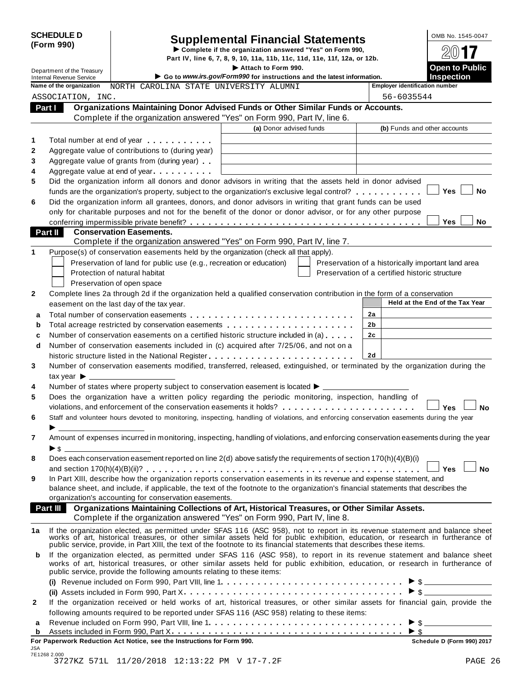| <b>SCHEDULE D</b> |  |
|-------------------|--|
| (Form 990)        |  |

# Supplemental Financial Statements<br>  $\triangleright$  Complete if the organization answered "Yes" on Form 990,<br>
Part IV, line 6, 7, 8, 9, 10, 11a, 11b, 11c, 11d, 11e, 11f, 12a, or 12b.<br>  $\triangleright$  Attach to Form 990.<br>  $\cdot$  Attach to Form

**Department of the Treasury Containers 10. Interview 10. Interview 10. 112. <b>Attach to Form 990. Containers 10. 114. Attach to Form 990.** 

|          | Department of the Treasury           |                                                                                                                                                                                                                                                             | Attach to Form 990.                                                    |                                                    | <b>Open to Public</b>           |
|----------|--------------------------------------|-------------------------------------------------------------------------------------------------------------------------------------------------------------------------------------------------------------------------------------------------------------|------------------------------------------------------------------------|----------------------------------------------------|---------------------------------|
|          | <b>Internal Revenue Service</b>      |                                                                                                                                                                                                                                                             | Go to www.irs.gov/Form990 for instructions and the latest information. |                                                    | <b>Inspection</b>               |
|          | Name of the organization             | NORTH CAROLINA STATE UNIVERSITY ALUMNI                                                                                                                                                                                                                      |                                                                        | <b>Employer identification number</b>              |                                 |
|          | ASSOCIATION, INC.                    |                                                                                                                                                                                                                                                             |                                                                        | 56-6035544                                         |                                 |
| Part I   |                                      | Organizations Maintaining Donor Advised Funds or Other Similar Funds or Accounts.                                                                                                                                                                           |                                                                        |                                                    |                                 |
|          |                                      | Complete if the organization answered "Yes" on Form 990, Part IV, line 6.                                                                                                                                                                                   |                                                                        |                                                    |                                 |
|          |                                      |                                                                                                                                                                                                                                                             | (a) Donor advised funds                                                | (b) Funds and other accounts                       |                                 |
| 1        |                                      | Total number at end of year                                                                                                                                                                                                                                 |                                                                        |                                                    |                                 |
| 2        |                                      | Aggregate value of contributions to (during year)                                                                                                                                                                                                           |                                                                        |                                                    |                                 |
| 3        |                                      | Aggregate value of grants from (during year)                                                                                                                                                                                                                |                                                                        |                                                    |                                 |
| 4        |                                      | Aggregate value at end of year                                                                                                                                                                                                                              |                                                                        |                                                    |                                 |
| 5        |                                      | Did the organization inform all donors and donor advisors in writing that the assets held in donor advised                                                                                                                                                  |                                                                        |                                                    |                                 |
|          |                                      | funds are the organization's property, subject to the organization's exclusive legal control?                                                                                                                                                               |                                                                        |                                                    | Yes<br>No                       |
| 6        |                                      | Did the organization inform all grantees, donors, and donor advisors in writing that grant funds can be used                                                                                                                                                |                                                                        |                                                    |                                 |
|          |                                      | only for charitable purposes and not for the benefit of the donor or donor advisor, or for any other purpose                                                                                                                                                |                                                                        |                                                    |                                 |
|          |                                      |                                                                                                                                                                                                                                                             |                                                                        |                                                    | Yes<br>No                       |
| Part II  |                                      | <b>Conservation Easements.</b>                                                                                                                                                                                                                              |                                                                        |                                                    |                                 |
|          |                                      | Complete if the organization answered "Yes" on Form 990, Part IV, line 7.                                                                                                                                                                                   |                                                                        |                                                    |                                 |
| 1        |                                      | Purpose(s) of conservation easements held by the organization (check all that apply).                                                                                                                                                                       |                                                                        |                                                    |                                 |
|          |                                      | Preservation of land for public use (e.g., recreation or education)                                                                                                                                                                                         |                                                                        | Preservation of a historically important land area |                                 |
|          |                                      | Protection of natural habitat                                                                                                                                                                                                                               |                                                                        | Preservation of a certified historic structure     |                                 |
|          |                                      | Preservation of open space                                                                                                                                                                                                                                  |                                                                        |                                                    |                                 |
| 2        |                                      | Complete lines 2a through 2d if the organization held a qualified conservation contribution in the form of a conservation                                                                                                                                   |                                                                        |                                                    | Held at the End of the Tax Year |
|          |                                      | easement on the last day of the tax year.                                                                                                                                                                                                                   |                                                                        |                                                    |                                 |
| a        |                                      |                                                                                                                                                                                                                                                             |                                                                        | 2a                                                 |                                 |
| b        |                                      | Total acreage restricted by conservation easements                                                                                                                                                                                                          |                                                                        | 2b                                                 |                                 |
| c        |                                      | Number of conservation easements on a certified historic structure included in (a)                                                                                                                                                                          |                                                                        | 2 <sub>c</sub>                                     |                                 |
| d        |                                      | Number of conservation easements included in (c) acquired after 7/25/06, and not on a                                                                                                                                                                       |                                                                        | 2d                                                 |                                 |
| 3        |                                      | Number of conservation easements modified, transferred, released, extinguished, or terminated by the organization during the                                                                                                                                |                                                                        |                                                    |                                 |
|          | tax year $\blacktriangleright$ _____ |                                                                                                                                                                                                                                                             |                                                                        |                                                    |                                 |
| 4        |                                      | Number of states where property subject to conservation easement is located $\blacktriangleright$ _____                                                                                                                                                     |                                                                        |                                                    |                                 |
| 5        |                                      | Does the organization have a written policy regarding the periodic monitoring, inspection, handling of                                                                                                                                                      |                                                                        |                                                    |                                 |
|          |                                      |                                                                                                                                                                                                                                                             |                                                                        |                                                    | Yes<br>No                       |
| 6        |                                      | Staff and volunteer hours devoted to monitoring, inspecting, handling of violations, and enforcing conservation easements during the year                                                                                                                   |                                                                        |                                                    |                                 |
|          |                                      |                                                                                                                                                                                                                                                             |                                                                        |                                                    |                                 |
| 7        |                                      | Amount of expenses incurred in monitoring, inspecting, handling of violations, and enforcing conservation easements during the year                                                                                                                         |                                                                        |                                                    |                                 |
|          | ▶\$                                  |                                                                                                                                                                                                                                                             |                                                                        |                                                    |                                 |
| 8        |                                      | Does each conservation easement reported on line 2(d) above satisfy the requirements of section 170(h)(4)(B)(i)                                                                                                                                             |                                                                        |                                                    |                                 |
|          |                                      |                                                                                                                                                                                                                                                             |                                                                        |                                                    | No<br>Yes                       |
| 9        |                                      | In Part XIII, describe how the organization reports conservation easements in its revenue and expense statement, and                                                                                                                                        |                                                                        |                                                    |                                 |
|          |                                      | balance sheet, and include, if applicable, the text of the footnote to the organization's financial statements that describes the                                                                                                                           |                                                                        |                                                    |                                 |
|          |                                      | organization's accounting for conservation easements.                                                                                                                                                                                                       |                                                                        |                                                    |                                 |
| Part III |                                      | Organizations Maintaining Collections of Art, Historical Treasures, or Other Similar Assets.                                                                                                                                                                |                                                                        |                                                    |                                 |
|          |                                      | Complete if the organization answered "Yes" on Form 990, Part IV, line 8.                                                                                                                                                                                   |                                                                        |                                                    |                                 |
| 1a       |                                      | If the organization elected, as permitted under SFAS 116 (ASC 958), not to report in its revenue statement and balance sheet                                                                                                                                |                                                                        |                                                    |                                 |
|          |                                      | works of art, historical treasures, or other similar assets held for public exhibition, education, or research in furtherance of<br>public service, provide, in Part XIII, the text of the footnote to its financial statements that describes these items. |                                                                        |                                                    |                                 |
| b        |                                      | If the organization elected, as permitted under SFAS 116 (ASC 958), to report in its revenue statement and balance sheet                                                                                                                                    |                                                                        |                                                    |                                 |
|          |                                      | works of art, historical treasures, or other similar assets held for public exhibition, education, or research in furtherance of<br>public service, provide the following amounts relating to these items:                                                  |                                                                        |                                                    |                                 |
|          |                                      |                                                                                                                                                                                                                                                             |                                                                        |                                                    | $\triangleright$ \$             |
|          |                                      |                                                                                                                                                                                                                                                             |                                                                        |                                                    | $\triangleright$ \$             |
| 2        |                                      | If the organization received or held works of art, historical treasures, or other similar assets for financial gain, provide the                                                                                                                            |                                                                        |                                                    |                                 |
|          |                                      | following amounts required to be reported under SFAS 116 (ASC 958) relating to these items:                                                                                                                                                                 |                                                                        |                                                    |                                 |
| a        |                                      |                                                                                                                                                                                                                                                             |                                                                        |                                                    |                                 |
| b        |                                      | Assets included in Form 990, Part $X_1, \ldots, X_n, \ldots, X_n, \ldots, X_n, \ldots, \ldots, \ldots, \ldots, \ldots, \blacktriangleright \S$                                                                                                              |                                                                        |                                                    |                                 |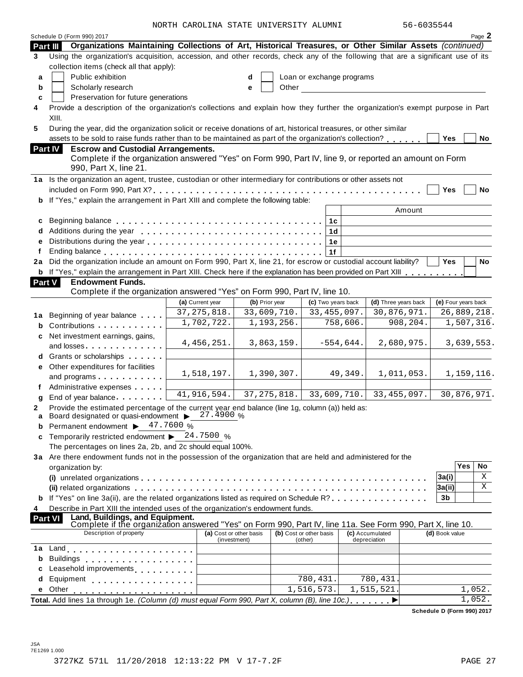NORTH CAROLINA STATE UNIVERSITY ALUMNI 56-6035544

|                |                                                                                                                                                                                                                                | NORTH CAROLINA STATE UNIVERSITY ALUMNI |                |                         |                           |                |               |                      | 56-6035544 |                     |     |             |
|----------------|--------------------------------------------------------------------------------------------------------------------------------------------------------------------------------------------------------------------------------|----------------------------------------|----------------|-------------------------|---------------------------|----------------|---------------|----------------------|------------|---------------------|-----|-------------|
| Part III       | Schedule D (Form 990) 2017<br>Organizations Maintaining Collections of Art, Historical Treasures, or Other Similar Assets (continued)                                                                                          |                                        |                |                         |                           |                |               |                      |            |                     |     | Page 2      |
| 3              | Using the organization's acquisition, accession, and other records, check any of the following that are a significant use of its                                                                                               |                                        |                |                         |                           |                |               |                      |            |                     |     |             |
|                | collection items (check all that apply):                                                                                                                                                                                       |                                        |                |                         |                           |                |               |                      |            |                     |     |             |
| a              | Public exhibition                                                                                                                                                                                                              |                                        | d              |                         | Loan or exchange programs |                |               |                      |            |                     |     |             |
| b              | Scholarly research                                                                                                                                                                                                             |                                        | е              | Other                   |                           |                |               |                      |            |                     |     |             |
| c              | Preservation for future generations                                                                                                                                                                                            |                                        |                |                         |                           |                |               |                      |            |                     |     |             |
| 4              | Provide a description of the organization's collections and explain how they further the organization's exempt purpose in Part                                                                                                 |                                        |                |                         |                           |                |               |                      |            |                     |     |             |
|                | XIII.                                                                                                                                                                                                                          |                                        |                |                         |                           |                |               |                      |            |                     |     |             |
| 5              | During the year, did the organization solicit or receive donations of art, historical treasures, or other similar                                                                                                              |                                        |                |                         |                           |                |               |                      |            |                     |     |             |
|                | assets to be sold to raise funds rather than to be maintained as part of the organization's collection?                                                                                                                        |                                        |                |                         |                           |                |               |                      |            | <b>Yes</b>          |     | No          |
| Part IV        | <b>Escrow and Custodial Arrangements.</b>                                                                                                                                                                                      |                                        |                |                         |                           |                |               |                      |            |                     |     |             |
|                | Complete if the organization answered "Yes" on Form 990, Part IV, line 9, or reported an amount on Form<br>990, Part X, line 21.                                                                                               |                                        |                |                         |                           |                |               |                      |            |                     |     |             |
|                | 1a Is the organization an agent, trustee, custodian or other intermediary for contributions or other assets not                                                                                                                |                                        |                |                         |                           |                |               |                      |            |                     |     |             |
|                |                                                                                                                                                                                                                                |                                        |                |                         |                           |                |               |                      |            | Yes                 |     | <b>No</b>   |
|                | <b>b</b> If "Yes," explain the arrangement in Part XIII and complete the following table:                                                                                                                                      |                                        |                |                         |                           |                |               |                      |            |                     |     |             |
|                |                                                                                                                                                                                                                                |                                        |                |                         |                           |                |               |                      | Amount     |                     |     |             |
| c              |                                                                                                                                                                                                                                |                                        |                |                         |                           | 1 <sub>c</sub> |               |                      |            |                     |     |             |
| d              |                                                                                                                                                                                                                                |                                        |                |                         |                           | 1d             |               |                      |            |                     |     |             |
| e              |                                                                                                                                                                                                                                |                                        |                |                         |                           | 1e             |               |                      |            |                     |     |             |
| f              |                                                                                                                                                                                                                                |                                        |                |                         |                           | 1f             |               |                      |            |                     |     |             |
| 2a             | Did the organization include an amount on Form 990, Part X, line 21, for escrow or custodial account liability?                                                                                                                |                                        |                |                         |                           |                |               |                      |            | Yes                 |     | <b>No</b>   |
|                | <b>b</b> If "Yes," explain the arrangement in Part XIII. Check here if the explanation has been provided on Part XIII                                                                                                          |                                        |                |                         |                           |                |               |                      |            |                     |     |             |
| Part V         | <b>Endowment Funds.</b><br>Complete if the organization answered "Yes" on Form 990, Part IV, line 10.                                                                                                                          |                                        |                |                         |                           |                |               |                      |            |                     |     |             |
|                |                                                                                                                                                                                                                                | (a) Current year                       | (b) Prior year |                         | (c) Two years back        |                |               | (d) Three years back |            | (e) Four years back |     |             |
|                |                                                                                                                                                                                                                                | 37, 275, 818.                          | 33,609,710.    |                         |                           |                | 33, 455, 097. | 30,876,971.          |            |                     |     | 26,889,218. |
| 1а             | Beginning of year balance                                                                                                                                                                                                      | 1,702,722.                             |                | 1,193,256.              |                           |                | 758,606.      |                      | 908,204.   |                     |     | 1,507,316.  |
| b              | Contributions                                                                                                                                                                                                                  |                                        |                |                         |                           |                |               |                      |            |                     |     |             |
| c              | Net investment earnings, gains,                                                                                                                                                                                                | 4, 456, 251.                           |                | 3,863,159.              |                           |                | $-554,644.$   |                      | 2,680,975. |                     |     | 3,639,553.  |
|                | and losses. The contract of the contract of the contract of the contract of the contract of the contract of the contract of the contract of the contract of the contract of the contract of the contract of the contract of th |                                        |                |                         |                           |                |               |                      |            |                     |     |             |
|                | d Grants or scholarships                                                                                                                                                                                                       |                                        |                |                         |                           |                |               |                      |            |                     |     |             |
| е              | Other expenditures for facilities<br>and programs                                                                                                                                                                              | 1,518,197.                             |                | 1,390,307.              |                           |                | 49,349.       |                      | 1,011,053. |                     |     | 1,159,116.  |
|                | Administrative expenses                                                                                                                                                                                                        |                                        |                |                         |                           |                |               |                      |            |                     |     |             |
| g              | End of year balance                                                                                                                                                                                                            | 41,916,594.                            | 37, 275, 818.  |                         |                           |                | 33,609,710.   | 33, 455, 097.        |            |                     |     | 30,876,971. |
|                | Provide the estimated percentage of the current year end balance (line 1g, column (a)) held as:                                                                                                                                |                                        |                |                         |                           |                |               |                      |            |                     |     |             |
| a              | Board designated or quasi-endowment > 27.4900 %                                                                                                                                                                                |                                        |                |                         |                           |                |               |                      |            |                     |     |             |
|                | Permanent endowment ▶ 47.7600 %                                                                                                                                                                                                |                                        |                |                         |                           |                |               |                      |            |                     |     |             |
| c              | Temporarily restricted endowment $\blacktriangleright$ 24.7500 %                                                                                                                                                               |                                        |                |                         |                           |                |               |                      |            |                     |     |             |
|                | The percentages on lines 2a, 2b, and 2c should equal 100%.                                                                                                                                                                     |                                        |                |                         |                           |                |               |                      |            |                     |     |             |
|                | 3a Are there endowment funds not in the possession of the organization that are held and administered for the                                                                                                                  |                                        |                |                         |                           |                |               |                      |            |                     |     |             |
|                | organization by:                                                                                                                                                                                                               |                                        |                |                         |                           |                |               |                      |            |                     | Yes | No          |
|                |                                                                                                                                                                                                                                |                                        |                |                         |                           |                |               |                      |            | 3a(i)               |     | X           |
|                |                                                                                                                                                                                                                                |                                        |                |                         |                           |                |               |                      |            | 3a(ii)              |     | X           |
|                | <b>b</b> If "Yes" on line 3a(ii), are the related organizations listed as required on Schedule R?                                                                                                                              |                                        |                |                         |                           |                |               |                      |            | 3b                  |     |             |
| 4              | Describe in Part XIII the intended uses of the organization's endowment funds.                                                                                                                                                 |                                        |                |                         |                           |                |               |                      |            |                     |     |             |
| <b>Part VI</b> | Land, Buildings, and Equipment.<br>Complete if the organization answered "Yes" on Form 990, Part IV, line 11a. See Form 990, Part X, line 10.                                                                                  |                                        |                |                         |                           |                |               |                      |            |                     |     |             |
|                | Description of property                                                                                                                                                                                                        | (a) Cost or other basis                |                | (b) Cost or other basis |                           |                |               | (c) Accumulated      |            | (d) Book value      |     |             |
| 1a             |                                                                                                                                                                                                                                | (investment)                           |                |                         | (other)                   |                |               | depreciation         |            |                     |     |             |
| b              | <b>Buildings</b>                                                                                                                                                                                                               |                                        |                |                         |                           |                |               |                      |            |                     |     |             |
|                | .<br>Leasehold improvements [1, 1, 1, 1, 1, 1]                                                                                                                                                                                 |                                        |                |                         |                           |                |               |                      |            |                     |     |             |
| d              | Equipment                                                                                                                                                                                                                      |                                        |                |                         | 780,431.                  |                |               | 780,431.             |            |                     |     |             |
| е              | Other                                                                                                                                                                                                                          |                                        |                |                         | 1,516,573.                |                |               | 1,515,521.           |            |                     |     | 1,052.      |
|                | Total. Add lines 1a through 1e. (Column (d) must equal Form 990, Part X, column (B), line 10c.)                                                                                                                                |                                        |                |                         |                           |                |               |                      |            |                     |     | 1,052.      |
|                |                                                                                                                                                                                                                                |                                        |                |                         |                           |                |               |                      |            |                     |     |             |

**Schedule D (Form 990) 2017**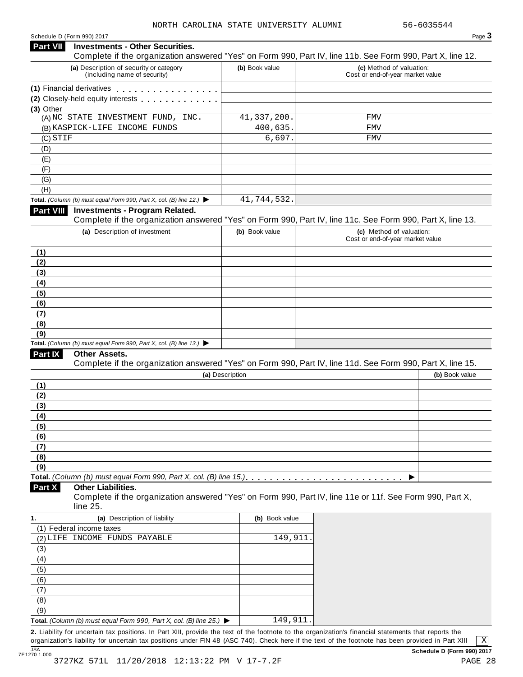#### Schedule <sup>D</sup> (Form 990) <sup>2017</sup> Page **3 Investments - Other Securities. Part VII** Investments - Other Securities.<br>Complete if the organization answered "Yes" on Form 990, Part IV, line 11b. See Form 990, Part X, line 12. **(a)** Description of security or category (including name of security) **(b)** Book value **(c)** Method of valuation: Cost or end-of-year market value **(1)** Financial derivatives **(2)** Closely-held equity interests **(3)** Other (A) NC STATE INVESTMENT FUND, INC. 41,337,200. FMV (B) KASPICK-LIFE INCOME FUNDS 400,635. FMV (C) STIF (D) (E) (F)  $\overline{(G)}$ (H) **Total.** *(Column (b) must equal Form 990, Part X, col. (B) line 12.)* I **Investments - Program Related.** Complete if the organization answered "Yes" on Form 990, Part IV, line 11c. See Form 990, Part X, line 13. **(a)** Description of investment **(b)** Book value **(c)** Method of valuation: Cost or end-of-year market value **(1) (2) (3) (4) (5) (6) (7) (8) (9) Total.** *(Column (b) must equal Form 990, Part X, col. (B) line 13.)* I **Other Assets.** Complete if the organization answered "Yes" on Form 990, Part IV, line 11d. See Form 990, Part X, line 15. **(a)** Description **(b)** Book value **(1) (2) (3) (4) (5) (6) (7) (8) (9)**  $\blacksquare$   $\blacksquare$   $\blacksquare$   $\blacksquare$   $\lozenge$   $\lozenge$   $\blacksquare$   $\blacksquare$   $\blacksquare$   $\blacksquare$   $\blacksquare$   $\blacksquare$   $\blacksquare$   $\blacksquare$   $\blacksquare$   $\blacksquare$   $\blacksquare$   $\blacksquare$   $\blacksquare$   $\blacksquare$   $\blacksquare$   $\blacksquare$   $\blacksquare$   $\blacksquare$   $\blacksquare$   $\blacksquare$   $\blacksquare$   $\blacksquare$   $\blacksquare$   $\blacksquare$   $\blacksquare$   $\blacks$ **Other Liabilities.** Complete if the organization answered "Yes" on Form 990, Part IV, line 11e or 11f. See Form 990, Part X, line 25. **Part X 1. (a)** Description of liability **(b)** Book value (1) Federal income taxes (2)LIFE INCOME FUNDS PAYABLE  $|$  149,911. (3) (4) (5) (6) (7) (8) (9) STIF FMV 41,744,532.

**Total.** *(Column (b) must equal Form 990, Part X, col. (B) line 25.)* I 149,911.

**2.** Liability for uncertain tax positions. In Part XIII, provide the text of the footnote to the organization's financial statements that reports the organization's liability for uncertain tax positions under FIN 48 (ASC 740). Check here if the text of the footnote has been provided in Part XIII 7E1270 1.000

X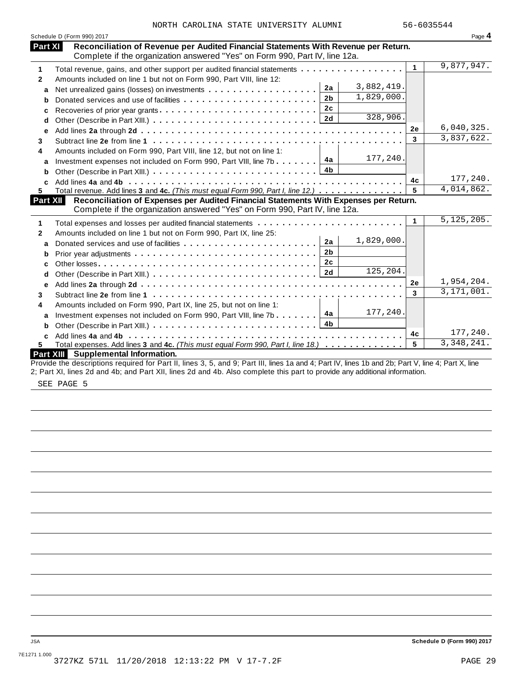|                 | Schedule D (Form 990) 2017                                                                                                                                         |                |            |                      | Page 4       |
|-----------------|--------------------------------------------------------------------------------------------------------------------------------------------------------------------|----------------|------------|----------------------|--------------|
| Part XI         | Reconciliation of Revenue per Audited Financial Statements With Revenue per Return.<br>Complete if the organization answered "Yes" on Form 990, Part IV, line 12a. |                |            |                      |              |
| 1               | Total revenue, gains, and other support per audited financial statements                                                                                           |                |            | $\blacktriangleleft$ | 9,877,947.   |
| $\mathbf{2}$    | Amounts included on line 1 but not on Form 990, Part VIII, line 12:                                                                                                |                |            |                      |              |
| a               |                                                                                                                                                                    | 2a             | 3,882,419. |                      |              |
| b               | 2 <sub>b</sub>                                                                                                                                                     |                | 1,829,000. |                      |              |
| c               | 2c                                                                                                                                                                 |                |            |                      |              |
| d               | 2d                                                                                                                                                                 |                | 328,906.   |                      |              |
| е               |                                                                                                                                                                    |                |            | 2e                   | 6,040,325.   |
| 3               |                                                                                                                                                                    |                |            | 3                    | 3,837,622.   |
| 4               | Amounts included on Form 990, Part VIII, line 12, but not on line 1:                                                                                               |                |            |                      |              |
| a               | Investment expenses not included on Form 990, Part VIII, line 7b                                                                                                   | 4a             | 177,240.   |                      |              |
| b               |                                                                                                                                                                    | 4b             |            |                      |              |
|                 |                                                                                                                                                                    |                |            | 4c                   | 177,240.     |
| 5.              | Total revenue. Add lines 3 and 4c. (This must equal Form 990, Part I, line 12.)                                                                                    |                |            | 5                    | 4,014,862.   |
| <b>Part XII</b> | Reconciliation of Expenses per Audited Financial Statements With Expenses per Return.                                                                              |                |            |                      |              |
|                 | Complete if the organization answered "Yes" on Form 990, Part IV, line 12a.                                                                                        |                |            |                      |              |
| 1               |                                                                                                                                                                    |                |            | 1                    | 5, 125, 205. |
| $\mathbf{2}$    | Amounts included on line 1 but not on Form 990, Part IX, line 25:                                                                                                  |                |            |                      |              |
| a               | 2a                                                                                                                                                                 |                | 1,829,000. |                      |              |
| b               | 2 <sub>b</sub>                                                                                                                                                     |                |            |                      |              |
| c               | 2c                                                                                                                                                                 |                |            |                      |              |
| d               |                                                                                                                                                                    | 2d             | 125,204.   |                      |              |
| е               |                                                                                                                                                                    |                |            | 2e                   | 1,954,204.   |
| 3               |                                                                                                                                                                    |                |            | 3                    | 3,171,001.   |
| 4               | Amounts included on Form 990, Part IX, line 25, but not on line 1:                                                                                                 |                |            |                      |              |
| a               | Investment expenses not included on Form 990, Part VIII, line 7b                                                                                                   | 4a             | 177,240.   |                      |              |
| b               |                                                                                                                                                                    | 4 <sub>b</sub> |            |                      |              |
| C               |                                                                                                                                                                    |                |            | 4c                   | 177,240.     |
| 5.              | Total expenses. Add lines 3 and 4c. (This must equal Form 990, Part I, line 18.)                                                                                   |                |            | 5                    | 3,348,241.   |
|                 | <b>Supplemental Information.</b><br><b>Part XIII</b>                                                                                                               |                |            |                      |              |
|                 | Provide the descriptions required for Part II, lines 3, 5, and 9; Part III, lines 1a and 4; Part IV, lines 1b and 2b; Part V, line 4; Part X, line                 |                |            |                      |              |
|                 | 2; Part XI, lines 2d and 4b; and Part XII, lines 2d and 4b. Also complete this part to provide any additional information.                                         |                |            |                      |              |

SEE PAGE 5

JSA **Schedule D (Form 990) 2017**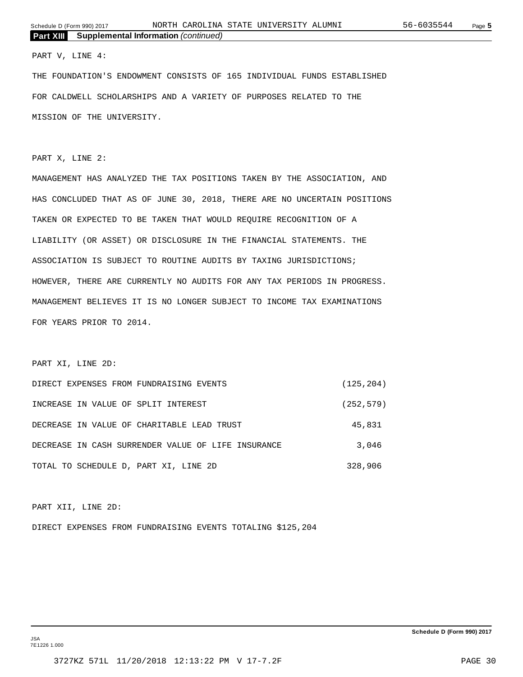#### PART V, LINE 4:

THE FOUNDATION'S ENDOWMENT CONSISTS OF 165 INDIVIDUAL FUNDS ESTABLISHED FOR CALDWELL SCHOLARSHIPS AND A VARIETY OF PURPOSES RELATED TO THE MISSION OF THE UNIVERSITY.

#### PART X, LINE 2:

MANAGEMENT HAS ANALYZED THE TAX POSITIONS TAKEN BY THE ASSOCIATION, AND HAS CONCLUDED THAT AS OF JUNE 30, 2018, THERE ARE NO UNCERTAIN POSITIONS TAKEN OR EXPECTED TO BE TAKEN THAT WOULD REQUIRE RECOGNITION OF A LIABILITY (OR ASSET) OR DISCLOSURE IN THE FINANCIAL STATEMENTS. THE ASSOCIATION IS SUBJECT TO ROUTINE AUDITS BY TAXING JURISDICTIONS; HOWEVER, THERE ARE CURRENTLY NO AUDITS FOR ANY TAX PERIODS IN PROGRESS. MANAGEMENT BELIEVES IT IS NO LONGER SUBJECT TO INCOME TAX EXAMINATIONS FOR YEARS PRIOR TO 2014.

#### PART XI, LINE 2D:

| DIRECT EXPENSES FROM FUNDRAISING EVENTS            | (125, 204) |
|----------------------------------------------------|------------|
| INCREASE IN VALUE OF SPLIT INTEREST                | (252, 579) |
| DECREASE IN VALUE OF CHARITABLE LEAD TRUST         | 45,831     |
| DECREASE IN CASH SURRENDER VALUE OF LIFE INSURANCE | 3,046      |
| TOTAL TO SCHEDULE D, PART XI, LINE 2D              | 328,906    |

#### PART XII, LINE 2D:

DIRECT EXPENSES FROM FUNDRAISING EVENTS TOTALING \$125,204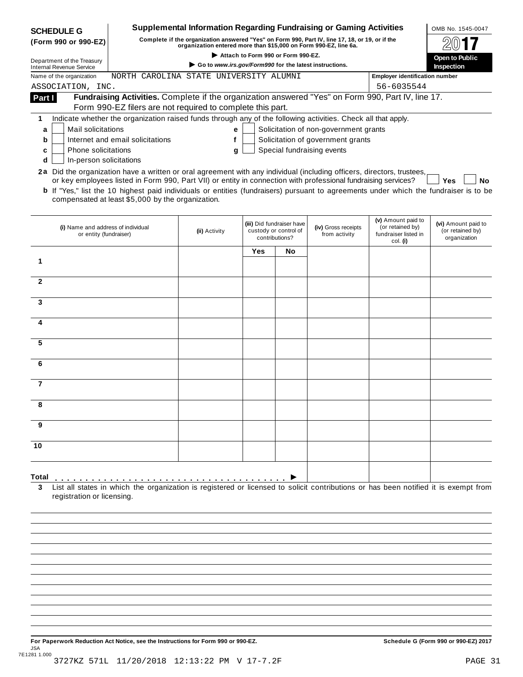| <b>SCHEDULE G</b>                                             |                                                                                                                                                                                                   | <b>Supplemental Information Regarding Fundraising or Gaming Activities</b>                                                                                          |                                    |                                                    |                                       |                                       | OMB No. 1545-0047                       |
|---------------------------------------------------------------|---------------------------------------------------------------------------------------------------------------------------------------------------------------------------------------------------|---------------------------------------------------------------------------------------------------------------------------------------------------------------------|------------------------------------|----------------------------------------------------|---------------------------------------|---------------------------------------|-----------------------------------------|
| (Form 990 or 990-EZ)                                          |                                                                                                                                                                                                   | Complete if the organization answered "Yes" on Form 990, Part IV, line 17, 18, or 19, or if the<br>organization entered more than \$15,000 on Form 990-EZ, line 6a. |                                    |                                                    |                                       |                                       |                                         |
|                                                               |                                                                                                                                                                                                   |                                                                                                                                                                     | Attach to Form 990 or Form 990-EZ. |                                                    |                                       |                                       | <b>Open to Public</b>                   |
| Department of the Treasury<br><b>Internal Revenue Service</b> |                                                                                                                                                                                                   | Go to www.irs.gov/Form990 for the latest instructions.                                                                                                              |                                    |                                                    |                                       |                                       | Inspection                              |
| Name of the organization                                      | NORTH CAROLINA STATE UNIVERSITY ALUMNI                                                                                                                                                            |                                                                                                                                                                     |                                    |                                                    |                                       | <b>Employer identification number</b> |                                         |
| ASSOCIATION, INC.                                             |                                                                                                                                                                                                   |                                                                                                                                                                     |                                    |                                                    |                                       | 56-6035544                            |                                         |
| Part I                                                        | Fundraising Activities. Complete if the organization answered "Yes" on Form 990, Part IV, line 17.                                                                                                |                                                                                                                                                                     |                                    |                                                    |                                       |                                       |                                         |
|                                                               | Form 990-EZ filers are not required to complete this part.                                                                                                                                        |                                                                                                                                                                     |                                    |                                                    |                                       |                                       |                                         |
| 1                                                             | Indicate whether the organization raised funds through any of the following activities. Check all that apply.                                                                                     |                                                                                                                                                                     |                                    |                                                    |                                       |                                       |                                         |
| Mail solicitations<br>a                                       |                                                                                                                                                                                                   | е                                                                                                                                                                   |                                    |                                                    | Solicitation of non-government grants |                                       |                                         |
| b                                                             | Internet and email solicitations                                                                                                                                                                  | f                                                                                                                                                                   |                                    |                                                    | Solicitation of government grants     |                                       |                                         |
| Phone solicitations<br>c                                      |                                                                                                                                                                                                   | g                                                                                                                                                                   |                                    |                                                    | Special fundraising events            |                                       |                                         |
| In-person solicitations<br>d                                  |                                                                                                                                                                                                   |                                                                                                                                                                     |                                    |                                                    |                                       |                                       |                                         |
|                                                               | 2a Did the organization have a written or oral agreement with any individual (including officers, directors, trustees,                                                                            |                                                                                                                                                                     |                                    |                                                    |                                       |                                       |                                         |
|                                                               | or key employees listed in Form 990, Part VII) or entity in connection with professional fundraising services?                                                                                    |                                                                                                                                                                     |                                    |                                                    |                                       |                                       | Yes<br>No                               |
|                                                               | <b>b</b> If "Yes," list the 10 highest paid individuals or entities (fundraisers) pursuant to agreements under which the fundraiser is to be<br>compensated at least \$5,000 by the organization. |                                                                                                                                                                     |                                    |                                                    |                                       |                                       |                                         |
|                                                               |                                                                                                                                                                                                   |                                                                                                                                                                     |                                    |                                                    |                                       |                                       |                                         |
|                                                               |                                                                                                                                                                                                   |                                                                                                                                                                     |                                    |                                                    |                                       | (v) Amount paid to                    |                                         |
| (i) Name and address of individual                            |                                                                                                                                                                                                   | (ii) Activity                                                                                                                                                       |                                    | (iii) Did fundraiser have<br>custody or control of | (iv) Gross receipts                   | (or retained by)                      | (vi) Amount paid to<br>(or retained by) |
| or entity (fundraiser)                                        |                                                                                                                                                                                                   |                                                                                                                                                                     | contributions?                     |                                                    | from activity                         | fundraiser listed in<br>col. (i)      | organization                            |
|                                                               |                                                                                                                                                                                                   |                                                                                                                                                                     | Yes                                | <b>No</b>                                          |                                       |                                       |                                         |
| 1                                                             |                                                                                                                                                                                                   |                                                                                                                                                                     |                                    |                                                    |                                       |                                       |                                         |
|                                                               |                                                                                                                                                                                                   |                                                                                                                                                                     |                                    |                                                    |                                       |                                       |                                         |
| $\mathbf{2}$                                                  |                                                                                                                                                                                                   |                                                                                                                                                                     |                                    |                                                    |                                       |                                       |                                         |
|                                                               |                                                                                                                                                                                                   |                                                                                                                                                                     |                                    |                                                    |                                       |                                       |                                         |
| 3                                                             |                                                                                                                                                                                                   |                                                                                                                                                                     |                                    |                                                    |                                       |                                       |                                         |
| 4                                                             |                                                                                                                                                                                                   |                                                                                                                                                                     |                                    |                                                    |                                       |                                       |                                         |
|                                                               |                                                                                                                                                                                                   |                                                                                                                                                                     |                                    |                                                    |                                       |                                       |                                         |
| 5                                                             |                                                                                                                                                                                                   |                                                                                                                                                                     |                                    |                                                    |                                       |                                       |                                         |
|                                                               |                                                                                                                                                                                                   |                                                                                                                                                                     |                                    |                                                    |                                       |                                       |                                         |
| 6                                                             |                                                                                                                                                                                                   |                                                                                                                                                                     |                                    |                                                    |                                       |                                       |                                         |
|                                                               |                                                                                                                                                                                                   |                                                                                                                                                                     |                                    |                                                    |                                       |                                       |                                         |
| 7                                                             |                                                                                                                                                                                                   |                                                                                                                                                                     |                                    |                                                    |                                       |                                       |                                         |
|                                                               |                                                                                                                                                                                                   |                                                                                                                                                                     |                                    |                                                    |                                       |                                       |                                         |
| 8                                                             |                                                                                                                                                                                                   |                                                                                                                                                                     |                                    |                                                    |                                       |                                       |                                         |
|                                                               |                                                                                                                                                                                                   |                                                                                                                                                                     |                                    |                                                    |                                       |                                       |                                         |
| 9                                                             |                                                                                                                                                                                                   |                                                                                                                                                                     |                                    |                                                    |                                       |                                       |                                         |
|                                                               |                                                                                                                                                                                                   |                                                                                                                                                                     |                                    |                                                    |                                       |                                       |                                         |
|                                                               |                                                                                                                                                                                                   |                                                                                                                                                                     |                                    |                                                    |                                       |                                       |                                         |
|                                                               |                                                                                                                                                                                                   |                                                                                                                                                                     |                                    |                                                    |                                       |                                       |                                         |
| 10                                                            |                                                                                                                                                                                                   |                                                                                                                                                                     |                                    |                                                    |                                       |                                       |                                         |
|                                                               |                                                                                                                                                                                                   |                                                                                                                                                                     |                                    |                                                    |                                       |                                       |                                         |
| Total                                                         | List all states in which the organization is registered or licensed to solicit contributions or has been notified it is exempt from                                                               |                                                                                                                                                                     |                                    |                                                    |                                       |                                       |                                         |

For Paperwork Reduction Act Notice, see the Instructions for Form 990 or 990-EZ. Schedule G (Form 990 or 990-EZ) 2017 JSA 7E1281 1.000 3727KZ 571L 11/20/2018 12:13:22 PM V 17-7.2F PAGE 31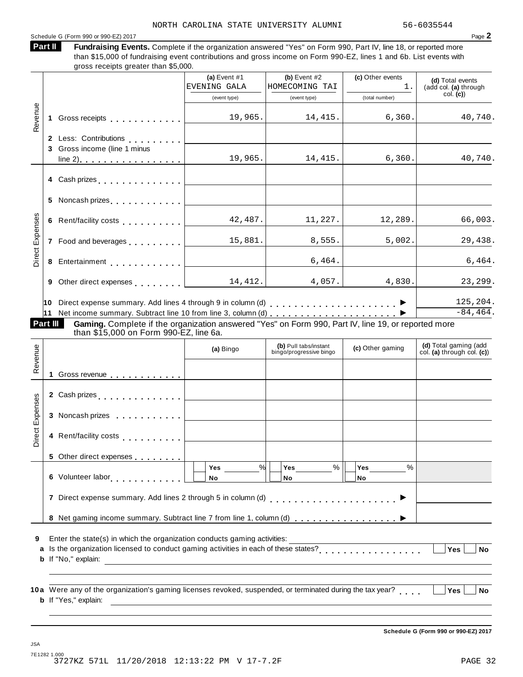#### Schedule <sup>G</sup> (Form <sup>990</sup> or 990-EZ) <sup>2017</sup> Page **2**

Fundraising Events. Complete if the organization answered "Yes" on Form 990, Part IV, line 18, or reported more than \$15,000 of fundraising event contributions and gross income on Form 990-EZ, lines 1 and 6b. List events with gross receipts greater than \$5,000. **Part II**

|                 |                                                                                                                                                                | (a) Event $#1$<br>EVENING GALA                              | (b) Event $#2$<br>HOMECOMING TAI                 | (c) Other events<br>1.     | (d) Total events<br>(add col. (a) through           |
|-----------------|----------------------------------------------------------------------------------------------------------------------------------------------------------------|-------------------------------------------------------------|--------------------------------------------------|----------------------------|-----------------------------------------------------|
|                 |                                                                                                                                                                | (event type)                                                | (event type)                                     | (total number)             | col. (c)                                            |
| Revenue         |                                                                                                                                                                | 19,965.<br><u>i and</u> and a                               | 14,415.                                          | 6, 360.                    | 40,740.                                             |
|                 | 2 Less: Contributions                                                                                                                                          | and the control of the control of the                       |                                                  |                            |                                                     |
|                 | 3 Gross income (line 1 minus                                                                                                                                   |                                                             |                                                  |                            |                                                     |
|                 |                                                                                                                                                                | $\frac{19,965.}{\frac{1}{2000}}$                            | 14,415.                                          | 6,360.                     | 40,740.                                             |
|                 |                                                                                                                                                                | <u> 1980 - Johann Barbara, martxa a</u>                     |                                                  |                            |                                                     |
|                 | 5 Noncash prizes [1, 1, 1, 1, 1, 1, 1, 1]                                                                                                                      | the control of the control of the control of the control of |                                                  |                            |                                                     |
| Expenses        | 6 Rent/facility costs                                                                                                                                          | 42,487.                                                     | 11, 227.                                         | 12,289.                    | 66,003.                                             |
|                 | 7 Food and beverages [1,1,1,1,1,1,1]                                                                                                                           | 15,881.<br>$\mathcal{L}(\mathcal{L}(\mathcal{L}))$          | 8,555.                                           | 5,002.                     | 29,438.                                             |
| Direct          | 8 Entertainment                                                                                                                                                |                                                             | 6,464.                                           |                            | 6,464.                                              |
|                 | 9 Other direct expenses 14, 412.                                                                                                                               |                                                             | 4,057.                                           | 4,830.                     | 23,299.                                             |
|                 |                                                                                                                                                                |                                                             |                                                  |                            | 125,204.                                            |
|                 |                                                                                                                                                                |                                                             |                                                  |                            | $-84, 464.$                                         |
| Part III        | Gaming. Complete if the organization answered "Yes" on Form 990, Part IV, line 19, or reported more<br>than \$15,000 on Form 990-EZ, line 6a.                  |                                                             |                                                  |                            |                                                     |
| Revenue         |                                                                                                                                                                | (a) Bingo                                                   | (b) Pull tabs/instant<br>bingo/progressive bingo | (c) Other gaming           | (d) Total gaming (add<br>col. (a) through col. (c)) |
|                 |                                                                                                                                                                |                                                             |                                                  |                            |                                                     |
|                 | 1 Gross revenue                                                                                                                                                |                                                             |                                                  |                            |                                                     |
|                 |                                                                                                                                                                |                                                             |                                                  |                            |                                                     |
|                 |                                                                                                                                                                |                                                             |                                                  |                            |                                                     |
| Direct Expenses | 4 Rent/facility costs [1] Rent/facility costs                                                                                                                  | the contract of the contract of the contract of             |                                                  |                            |                                                     |
|                 | 5 Other direct expenses                                                                                                                                        |                                                             |                                                  |                            |                                                     |
|                 | 6 Volunteer labor [1] [1] Columber 1, 1999.                                                                                                                    | %<br>Yes<br>No                                              | $\%$<br>Yes<br>No                                | $\frac{0}{0}$<br>Yes<br>No |                                                     |
|                 | 7 Direct expense summary. Add lines 2 through 5 in column (d)                                                                                                  |                                                             | <u>a a a a a a a a a a a a</u>                   |                            |                                                     |
|                 | 8 Net gaming income summary. Subtract line 7 from line 1, column (d)                                                                                           |                                                             |                                                  |                            |                                                     |
| 9               | Enter the state(s) in which the organization conducts gaming activities:<br>Is the organization licensed to conduct gaming activities in each of these states? |                                                             |                                                  |                            | Yes<br>No                                           |
| b               | If "No," explain:                                                                                                                                              |                                                             |                                                  |                            |                                                     |
|                 |                                                                                                                                                                |                                                             |                                                  |                            |                                                     |
|                 | 10a Were any of the organization's gaming licenses revoked, suspended, or terminated during the tax year?<br><b>b</b> If "Yes," explain:                       |                                                             |                                                  |                            | <b>Yes</b><br>No                                    |

JSA 7E1282 1.000 3727KZ 571L 11/20/2018 12:13:22 PM V 17-7.2F PAGE 32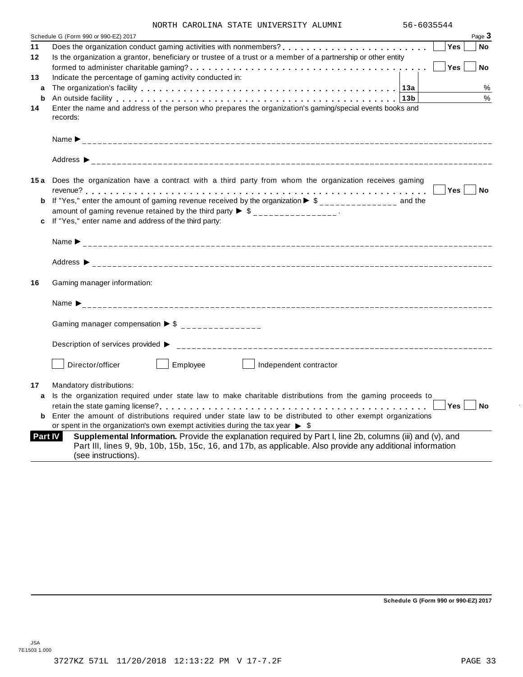| NORTH CAROLINA STATE UNIVERSITY ALUMNI | 56-6035544 |
|----------------------------------------|------------|

|         | Page 3<br>Schedule G (Form 990 or 990-EZ) 2017                                                                                                                                                                                                                  |
|---------|-----------------------------------------------------------------------------------------------------------------------------------------------------------------------------------------------------------------------------------------------------------------|
| 11      | <b>Yes</b><br>No                                                                                                                                                                                                                                                |
| $12 \,$ | Is the organization a grantor, beneficiary or trustee of a trust or a member of a partnership or other entity                                                                                                                                                   |
|         | Yes<br><b>No</b>                                                                                                                                                                                                                                                |
| 13      | Indicate the percentage of gaming activity conducted in:                                                                                                                                                                                                        |
| a       | %                                                                                                                                                                                                                                                               |
| b       | $\%$<br>An outside facility enterpreened and the set of the control of the control of the control of the control of the control of the control of the control of the control of the control of the control of the control of the contr                          |
| 14      | Enter the name and address of the person who prepares the organization's gaming/special events books and                                                                                                                                                        |
|         | records:                                                                                                                                                                                                                                                        |
|         |                                                                                                                                                                                                                                                                 |
|         |                                                                                                                                                                                                                                                                 |
|         | 15a Does the organization have a contract with a third party from whom the organization receives gaming                                                                                                                                                         |
|         | Yes No                                                                                                                                                                                                                                                          |
|         | <b>b</b> If "Yes," enter the amount of gaming revenue received by the organization $\triangleright$ \$______________ and the                                                                                                                                    |
|         | amount of gaming revenue retained by the third party $\triangleright$ \$ _______________.                                                                                                                                                                       |
|         | If "Yes," enter name and address of the third party:                                                                                                                                                                                                            |
|         |                                                                                                                                                                                                                                                                 |
|         |                                                                                                                                                                                                                                                                 |
| 16      | Gaming manager information:                                                                                                                                                                                                                                     |
|         |                                                                                                                                                                                                                                                                 |
|         | Gaming manager compensation $\triangleright$ \$ ________________                                                                                                                                                                                                |
|         | Description of services provided ▶                                                                                                                                                                                                                              |
|         | Director/officer<br>Employee<br>Independent contractor                                                                                                                                                                                                          |
| 17      | Mandatory distributions:                                                                                                                                                                                                                                        |
| a       | Is the organization required under state law to make charitable distributions from the gaming proceeds to                                                                                                                                                       |
|         | Yes<br><b>No</b>                                                                                                                                                                                                                                                |
| b       | Enter the amount of distributions required under state law to be distributed to other exempt organizations                                                                                                                                                      |
|         | or spent in the organization's own exempt activities during the tax year $\triangleright$ \$                                                                                                                                                                    |
|         | Supplemental Information. Provide the explanation required by Part I, line 2b, columns (iii) and (v), and<br><b>Part IV</b><br>Part III, lines 9, 9b, 10b, 15b, 15c, 16, and 17b, as applicable. Also provide any additional information<br>(see instructions). |

**Schedule G (Form 990 or 990-EZ) 2017**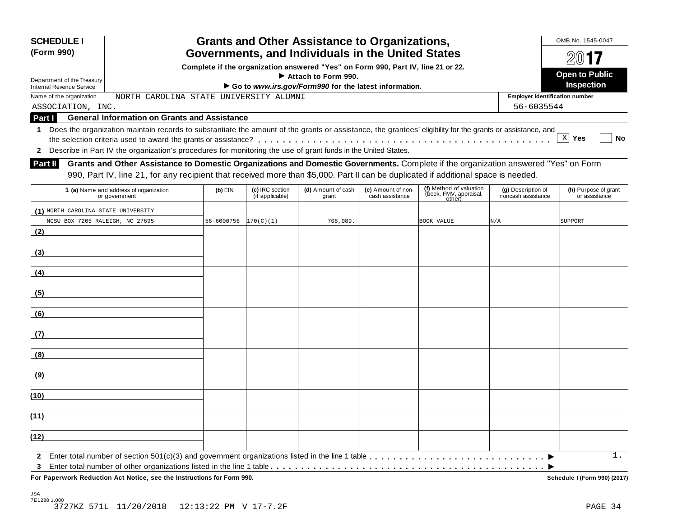| <b>SCHEDULE I</b><br>(Form 990)     | <b>Grants and Other Assistance to Organizations,</b>                                                                                                                                                                                                                      |            | OMB No. 1545-0047                  |                                                       |                                       |                                                             |                                                     |                                       |  |  |
|-------------------------------------|---------------------------------------------------------------------------------------------------------------------------------------------------------------------------------------------------------------------------------------------------------------------------|------------|------------------------------------|-------------------------------------------------------|---------------------------------------|-------------------------------------------------------------|-----------------------------------------------------|---------------------------------------|--|--|
|                                     | Governments, and Individuals in the United States<br>Complete if the organization answered "Yes" on Form 990, Part IV, line 21 or 22.                                                                                                                                     |            |                                    |                                                       |                                       |                                                             |                                                     |                                       |  |  |
| Department of the Treasury          |                                                                                                                                                                                                                                                                           |            |                                    | $\blacktriangleright$ Attach to Form 990.             |                                       |                                                             |                                                     | <b>Open to Public</b>                 |  |  |
| <b>Internal Revenue Service</b>     |                                                                                                                                                                                                                                                                           |            |                                    | Go to www.irs.gov/Form990 for the latest information. |                                       |                                                             |                                                     | Inspection                            |  |  |
| Name of the organization            | NORTH CAROLINA STATE UNIVERSITY ALUMNI                                                                                                                                                                                                                                    |            |                                    |                                                       |                                       |                                                             | <b>Employer identification number</b><br>56-6035544 |                                       |  |  |
| ASSOCIATION, INC.<br>Part I         | <b>General Information on Grants and Assistance</b>                                                                                                                                                                                                                       |            |                                    |                                                       |                                       |                                                             |                                                     |                                       |  |  |
| 1                                   | Does the organization maintain records to substantiate the amount of the grants or assistance, the grantees' eligibility for the grants or assistance, and                                                                                                                |            |                                    |                                                       |                                       |                                                             |                                                     |                                       |  |  |
|                                     |                                                                                                                                                                                                                                                                           |            |                                    |                                                       |                                       |                                                             |                                                     | $X$ Yes<br>No                         |  |  |
| $\mathbf{2}$                        | Describe in Part IV the organization's procedures for monitoring the use of grant funds in the United States.                                                                                                                                                             |            |                                    |                                                       |                                       |                                                             |                                                     |                                       |  |  |
| Part II                             | Grants and Other Assistance to Domestic Organizations and Domestic Governments. Complete if the organization answered "Yes" on Form<br>990, Part IV, line 21, for any recipient that received more than \$5,000. Part II can be duplicated if additional space is needed. |            |                                    |                                                       |                                       |                                                             |                                                     |                                       |  |  |
|                                     | 1 (a) Name and address of organization<br>or government                                                                                                                                                                                                                   | $(b)$ EIN  | (c) IRC section<br>(if applicable) | (d) Amount of cash<br>grant                           | (e) Amount of non-<br>cash assistance | (f) Method of valuation<br>(book, FMV, appraisal,<br>other) | (g) Description of<br>noncash assistance            | (h) Purpose of grant<br>or assistance |  |  |
| (1) NORTH CAROLINA STATE UNIVERSITY |                                                                                                                                                                                                                                                                           |            |                                    |                                                       |                                       |                                                             |                                                     |                                       |  |  |
| NCSU BOX 7205 RALEIGH, NC 27695     |                                                                                                                                                                                                                                                                           | 56-6000756 | 170(C)(1)                          | 708,089.                                              |                                       | <b>BOOK VALUE</b>                                           | N/A                                                 | SUPPORT                               |  |  |
| (2)                                 |                                                                                                                                                                                                                                                                           |            |                                    |                                                       |                                       |                                                             |                                                     |                                       |  |  |
| (3)                                 |                                                                                                                                                                                                                                                                           |            |                                    |                                                       |                                       |                                                             |                                                     |                                       |  |  |
|                                     |                                                                                                                                                                                                                                                                           |            |                                    |                                                       |                                       |                                                             |                                                     |                                       |  |  |
| (4)                                 |                                                                                                                                                                                                                                                                           |            |                                    |                                                       |                                       |                                                             |                                                     |                                       |  |  |
| (5)                                 |                                                                                                                                                                                                                                                                           |            |                                    |                                                       |                                       |                                                             |                                                     |                                       |  |  |
| (6)                                 |                                                                                                                                                                                                                                                                           |            |                                    |                                                       |                                       |                                                             |                                                     |                                       |  |  |
| (7)                                 |                                                                                                                                                                                                                                                                           |            |                                    |                                                       |                                       |                                                             |                                                     |                                       |  |  |
| (8)                                 |                                                                                                                                                                                                                                                                           |            |                                    |                                                       |                                       |                                                             |                                                     |                                       |  |  |
| (9)                                 |                                                                                                                                                                                                                                                                           |            |                                    |                                                       |                                       |                                                             |                                                     |                                       |  |  |
| (10)                                |                                                                                                                                                                                                                                                                           |            |                                    |                                                       |                                       |                                                             |                                                     |                                       |  |  |
| (11)                                |                                                                                                                                                                                                                                                                           |            |                                    |                                                       |                                       |                                                             |                                                     |                                       |  |  |
| (12)                                |                                                                                                                                                                                                                                                                           |            |                                    |                                                       |                                       |                                                             |                                                     |                                       |  |  |
| $\mathbf{2}$<br>3                   |                                                                                                                                                                                                                                                                           |            |                                    |                                                       |                                       |                                                             |                                                     | 1.                                    |  |  |
|                                     | For Paperwork Reduction Act Notice, see the Instructions for Form 990.                                                                                                                                                                                                    |            |                                    |                                                       |                                       |                                                             |                                                     | Schedule I (Form 990) (2017)          |  |  |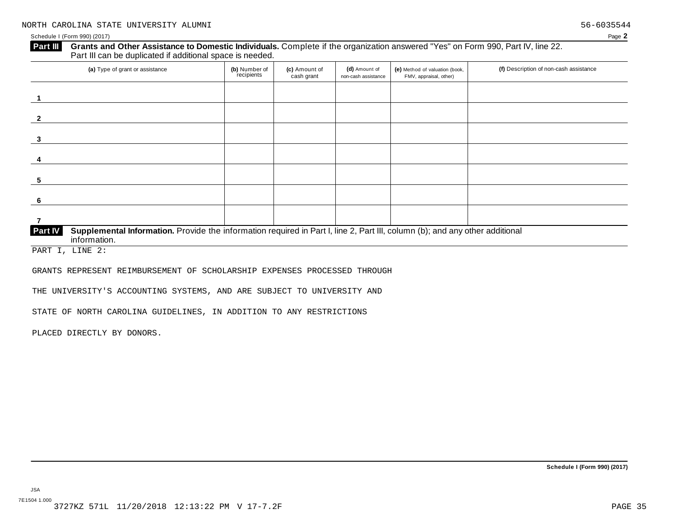#### **Grants and Other Assistance to Domestic Individuals.** Complete ifthe organization answered "Yes" on Form 990, Part IV, line 22. **Part III** Grants and Other Assistance to Domestic Individuals<br>Part III can be duplicated if additional space is needed.

| (a) Type of grant or assistance                                                                                                                                | (b) Number of<br>recipients | (c) Amount of<br>cash grant | (d) Amount of<br>non-cash assistance | (e) Method of valuation (book,<br>FMV, appraisal, other) | (f) Description of non-cash assistance |  |  |
|----------------------------------------------------------------------------------------------------------------------------------------------------------------|-----------------------------|-----------------------------|--------------------------------------|----------------------------------------------------------|----------------------------------------|--|--|
|                                                                                                                                                                |                             |                             |                                      |                                                          |                                        |  |  |
|                                                                                                                                                                |                             |                             |                                      |                                                          |                                        |  |  |
| 3                                                                                                                                                              |                             |                             |                                      |                                                          |                                        |  |  |
|                                                                                                                                                                |                             |                             |                                      |                                                          |                                        |  |  |
| 5                                                                                                                                                              |                             |                             |                                      |                                                          |                                        |  |  |
|                                                                                                                                                                |                             |                             |                                      |                                                          |                                        |  |  |
|                                                                                                                                                                |                             |                             |                                      |                                                          |                                        |  |  |
| Supplemental Information. Provide the information required in Part I, line 2, Part III, column (b); and any other additional<br><b>Part IV</b><br>information. |                             |                             |                                      |                                                          |                                        |  |  |

PART I, LINE 2:

GRANTS REPRESENT REIMBURSEMENT OF SCHOLARSHIP EXPENSES PROCESSED THROUGH

THE UNIVERSITY'S ACCOUNTING SYSTEMS, AND ARE SUBJECT TO UNIVERSITY AND

STATE OF NORTH CAROLINA GUIDELINES, IN ADDITION TO ANY RESTRICTIONS

PLACED DIRECTLY BY DONORS.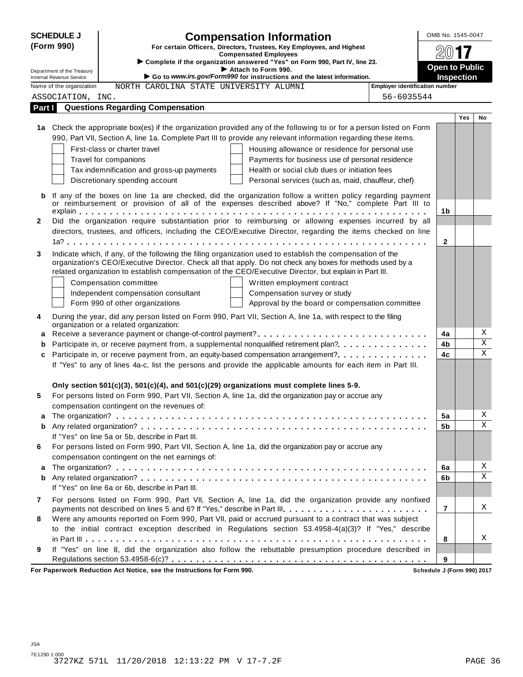|              | <b>SCHEDULE J</b>                                           | <b>Compensation Information</b>                                                                                                                                                                                     | OMB No. 1545-0047 |            |    |  |  |
|--------------|-------------------------------------------------------------|---------------------------------------------------------------------------------------------------------------------------------------------------------------------------------------------------------------------|-------------------|------------|----|--|--|
|              | (Form 990)                                                  | For certain Officers, Directors, Trustees, Key Employees, and Highest                                                                                                                                               | $201$ <b>17</b>   |            |    |  |  |
|              |                                                             | <b>Compensated Employees</b><br>Complete if the organization answered "Yes" on Form 990, Part IV, line 23.                                                                                                          | Open to Public    |            |    |  |  |
|              | Attach to Form 990.<br>Department of the Treasury           |                                                                                                                                                                                                                     |                   |            |    |  |  |
|              | <b>Internal Revenue Service</b><br>Name of the organization | Go to www.irs.gov/Form990 for instructions and the latest information.<br><b>Employer identification number</b><br>NORTH CAROLINA STATE UNIVERSITY ALUMNI                                                           | <b>Inspection</b> |            |    |  |  |
|              | ASSOCIATION, INC.                                           | 56-6035544                                                                                                                                                                                                          |                   |            |    |  |  |
| Part I       |                                                             | <b>Questions Regarding Compensation</b>                                                                                                                                                                             |                   |            |    |  |  |
|              |                                                             |                                                                                                                                                                                                                     |                   | <b>Yes</b> | No |  |  |
|              |                                                             | 1a Check the appropriate box(es) if the organization provided any of the following to or for a person listed on Form                                                                                                |                   |            |    |  |  |
|              |                                                             | 990, Part VII, Section A, line 1a. Complete Part III to provide any relevant information regarding these items.                                                                                                     |                   |            |    |  |  |
|              |                                                             | First-class or charter travel<br>Housing allowance or residence for personal use                                                                                                                                    |                   |            |    |  |  |
|              |                                                             | Payments for business use of personal residence<br>Travel for companions                                                                                                                                            |                   |            |    |  |  |
|              |                                                             | Health or social club dues or initiation fees<br>Tax indemnification and gross-up payments                                                                                                                          |                   |            |    |  |  |
|              |                                                             | Discretionary spending account<br>Personal services (such as, maid, chauffeur, chef)                                                                                                                                |                   |            |    |  |  |
| b            |                                                             | If any of the boxes on line 1a are checked, did the organization follow a written policy regarding payment                                                                                                          |                   |            |    |  |  |
|              |                                                             | or reimbursement or provision of all of the expenses described above? If "No," complete Part III to                                                                                                                 |                   |            |    |  |  |
|              |                                                             |                                                                                                                                                                                                                     | 1b                |            |    |  |  |
| $\mathbf{2}$ |                                                             | Did the organization require substantiation prior to reimbursing or allowing expenses incurred by all                                                                                                               |                   |            |    |  |  |
|              |                                                             | directors, trustees, and officers, including the CEO/Executive Director, regarding the items checked on line                                                                                                        |                   |            |    |  |  |
|              |                                                             |                                                                                                                                                                                                                     | $\mathbf{2}$      |            |    |  |  |
| 3            |                                                             | Indicate which, if any, of the following the filing organization used to establish the compensation of the                                                                                                          |                   |            |    |  |  |
|              |                                                             | organization's CEO/Executive Director. Check all that apply. Do not check any boxes for methods used by a<br>related organization to establish compensation of the CEO/Executive Director, but explain in Part III. |                   |            |    |  |  |
|              |                                                             | Compensation committee<br>Written employment contract                                                                                                                                                               |                   |            |    |  |  |
|              |                                                             | Independent compensation consultant<br>Compensation survey or study                                                                                                                                                 |                   |            |    |  |  |
|              |                                                             | Form 990 of other organizations<br>Approval by the board or compensation committee                                                                                                                                  |                   |            |    |  |  |
|              |                                                             |                                                                                                                                                                                                                     |                   |            |    |  |  |
| 4            |                                                             | During the year, did any person listed on Form 990, Part VII, Section A, line 1a, with respect to the filing<br>organization or a related organization:                                                             |                   |            |    |  |  |
| а            |                                                             | Receive a severance payment or change-of-control payment?                                                                                                                                                           | 4a                |            | Χ  |  |  |
| b            |                                                             | Participate in, or receive payment from, a supplemental nonqualified retirement plan?.                                                                                                                              | 4b                |            | Χ  |  |  |
| c            |                                                             | Participate in, or receive payment from, an equity-based compensation arrangement?                                                                                                                                  | 4c                |            | Χ  |  |  |
|              |                                                             | If "Yes" to any of lines 4a-c, list the persons and provide the applicable amounts for each item in Part III.                                                                                                       |                   |            |    |  |  |
|              |                                                             |                                                                                                                                                                                                                     |                   |            |    |  |  |
|              |                                                             | Only section 501(c)(3), 501(c)(4), and 501(c)(29) organizations must complete lines 5-9.                                                                                                                            |                   |            |    |  |  |
| 5            |                                                             | For persons listed on Form 990, Part VII, Section A, line 1a, did the organization pay or accrue any                                                                                                                |                   |            |    |  |  |
|              |                                                             | compensation contingent on the revenues of:                                                                                                                                                                         |                   |            |    |  |  |
| a            |                                                             |                                                                                                                                                                                                                     | 5a                |            | Χ  |  |  |
| b            |                                                             |                                                                                                                                                                                                                     | 5b                |            | Χ  |  |  |
|              |                                                             | If "Yes" on line 5a or 5b, describe in Part III.                                                                                                                                                                    |                   |            |    |  |  |
| 6            |                                                             | For persons listed on Form 990, Part VII, Section A, line 1a, did the organization pay or accrue any<br>compensation contingent on the net earnings of:                                                             |                   |            |    |  |  |
| a            |                                                             |                                                                                                                                                                                                                     | 6a                |            | Χ  |  |  |
| b            |                                                             |                                                                                                                                                                                                                     | 6b                |            | X  |  |  |
|              |                                                             | If "Yes" on line 6a or 6b, describe in Part III.                                                                                                                                                                    |                   |            |    |  |  |
| 7            |                                                             | For persons listed on Form 990, Part VII, Section A, line 1a, did the organization provide any nonfixed                                                                                                             |                   |            |    |  |  |
|              |                                                             | payments not described on lines 5 and 6? If "Yes," describe in Part III.                                                                                                                                            | 7                 |            | X  |  |  |
| 8            |                                                             | Were any amounts reported on Form 990, Part VII, paid or accrued pursuant to a contract that was subject                                                                                                            |                   |            |    |  |  |
|              |                                                             | to the initial contract exception described in Regulations section 53.4958-4(a)(3)? If "Yes," describe                                                                                                              |                   |            |    |  |  |
|              |                                                             |                                                                                                                                                                                                                     | 8                 |            | Χ  |  |  |
| 9            |                                                             | If "Yes" on line 8, did the organization also follow the rebuttable presumption procedure described in                                                                                                              |                   |            |    |  |  |
|              |                                                             |                                                                                                                                                                                                                     | 9                 |            |    |  |  |

**For Paperwork Reduction Act Notice, see the Instructions for Form 990. Schedule J (Form 990) 2017**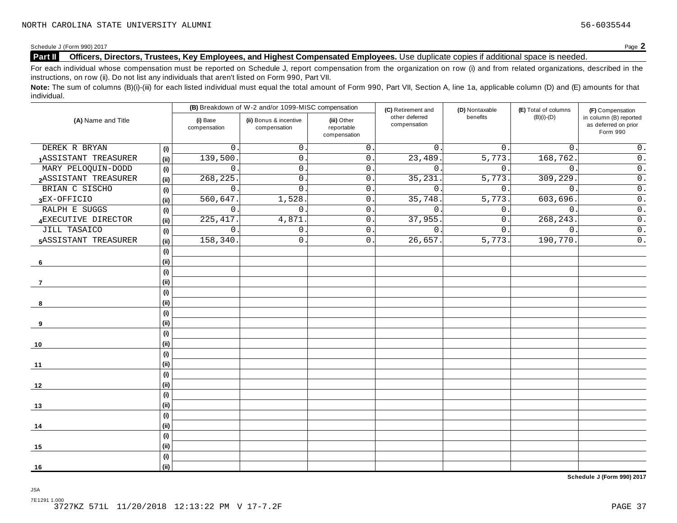Schedule <sup>J</sup> (Form 990) <sup>2017</sup> Page **2**

## **Part II Officers, Directors, Trustees, Key Employees, and Highest Compensated Employees.** Use duplicate copies ifadditional space is needed.

For each individual whose compensation must be reported on Schedule J, report compensation from the organization on row (i) and from related organizations, described in the instructions, on row (ii). Do not list any individuals that aren't listed on Form 990, Part VII.

Note: The sum of columns (B)(i)-(iii) for each listed individual must equal the total amount of Form 990, Part VII, Section A, line 1a, applicable column (D) and (E) amounts for that individual.

|                      |      |                          | (B) Breakdown of W-2 and/or 1099-MISC compensation |                                           | (C) Retirement and             | (D) Nontaxable   | (E) Total of columns | (F) Compensation                                           |
|----------------------|------|--------------------------|----------------------------------------------------|-------------------------------------------|--------------------------------|------------------|----------------------|------------------------------------------------------------|
| (A) Name and Title   |      | (i) Base<br>compensation | (ii) Bonus & incentive<br>compensation             | (iii) Other<br>reportable<br>compensation | other deferred<br>compensation | benefits         | $(B)(i)-(D)$         | in column (B) reported<br>as deferred on prior<br>Form 990 |
| DEREK R BRYAN        | (i)  | $\mathbf 0$              | $\mathbf{0}$ .                                     | $\mathsf 0$ .                             | $\overline{0}$ .               | 0.               | $\mathbf 0$ .        | $0$ .                                                      |
| 1ASSISTANT TREASURER | (i)  | 139,500                  | $\mathbf{0}$ .                                     | $0$ .                                     | 23,489.                        | 5,773.           | 168,762.             | $\overline{0}$ .                                           |
| MARY PELOQUIN-DODD   | (i)  | $\mathbf 0$              | $\mathsf{0}$ .                                     | 0.                                        | $\mathbf{0}$ .                 | 0.               | $\mathbf{0}$ .       | $\overline{0}$ .                                           |
| 2ASSISTANT TREASURER | (i)  | 268,225                  | $\mathsf{O}$ .                                     | $\mathbf{0}$ .                            | 35,231                         | 5,773.           | 309,229              | $0$ .                                                      |
| BRIAN C SISCHO       | (i)  | $\mathsf{O}$             | $\mathbf 0$ .                                      | $\overline{0}$ .                          | $\mathsf{O}$ .                 | $\overline{0}$ . | $\mathbf 0$          | $\overline{0}$ .                                           |
| 3EX-OFFICIO          | (i)  | 560, 647                 | 1,528                                              | $\mathsf 0$ .                             | 35,748.                        | 5,773.           | 603,696.             | $\overline{0}$ .                                           |
| RALPH E SUGGS        | (i)  | $\mathbf 0$              | 0                                                  | $\mathsf 0$ .                             | $\mathbf{0}$ .                 | $\mathbf 0$ .    | $\mathbf{0}$ .       | $\overline{0}$ .                                           |
| 4EXECUTIVE DIRECTOR  | (i)  | 225,417.                 | 4,871                                              | $\overline{0}$ .                          | 37,955.                        | 0.               | 268, 243.            | $\overline{0}$ .                                           |
| JILL TASAICO         | (i)  | $\mathsf{O}$             | 0                                                  | 0.                                        | $\mathsf{O}$ .                 | 0.               | $\mathbf 0$ .        | $\overline{\overline{\mathfrak{o}}\hspace{0.5pt}}$ .       |
| 5ASSISTANT TREASURER | (ii) | 158,340                  | $\mathsf{O}$ .                                     | $0$ .                                     | 26,657.                        | 5,773.           | 190,770.             | $\overline{0}$ .                                           |
|                      | (i)  |                          |                                                    |                                           |                                |                  |                      |                                                            |
| 6                    | (i)  |                          |                                                    |                                           |                                |                  |                      |                                                            |
|                      | (i)  |                          |                                                    |                                           |                                |                  |                      |                                                            |
| 7                    | (i)  |                          |                                                    |                                           |                                |                  |                      |                                                            |
|                      | (i)  |                          |                                                    |                                           |                                |                  |                      |                                                            |
| 8                    | (i)  |                          |                                                    |                                           |                                |                  |                      |                                                            |
|                      | (i)  |                          |                                                    |                                           |                                |                  |                      |                                                            |
| 9                    | (i)  |                          |                                                    |                                           |                                |                  |                      |                                                            |
|                      | (i)  |                          |                                                    |                                           |                                |                  |                      |                                                            |
| 10                   | (i)  |                          |                                                    |                                           |                                |                  |                      |                                                            |
|                      | (i)  |                          |                                                    |                                           |                                |                  |                      |                                                            |
| 11                   | (i)  |                          |                                                    |                                           |                                |                  |                      |                                                            |
|                      | (i)  |                          |                                                    |                                           |                                |                  |                      |                                                            |
| 12                   | (i)  |                          |                                                    |                                           |                                |                  |                      |                                                            |
|                      | (i)  |                          |                                                    |                                           |                                |                  |                      |                                                            |
| 13                   | (i)  |                          |                                                    |                                           |                                |                  |                      |                                                            |
|                      | (i)  |                          |                                                    |                                           |                                |                  |                      |                                                            |
| 14                   | (i)  |                          |                                                    |                                           |                                |                  |                      |                                                            |
|                      | (i)  |                          |                                                    |                                           |                                |                  |                      |                                                            |
| 15                   | (i)  |                          |                                                    |                                           |                                |                  |                      |                                                            |
|                      | (i)  |                          |                                                    |                                           |                                |                  |                      |                                                            |
| 16                   | (i)  |                          |                                                    |                                           |                                |                  |                      |                                                            |

**Schedule J (Form 990) 2017**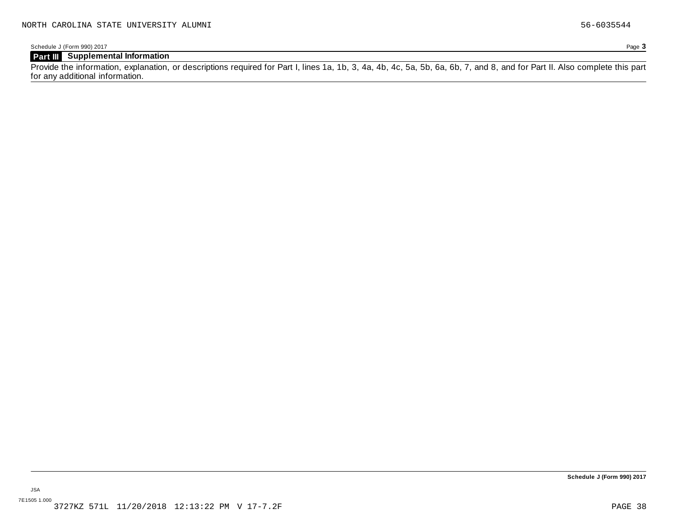Schedule J (Form 990) 2017 Page **3**

## **Part III Supplemental Information**

Provide the information, explanation, or descriptions required for Part I, lines 1a, 1b, 3, 4a, 4b, 4c, 5a, 5b, 6a, 6b, 7, and 8, and for Part II. Also complete this part for any additional information.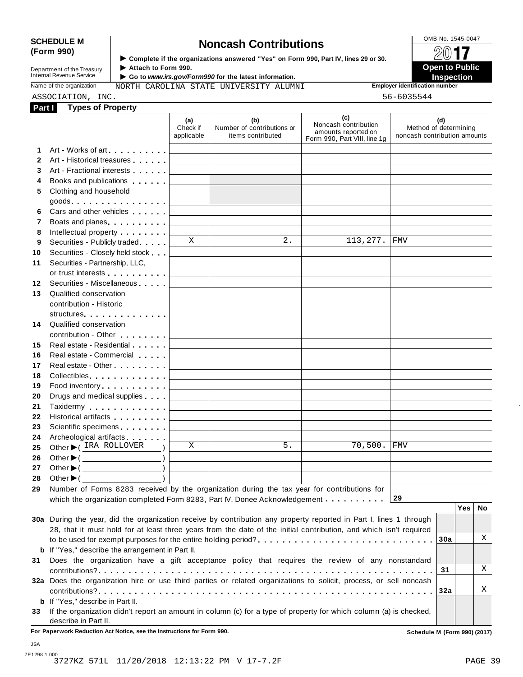# SCHEDULE M<br>
(Form 990) **Schedule Moncash Contributions**<br>  $\begin{array}{r} \hline \text{OMB No. 1545-0047} \\ \hline \text{Complete if the organizations answered "Yes" on Form 990 Part IV lines 29 or 30.} \end{array}$

**Department of the Treasury<br>Internal Revenue Service** 

**Examplete** if the organizations answered "Yes" on Form 990, Part IV, lines 29 or 30. △<del>Ⅳ</del><br>▶ Attach to Form 990. **Department of the Treasury** ▶ Attach to Form 990.<br>Internal Revenue Service ▶ Go to *www.irs.gov/Form990* for the latest information.<br>Nome of the organization and property. Galbert 23 Department in the latest information.

Name of the organization **MORTH CAROLINA STATE UNIVERSITY ALUMNI Employer identification number** 

|              | <b>Types of Property</b><br>Part I                                                                                                                                                                                                 |                               |                                                                            |                                                                                    |                                                              |
|--------------|------------------------------------------------------------------------------------------------------------------------------------------------------------------------------------------------------------------------------------|-------------------------------|----------------------------------------------------------------------------|------------------------------------------------------------------------------------|--------------------------------------------------------------|
|              |                                                                                                                                                                                                                                    | (a)<br>Check if<br>applicable | (b)<br>Number of contributions or<br>items contributed                     | (c)<br>Noncash contribution<br>amounts reported on<br>Form 990, Part VIII, line 1g | (d)<br>Method of determining<br>noncash contribution amounts |
| 1            | Art - Works of art                                                                                                                                                                                                                 |                               |                                                                            |                                                                                    |                                                              |
| $\mathbf{2}$ | Art - Historical treasures                                                                                                                                                                                                         |                               |                                                                            |                                                                                    |                                                              |
| 3            | Art - Fractional interests                                                                                                                                                                                                         |                               |                                                                            |                                                                                    |                                                              |
| 4            | Books and publications <b>Solutions</b>                                                                                                                                                                                            |                               |                                                                            |                                                                                    |                                                              |
| 5            | Clothing and household                                                                                                                                                                                                             |                               |                                                                            |                                                                                    |                                                              |
|              | goods.                                                                                                                                                                                                                             |                               |                                                                            |                                                                                    |                                                              |
| 6            | Cars and other vehicles                                                                                                                                                                                                            |                               |                                                                            |                                                                                    |                                                              |
| 7            | Boats and planes <b>contained by the set of the set of the set of the set of the set of the set of the set of the set of the set of the set of the set of the set of the set of the set of the set of the set of the set of th</b> |                               |                                                                            |                                                                                    |                                                              |
| 8            | Intellectual property entering the state of                                                                                                                                                                                        |                               |                                                                            |                                                                                    |                                                              |
| 9            | Securities - Publicly traded                                                                                                                                                                                                       | X                             | $\overline{2}$ .                                                           | 113,277.                                                                           | <b>FMV</b>                                                   |
| 10           | Securities - Closely held stock                                                                                                                                                                                                    |                               |                                                                            |                                                                                    |                                                              |
| 11           | Securities - Partnership, LLC,                                                                                                                                                                                                     |                               |                                                                            |                                                                                    |                                                              |
|              | or trust interests experience that the set of the set of the set of the set of the set of the set of the set of the set of the set of the set of the set of the set of the set of the set of the set of the set of the set of      |                               |                                                                            |                                                                                    |                                                              |
| 12           | Securities - Miscellaneous                                                                                                                                                                                                         |                               |                                                                            |                                                                                    |                                                              |
| 13           | Qualified conservation                                                                                                                                                                                                             |                               |                                                                            |                                                                                    |                                                              |
|              | contribution - Historic                                                                                                                                                                                                            |                               |                                                                            |                                                                                    |                                                              |
|              | structures                                                                                                                                                                                                                         |                               |                                                                            |                                                                                    |                                                              |
| 14           | Qualified conservation                                                                                                                                                                                                             |                               |                                                                            |                                                                                    |                                                              |
|              | contribution - Other <b>Contribution</b>                                                                                                                                                                                           |                               |                                                                            |                                                                                    |                                                              |
| 15           | Real estate - Residential                                                                                                                                                                                                          |                               |                                                                            |                                                                                    |                                                              |
|              | Real estate - Commercial                                                                                                                                                                                                           |                               |                                                                            |                                                                                    |                                                              |
| 16           | Real estate - Other <b>New York 1988</b>                                                                                                                                                                                           |                               |                                                                            |                                                                                    |                                                              |
| 17<br>18     | Collectibles                                                                                                                                                                                                                       |                               | the contract of the contract of the contract of the                        |                                                                                    |                                                              |
|              |                                                                                                                                                                                                                                    |                               | the control of the control of the control of the control of the control of |                                                                                    |                                                              |
| 19           | Food inventory                                                                                                                                                                                                                     |                               | the contract of the contract of the contract of the                        |                                                                                    |                                                              |
| 20           | Drugs and medical supplies                                                                                                                                                                                                         |                               | the control of the control of the control of the control of the control of |                                                                                    |                                                              |
| 21           | Taxidermy                                                                                                                                                                                                                          |                               | the control of the control of the control of the control of the control of |                                                                                    |                                                              |
| 22           | Historical artifacts <b>All Accords</b>                                                                                                                                                                                            |                               |                                                                            |                                                                                    |                                                              |
| 23           | Scientific specimens <b>contains</b>                                                                                                                                                                                               |                               |                                                                            |                                                                                    |                                                              |
| 24           | Archeological artifacts<br>Other C IRA ROLLOVER                                                                                                                                                                                    | X                             | 5.                                                                         | 70,500.                                                                            | FMV                                                          |
| 25           |                                                                                                                                                                                                                                    |                               |                                                                            |                                                                                    |                                                              |
| 26           |                                                                                                                                                                                                                                    |                               |                                                                            |                                                                                    |                                                              |
| 27           | Other $\blacktriangleright$ ( $\_\_$                                                                                                                                                                                               |                               |                                                                            |                                                                                    |                                                              |
| 28           | Other $\blacktriangleright$ (                                                                                                                                                                                                      |                               |                                                                            |                                                                                    |                                                              |
|              | 29 Number of Forms 8283 received by the organization during the tax year for contributions for                                                                                                                                     |                               |                                                                            |                                                                                    |                                                              |
|              | which the organization completed Form 8283, Part IV, Donee Acknowledgement                                                                                                                                                         |                               |                                                                            |                                                                                    | 29                                                           |
|              |                                                                                                                                                                                                                                    |                               |                                                                            |                                                                                    | Yes  <br>No                                                  |
|              | 30a During the year, did the organization receive by contribution any property reported in Part I, lines 1 through                                                                                                                 |                               |                                                                            |                                                                                    |                                                              |
|              | 28, that it must hold for at least three years from the date of the initial contribution, and which isn't required                                                                                                                 |                               |                                                                            |                                                                                    |                                                              |
|              |                                                                                                                                                                                                                                    |                               |                                                                            |                                                                                    | 30a                                                          |
|              | <b>b</b> If "Yes," describe the arrangement in Part II.                                                                                                                                                                            |                               |                                                                            |                                                                                    |                                                              |
| 31           | Does the organization have a gift acceptance policy that requires the review of any nonstandard                                                                                                                                    |                               |                                                                            |                                                                                    |                                                              |
|              |                                                                                                                                                                                                                                    |                               |                                                                            |                                                                                    | 31                                                           |
|              |                                                                                                                                                                                                                                    |                               |                                                                            |                                                                                    |                                                              |
|              | 32a Does the organization hire or use third parties or related organizations to solicit, process, or sell noncash                                                                                                                  |                               |                                                                            |                                                                                    |                                                              |
|              |                                                                                                                                                                                                                                    |                               |                                                                            |                                                                                    | 32a                                                          |
|              | <b>b</b> If "Yes," describe in Part II.                                                                                                                                                                                            |                               |                                                                            |                                                                                    |                                                              |
|              | 33 If the organization didn't report an amount in column (c) for a type of property for which column (a) is checked,<br>describe in Part II.                                                                                       |                               |                                                                            |                                                                                    |                                                              |

JSA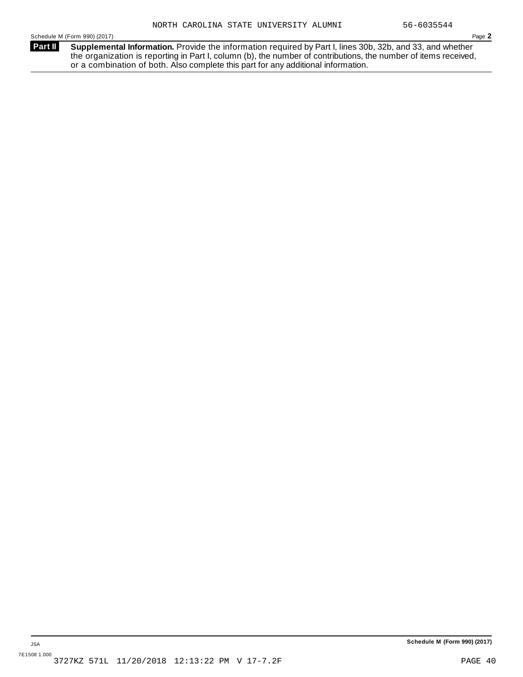**Supplemental Information.** Provide the information required by Part I, lines 30b, 32b, and 33, and whether the organization is reporting in Part I, column (b), the number of contributions, the number of items received, or a combination of both. Also complete this part for any additional information. **Part II**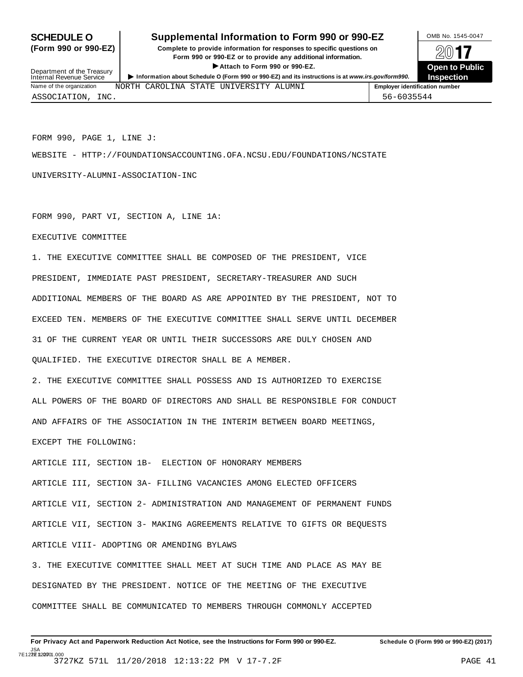## **SCHEDULE O** Supplemental Information to Form 990 or 990-EZ DMB No. 1545-0047

**(Form 990 or 990-EZ) Complete to provide information for responses to specific questions on Form 990 or 990-EZ** or to provide any additional information. I**Attach to Form <sup>990</sup> or 990-EZ. Open to Public**

Information about Schedule O (Form 990 or 990-EZ) and its instructions is at www.irs.gov/form990.



Department of the Treasury<br>Internal Revenue Service

|                          |       |                       |       |                         |        | .                                     |
|--------------------------|-------|-----------------------|-------|-------------------------|--------|---------------------------------------|
| Name of the organization | NORTH | TNA .<br>$\cap$ AROL) | STATE | IVERSITY<br><b>TINT</b> | ALUMN1 | <b>Employer identification number</b> |
| INC.<br>ASSOCIATION      |       |                       |       |                         |        | 56-6035544                            |

FORM 990, PAGE 1, LINE J:

WEBSITE - HTTP://FOUNDATIONSACCOUNTING.OFA.NCSU.EDU/FOUNDATIONS/NCSTATE

UNIVERSITY-ALUMNI-ASSOCIATION-INC

FORM 990, PART VI, SECTION A, LINE 1A:

EXECUTIVE COMMITTEE

1. THE EXECUTIVE COMMITTEE SHALL BE COMPOSED OF THE PRESIDENT, VICE PRESIDENT, IMMEDIATE PAST PRESIDENT, SECRETARY-TREASURER AND SUCH ADDITIONAL MEMBERS OF THE BOARD AS ARE APPOINTED BY THE PRESIDENT, NOT TO EXCEED TEN. MEMBERS OF THE EXECUTIVE COMMITTEE SHALL SERVE UNTIL DECEMBER 31 OF THE CURRENT YEAR OR UNTIL THEIR SUCCESSORS ARE DULY CHOSEN AND QUALIFIED. THE EXECUTIVE DIRECTOR SHALL BE A MEMBER.

2. THE EXECUTIVE COMMITTEE SHALL POSSESS AND IS AUTHORIZED TO EXERCISE ALL POWERS OF THE BOARD OF DIRECTORS AND SHALL BE RESPONSIBLE FOR CONDUCT AND AFFAIRS OF THE ASSOCIATION IN THE INTERIM BETWEEN BOARD MEETINGS, EXCEPT THE FOLLOWING:

ARTICLE III, SECTION 1B- ELECTION OF HONORARY MEMBERS ARTICLE III, SECTION 3A- FILLING VACANCIES AMONG ELECTED OFFICERS ARTICLE VII, SECTION 2- ADMINISTRATION AND MANAGEMENT OF PERMANENT FUNDS ARTICLE VII, SECTION 3- MAKING AGREEMENTS RELATIVE TO GIFTS OR BEQUESTS ARTICLE VIII- ADOPTING OR AMENDING BYLAWS

3. THE EXECUTIVE COMMITTEE SHALL MEET AT SUCH TIME AND PLACE AS MAY BE DESIGNATED BY THE PRESIDENT. NOTICE OF THE MEETING OF THE EXECUTIVE COMMITTEE SHALL BE COMMUNICATED TO MEMBERS THROUGH COMMONLY ACCEPTED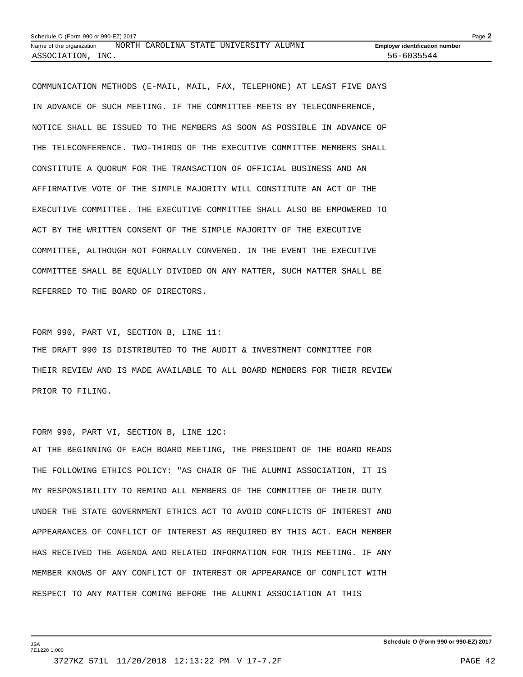| Schedule O (Form 990 or 990-EZ) 2017 |  |  |  |                                        |  | Page $\blacktriangle$                 |  |
|--------------------------------------|--|--|--|----------------------------------------|--|---------------------------------------|--|
| Name of the organization             |  |  |  | NORTH CAROLINA STATE UNIVERSITY ALUMNI |  | <b>Employer identification number</b> |  |
| INC.<br>ASSOCIATION,                 |  |  |  |                                        |  | 56-6035544                            |  |

COMMUNICATION METHODS (E-MAIL, MAIL, FAX, TELEPHONE) AT LEAST FIVE DAYS IN ADVANCE OF SUCH MEETING. IF THE COMMITTEE MEETS BY TELECONFERENCE, NOTICE SHALL BE ISSUED TO THE MEMBERS AS SOON AS POSSIBLE IN ADVANCE OF THE TELECONFERENCE. TWO-THIRDS OF THE EXECUTIVE COMMITTEE MEMBERS SHALL CONSTITUTE A QUORUM FOR THE TRANSACTION OF OFFICIAL BUSINESS AND AN AFFIRMATIVE VOTE OF THE SIMPLE MAJORITY WILL CONSTITUTE AN ACT OF THE EXECUTIVE COMMITTEE. THE EXECUTIVE COMMITTEE SHALL ALSO BE EMPOWERED TO ACT BY THE WRITTEN CONSENT OF THE SIMPLE MAJORITY OF THE EXECUTIVE COMMITTEE, ALTHOUGH NOT FORMALLY CONVENED. IN THE EVENT THE EXECUTIVE COMMITTEE SHALL BE EQUALLY DIVIDED ON ANY MATTER, SUCH MATTER SHALL BE REFERRED TO THE BOARD OF DIRECTORS.

FORM 990, PART VI, SECTION B, LINE 11: THE DRAFT 990 IS DISTRIBUTED TO THE AUDIT & INVESTMENT COMMITTEE FOR THEIR REVIEW AND IS MADE AVAILABLE TO ALL BOARD MEMBERS FOR THEIR REVIEW PRIOR TO FILING.

#### FORM 990, PART VI, SECTION B, LINE 12C:

AT THE BEGINNING OF EACH BOARD MEETING, THE PRESIDENT OF THE BOARD READS THE FOLLOWING ETHICS POLICY: "AS CHAIR OF THE ALUMNI ASSOCIATION, IT IS MY RESPONSIBILITY TO REMIND ALL MEMBERS OF THE COMMITTEE OF THEIR DUTY UNDER THE STATE GOVERNMENT ETHICS ACT TO AVOID CONFLICTS OF INTEREST AND APPEARANCES OF CONFLICT OF INTEREST AS REQUIRED BY THIS ACT. EACH MEMBER HAS RECEIVED THE AGENDA AND RELATED INFORMATION FOR THIS MEETING. IF ANY MEMBER KNOWS OF ANY CONFLICT OF INTEREST OR APPEARANCE OF CONFLICT WITH RESPECT TO ANY MATTER COMING BEFORE THE ALUMNI ASSOCIATION AT THIS

JSA 7E1228 1.000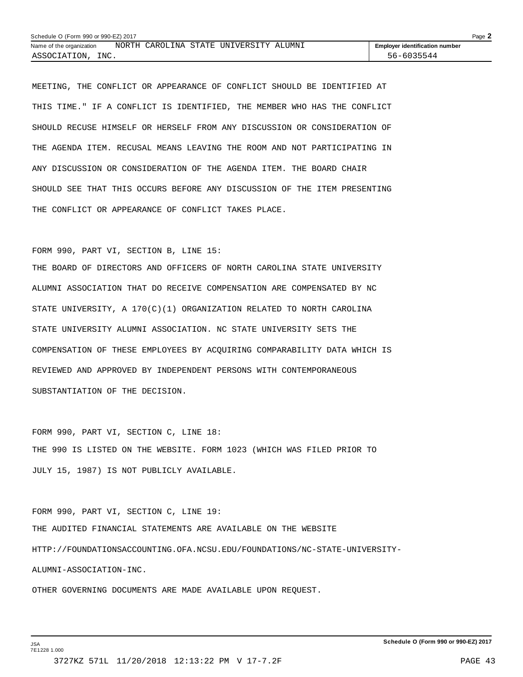| Schedule O (Form 990 or 990-EZ) 2017 |  |  |  |                                        |  | Page $\blacktriangle$                 |  |
|--------------------------------------|--|--|--|----------------------------------------|--|---------------------------------------|--|
| Name of the organization             |  |  |  | NORTH CAROLINA STATE UNIVERSITY ALUMNI |  | <b>Employer identification number</b> |  |
| INC.<br>ASSOCIATION,                 |  |  |  |                                        |  | 56-6035544                            |  |

MEETING, THE CONFLICT OR APPEARANCE OF CONFLICT SHOULD BE IDENTIFIED AT THIS TIME." IF A CONFLICT IS IDENTIFIED, THE MEMBER WHO HAS THE CONFLICT SHOULD RECUSE HIMSELF OR HERSELF FROM ANY DISCUSSION OR CONSIDERATION OF THE AGENDA ITEM. RECUSAL MEANS LEAVING THE ROOM AND NOT PARTICIPATING IN ANY DISCUSSION OR CONSIDERATION OF THE AGENDA ITEM. THE BOARD CHAIR SHOULD SEE THAT THIS OCCURS BEFORE ANY DISCUSSION OF THE ITEM PRESENTING THE CONFLICT OR APPEARANCE OF CONFLICT TAKES PLACE.

#### FORM 990, PART VI, SECTION B, LINE 15:

THE BOARD OF DIRECTORS AND OFFICERS OF NORTH CAROLINA STATE UNIVERSITY ALUMNI ASSOCIATION THAT DO RECEIVE COMPENSATION ARE COMPENSATED BY NC STATE UNIVERSITY, A 170(C)(1) ORGANIZATION RELATED TO NORTH CAROLINA STATE UNIVERSITY ALUMNI ASSOCIATION. NC STATE UNIVERSITY SETS THE COMPENSATION OF THESE EMPLOYEES BY ACQUIRING COMPARABILITY DATA WHICH IS REVIEWED AND APPROVED BY INDEPENDENT PERSONS WITH CONTEMPORANEOUS SUBSTANTIATION OF THE DECISION.

FORM 990, PART VI, SECTION C, LINE 18: THE 990 IS LISTED ON THE WEBSITE. FORM 1023 (WHICH WAS FILED PRIOR TO JULY 15, 1987) IS NOT PUBLICLY AVAILABLE.

FORM 990, PART VI, SECTION C, LINE 19: THE AUDITED FINANCIAL STATEMENTS ARE AVAILABLE ON THE WEBSITE HTTP://FOUNDATIONSACCOUNTING.OFA.NCSU.EDU/FOUNDATIONS/NC-STATE-UNIVERSITY-ALUMNI-ASSOCIATION-INC.

OTHER GOVERNING DOCUMENTS ARE MADE AVAILABLE UPON REQUEST.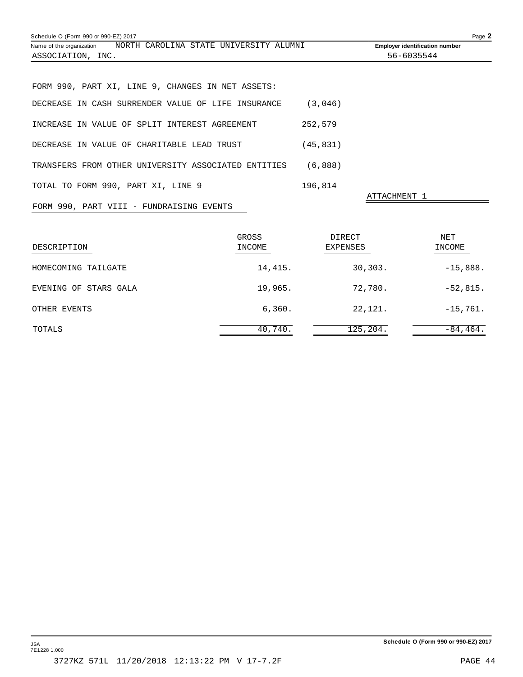<span id="page-44-0"></span>

| Schedule O (Form 990 or 990-EZ) 2017                               |                                       | Page 2       |
|--------------------------------------------------------------------|---------------------------------------|--------------|
| NORTH CAROLINA STATE UNIVERSITY ALUMNI<br>Name of the organization | <b>Employer identification number</b> |              |
| ASSOCIATION, INC.                                                  |                                       | 56-6035544   |
|                                                                    |                                       |              |
| FORM 990, PART XI, LINE 9, CHANGES IN NET ASSETS:                  |                                       |              |
| DECREASE IN CASH SURRENDER VALUE OF LIFE INSURANCE                 | (3,046)                               |              |
| INCREASE IN VALUE OF SPLIT INTEREST AGREEMENT                      | 252,579                               |              |
| DECREASE IN VALUE OF CHARITABLE LEAD TRUST                         | (45,831)                              |              |
| TRANSFERS FROM OTHER UNIVERSITY ASSOCIATED ENTITIES                | (6,888)                               |              |
| TOTAL TO FORM 990, PART XI, LINE 9                                 | 196,814                               |              |
|                                                                    |                                       | ATTACHMENT 1 |

## FORM 990, PART VIII - FUNDRAISING EVENTS

| DESCRIPTION           | GROSS<br>INCOME | DIRECT<br><b>EXPENSES</b> | <b>NET</b><br>INCOME |
|-----------------------|-----------------|---------------------------|----------------------|
| HOMECOMING TAILGATE   | 14,415.         | 30, 303.                  | $-15,888.$           |
| EVENING OF STARS GALA | 19,965.         | 72,780.                   | $-52,815.$           |
| OTHER EVENTS          | 6,360.          | 22,121.                   | $-15,761.$           |
| TOTALS                | 40,740.         | 125,204.                  | $-84, 464.$          |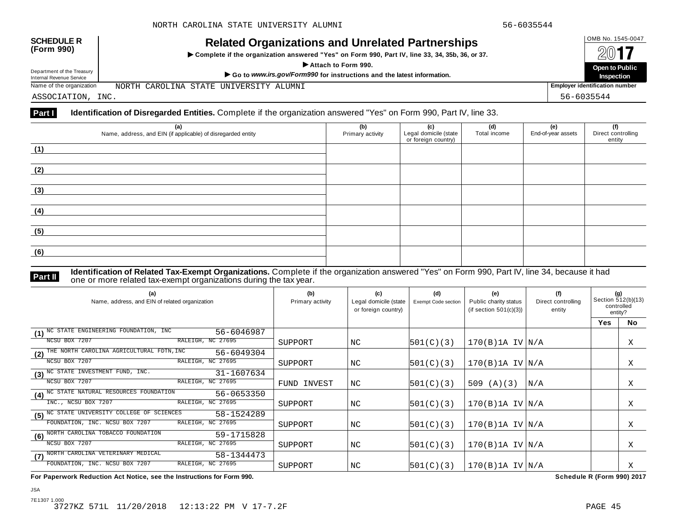| <b>SCHEDULE R</b> |  |
|-------------------|--|
| (Form 990)        |  |

Department of the Treasury

# OMB No. 1545-0047 **SCHEDULE R (Form 990) Related Organizations and Unrelated Partnerships**

 $\triangleright$  Complete if the organization answered "Yes" on Form 990, Part IV, line 33, 34, 35b, 36, or 37.



NORTH CAROLINA STATE UNIVERSITY ALUMNI

ASSOCIATION, INC. 56-6035544

#### **Part I Identification of Disregarded Entities.** Complete if the organization answered "Yes" on Form 990, Part IV, line 33.

| (a)<br>Name, address, and EIN (if applicable) of disregarded entity | (b)<br>Primary activity | (c)<br>Legal domicile (state<br>or foreign country) | (d)<br>Total income | (e)<br>End-of-year assets | (f)<br>Direct controlling<br>entity |
|---------------------------------------------------------------------|-------------------------|-----------------------------------------------------|---------------------|---------------------------|-------------------------------------|
| (1)                                                                 |                         |                                                     |                     |                           |                                     |
| (2)                                                                 |                         |                                                     |                     |                           |                                     |
| (3)                                                                 |                         |                                                     |                     |                           |                                     |
| (4)                                                                 |                         |                                                     |                     |                           |                                     |
| (5)                                                                 |                         |                                                     |                     |                           |                                     |
| (6)                                                                 |                         |                                                     |                     |                           |                                     |

**Identification of Related Tax-Exempt Organizations.** Complete if the organization answered "Yes" on Form 990, Part IV, line 34, because it had **Part II** one or more related tax-exempt organizations during the tax year.

| (a)<br>Name, address, and EIN of related organization          | (b)<br>Primary activity | (c)<br>Legal domicile (state<br>or foreign country) | (d)<br>Exempt Code section | (e)<br>Public charity status<br>(if section $501(c)(3)$ ) | (f)<br>Direct controlling<br>entity | (g)<br>Section 512(b)(13)<br>controlled<br>entity? |           |
|----------------------------------------------------------------|-------------------------|-----------------------------------------------------|----------------------------|-----------------------------------------------------------|-------------------------------------|----------------------------------------------------|-----------|
|                                                                |                         |                                                     |                            |                                                           |                                     | <b>Yes</b>                                         | <b>No</b> |
| NC STATE ENGINEERING FOUNDATION, INC<br>56-6046987<br>(1)      |                         |                                                     |                            |                                                           |                                     |                                                    |           |
| RALEIGH, NC 27695<br>NCSU BOX 7207                             | SUPPORT                 | ΝC                                                  | 501(C)(3)                  | $170(B)$ 1A IV $N/A$                                      |                                     |                                                    | Χ         |
| THE NORTH CAROLINA AGRICULTURAL FDTN, INC<br>56-6049304<br>(2) |                         |                                                     |                            |                                                           |                                     |                                                    |           |
| RALEIGH, NC 27695<br>NCSU BOX 7207                             | SUPPORT                 | NC                                                  | 501(C)(3)                  | $170(B)$ 1A IV $ N/A$                                     |                                     |                                                    | Χ         |
| (3) <sup>NC</sup> STATE INVESTMENT FUND, INC.<br>31-1607634    |                         |                                                     |                            |                                                           |                                     |                                                    |           |
| RALEIGH, NC 27695<br>NCSU BOX 7207                             | FUND INVEST             | NC                                                  | 501(C)(3)                  | 509 $(A)(3)$                                              | N/A                                 |                                                    | Χ         |
| (4) NC STATE NATURAL RESOURCES FOUNDATION<br>56-0653350        |                         |                                                     |                            |                                                           |                                     |                                                    |           |
| INC., NCSU BOX 7207<br>RALEIGH, NC 27695                       | SUPPORT                 | NC                                                  | 501(C)(3)                  | $170(B)$ 1A IV $N/A$                                      |                                     |                                                    | Χ         |
| NC STATE UNIVERSITY COLLEGE OF SCIENCES<br>58-1524289<br>(5)   |                         |                                                     |                            |                                                           |                                     |                                                    |           |
| FOUNDATION, INC. NCSU BOX 7207<br>RALEIGH, NC 27695            | SUPPORT                 | NC                                                  | 501(C)(3)                  | $170(B)$ 1A IV $N/A$                                      |                                     |                                                    | X         |
| NORTH CAROLINA TOBACCO FOUNDATION<br>59-1715828<br>(6)         |                         |                                                     |                            |                                                           |                                     |                                                    |           |
| NCSU BOX 7207<br>RALEIGH, NC 27695                             | SUPPORT                 | NC                                                  | 501(C)(3)                  | $170(B)$ 1A IV $N/A$                                      |                                     |                                                    | Χ         |
| NORTH CAROLINA VETERINARY MEDICAL<br>58-1344473<br>(7)         |                         |                                                     |                            |                                                           |                                     |                                                    |           |
| RALEIGH, NC 27695<br>FOUNDATION, INC. NCSU BOX 7207            | SUPPORT                 | NC.                                                 | 501(C)(3)                  | $170(B)$ 1A IV $ N/A$                                     |                                     |                                                    | Χ         |

**For Paperwork Reduction Act Notice, see the Instructions for Form 990. Schedule R (Form 990) 2017**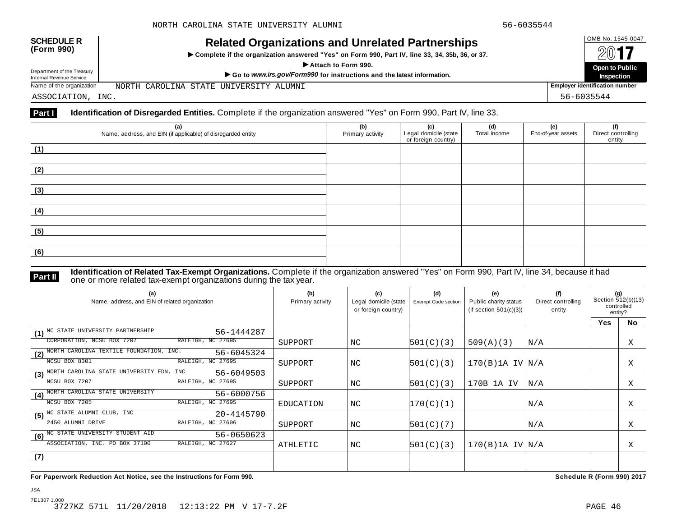

# OMB No. 1545-0047 **SCHEDULE R (Form 990) Related Organizations and Unrelated Partnerships**

 $\triangleright$  Complete if the organization answered "Yes" on Form 990, Part IV, line 33, 34, 35b, 36, or 37.



Department of the Treasury

Department of the Treasury Departo Public<br>Internal Revenue Service Market More to Public (Internal Revenue Service Market on Departo Public<br>Name of the organization MORTH CAROLINA STATE UNIVERSITY ALUMNI NORTH CAROLINA STATE UNIVERSITY ALUMNI

ASSOCIATION, INC. 56-6035544

#### **Part I Identification of Disregarded Entities.** Complete if the organization answered "Yes" on Form 990, Part IV, line 33.

| (a)<br>Name, address, and EIN (if applicable) of disregarded entity | (b)<br>Primary activity | (c)<br>Legal domicile (state<br>or foreign country) | (d)<br>Total income | (e)<br>End-of-year assets | (f)<br>Direct controlling<br>entity |
|---------------------------------------------------------------------|-------------------------|-----------------------------------------------------|---------------------|---------------------------|-------------------------------------|
| (1)                                                                 |                         |                                                     |                     |                           |                                     |
| (2)                                                                 |                         |                                                     |                     |                           |                                     |
| (3)                                                                 |                         |                                                     |                     |                           |                                     |
| (4)                                                                 |                         |                                                     |                     |                           |                                     |
| (5)                                                                 |                         |                                                     |                     |                           |                                     |
| (6)                                                                 |                         |                                                     |                     |                           |                                     |

JSA

**Identification of Related Tax-Exempt Organizations.** Complete if the organization answered "Yes" on Form 990, Part IV, line 34, because it had **Part II** one or more related tax-exempt organizations during the tax year.

| (a)<br>Name, address, and EIN of related organization         | (b)<br>Primary activity | (c)<br>Legal domicile (state<br>or foreign country) | (d)<br>Exempt Code section | (e)<br>Public charity status<br>(if section $501(c)(3)$ ) | (f)<br>Direct controlling<br>entity | (g)<br>Section 512(b)(13)<br>controlled<br>entity? |    |
|---------------------------------------------------------------|-------------------------|-----------------------------------------------------|----------------------------|-----------------------------------------------------------|-------------------------------------|----------------------------------------------------|----|
|                                                               |                         |                                                     |                            |                                                           |                                     | <b>Yes</b>                                         | No |
| NC STATE UNIVERSITY PARTNERSHIP<br>56-1444287<br>(1)          |                         |                                                     |                            |                                                           |                                     |                                                    |    |
| CORPORATION, NCSU BOX 7207<br>RALEIGH, NC 27695               | SUPPORT                 | NC                                                  | 501(C)(3)                  | 509(A)(3)                                                 | N/A                                 |                                                    | X  |
| NORTH CAROLINA TEXTILE FOUNDATION, INC.<br>56-6045324<br>(2)  |                         |                                                     |                            |                                                           |                                     |                                                    |    |
| NCSU BOX 8301<br>RALEIGH, NC 27695                            | SUPPORT                 | NC                                                  | 501(C)(3)                  | $170(B)$ 1A IV $N/A$                                      |                                     |                                                    | Χ  |
| NORTH CAROLINA STATE UNIVERSITY FDN, INC<br>56-6049503<br>(3) |                         |                                                     |                            |                                                           |                                     |                                                    |    |
| NCSU BOX 7207<br>RALEIGH, NC 27695                            | SUPPORT                 | ΝC                                                  | 501(C)(3)                  | 170B 1A IV                                                | N/A                                 |                                                    | Χ  |
| (4) NORTH CAROLINA STATE UNIVERSITY<br>56-6000756             |                         |                                                     |                            |                                                           |                                     |                                                    |    |
| NCSU BOX 7205<br>RALEIGH, NC 27695                            | EDUCATION               | NC                                                  | 170(C)(1)                  |                                                           | N/A                                 |                                                    | Χ  |
| (5) <sup>NC</sup> STATE ALUMNI CLUB, INC<br>20-4145790        |                         |                                                     |                            |                                                           |                                     |                                                    |    |
| 2450 ALUMNI DRIVE<br>RALEIGH, NC 27606                        | SUPPORT                 | NC                                                  | 501(C)(7)                  |                                                           | N/A                                 |                                                    | Χ  |
| (6) <sup>NC</sup> STATE UNIVERSITY STUDENT AID<br>56-0650623  |                         |                                                     |                            |                                                           |                                     |                                                    |    |
| RALEIGH, NC 27627<br>ASSOCIATION, INC. PO BOX 37100           | ATHLETIC                | ΝC                                                  | 501(C)(3)                  | $170(B)$ 1A IV $ N/A$                                     |                                     |                                                    | Χ  |
| (7)                                                           |                         |                                                     |                            |                                                           |                                     |                                                    |    |
|                                                               |                         |                                                     |                            |                                                           |                                     |                                                    |    |

**For Paperwork Reduction Act Notice, see the Instructions for Form 990. Schedule R (Form 990) 2017**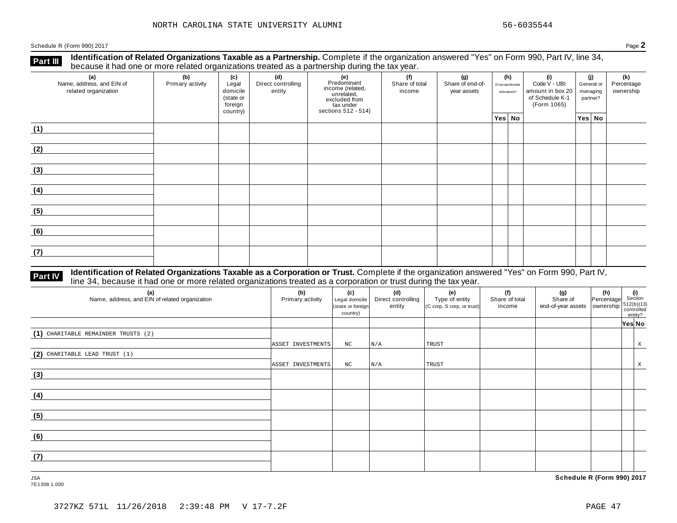Schedule <sup>R</sup> (Form 990) <sup>2017</sup> Page **2**

**Identification of Related Organizations Taxable as a Partnership.** Complete if the organization answered "Yes" on Form 990, Part IV, line 34, **because it had one or more related organizations Taxable as a Partnership.** Complete if the organization of Related organizations treated as a partnership during the tax year.

| (a)<br>Name, address, and EIN of<br>related organization | (b)<br>Primary activity | (c)<br>Legal<br>domicile<br>(state or<br>foreign<br>country) | (d)<br>Direct controlling<br>entity | (e)<br>Predominant<br>income (related,<br>unrelated,<br>excluded from<br>tax under<br>sections 512 - 514) | (f)<br>(g)<br>Share of total<br>Share of end-of-<br>income<br>year assets |  | (h)<br>Disproportionate<br>allocations? | (i)<br>Code V - UBI<br>amount in box 20<br>of Schedule K-1<br>(Form 1065) | (j)<br>General or<br>managing<br>partner? | (k)<br>Percentage<br>ownership |
|----------------------------------------------------------|-------------------------|--------------------------------------------------------------|-------------------------------------|-----------------------------------------------------------------------------------------------------------|---------------------------------------------------------------------------|--|-----------------------------------------|---------------------------------------------------------------------------|-------------------------------------------|--------------------------------|
|                                                          |                         |                                                              |                                     |                                                                                                           |                                                                           |  | Yes No                                  |                                                                           | Yes No                                    |                                |
| (1)                                                      |                         |                                                              |                                     |                                                                                                           |                                                                           |  |                                         |                                                                           |                                           |                                |
| (2)                                                      |                         |                                                              |                                     |                                                                                                           |                                                                           |  |                                         |                                                                           |                                           |                                |
| (3)                                                      |                         |                                                              |                                     |                                                                                                           |                                                                           |  |                                         |                                                                           |                                           |                                |
| (4)                                                      |                         |                                                              |                                     |                                                                                                           |                                                                           |  |                                         |                                                                           |                                           |                                |
| (5)                                                      |                         |                                                              |                                     |                                                                                                           |                                                                           |  |                                         |                                                                           |                                           |                                |
| (6)                                                      |                         |                                                              |                                     |                                                                                                           |                                                                           |  |                                         |                                                                           |                                           |                                |
| (7)                                                      |                         |                                                              |                                     |                                                                                                           |                                                                           |  |                                         |                                                                           |                                           |                                |

# **Part IV** Identification of Related Organizations Taxable as a Corporation or Trust. Complete if the organization answered "Yes" on Form 990, Part IV,<br>line 34, because it had one or more related organizations treated as a

| (a)<br>Name, address, and EIN of related organization | (b)<br>Primary activity | (c)<br>Legal domicile<br>(state or foreign<br>country) | (d)<br>Direct controlling<br>entity | (e)<br>Type of entity<br>(C corp, S corp, or trust) | (f)<br>Share of total<br>income | (g)<br>Share of<br>end-of-year assets ownership 512(b)(13) | $\begin{vmatrix} (h) \\ Percentage \end{vmatrix}$ Section | entity? |   |
|-------------------------------------------------------|-------------------------|--------------------------------------------------------|-------------------------------------|-----------------------------------------------------|---------------------------------|------------------------------------------------------------|-----------------------------------------------------------|---------|---|
|                                                       |                         |                                                        |                                     |                                                     |                                 |                                                            |                                                           | Yes No  |   |
| (1) CHARITABLE REMAINDER TRUSTS (2)                   |                         |                                                        |                                     |                                                     |                                 |                                                            |                                                           |         |   |
|                                                       | ASSET INVESTMENTS       | $_{\mathrm{NC}}$                                       | N/A                                 | TRUST                                               |                                 |                                                            |                                                           |         | X |
| $(2)$ CHARITABLE LEAD TRUST $(1)$                     |                         |                                                        |                                     |                                                     |                                 |                                                            |                                                           |         |   |
|                                                       | ASSET INVESTMENTS       | $_{\mathrm{NC}}$                                       | N/A                                 | TRUST                                               |                                 |                                                            |                                                           |         | X |
| (3)                                                   |                         |                                                        |                                     |                                                     |                                 |                                                            |                                                           |         |   |
| (4)                                                   |                         |                                                        |                                     |                                                     |                                 |                                                            |                                                           |         |   |
| (5)                                                   |                         |                                                        |                                     |                                                     |                                 |                                                            |                                                           |         |   |
| (6)                                                   |                         |                                                        |                                     |                                                     |                                 |                                                            |                                                           |         |   |
| (7)                                                   |                         |                                                        |                                     |                                                     |                                 |                                                            |                                                           |         |   |

7E1308 1.000

JSA **Schedule R (Form 990) 2017**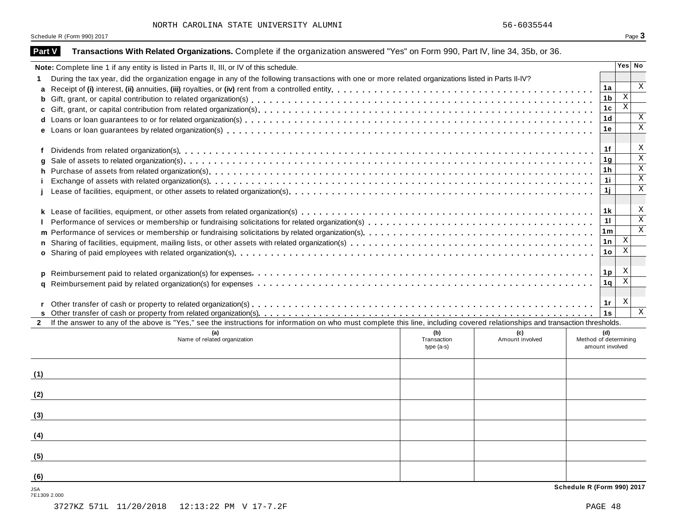Schedule R (Form 990) 2017 Page 3

| Yes   No<br>Note: Complete line 1 if any entity is listed in Parts II, III, or IV of this schedule.<br>During the tax year, did the organization engage in any of the following transactions with one or more related organizations listed in Parts II-IV?<br>X<br>1a<br>a<br>$\overline{X}$<br>1 <sub>b</sub><br>b<br>$\overline{\mathbf{x}}$<br>1 <sub>c</sub><br>X<br>1 <sub>d</sub><br>$\overline{\mathbf{x}}$<br>1е<br>Χ<br>1f<br>f<br>$\overline{\mathbf{x}}$<br>1 <sub>g</sub><br>$\overline{\mathbf{x}}$<br>1 <sub>h</sub><br>h<br>$\overline{\mathbf{x}}$<br>11<br>$\overline{\mathbf{x}}$<br>1j<br>X<br>1 <sub>k</sub><br>$\overline{\mathbf{x}}$<br>11<br>$\overline{\mathbf{x}}$<br>1 <sub>m</sub><br>m<br>$\boldsymbol{\mathrm{X}}$<br>1n<br>$\overline{\mathbf{x}}$<br>1 <sub>o</sub><br>X<br>1 <sub>p</sub><br>$\overline{\mathbf{x}}$<br>1q<br>$\boldsymbol{\mathrm{X}}$<br>1r<br>$\mathbf{X}$<br>1s<br>If the answer to any of the above is "Yes," see the instructions for information on who must complete this line, including covered relationships and transaction thresholds.<br>$\mathbf{2}$<br>(b)<br>(d)<br>(c)<br>Amount involved<br>Name of related organization<br>Transaction<br>Method of determining<br>amount involved<br>$type(a-s)$<br>(4)<br>(5)<br>(6)<br>Schedule R (Form 990) 2017<br><b>JSA</b> | <b>Part V</b> | Transactions With Related Organizations. Complete if the organization answered "Yes" on Form 990, Part IV, line 34, 35b, or 36. |  |  |  |  |  |  |  |  |
|-----------------------------------------------------------------------------------------------------------------------------------------------------------------------------------------------------------------------------------------------------------------------------------------------------------------------------------------------------------------------------------------------------------------------------------------------------------------------------------------------------------------------------------------------------------------------------------------------------------------------------------------------------------------------------------------------------------------------------------------------------------------------------------------------------------------------------------------------------------------------------------------------------------------------------------------------------------------------------------------------------------------------------------------------------------------------------------------------------------------------------------------------------------------------------------------------------------------------------------------------------------------------------------------------------------------------------------------|---------------|---------------------------------------------------------------------------------------------------------------------------------|--|--|--|--|--|--|--|--|
|                                                                                                                                                                                                                                                                                                                                                                                                                                                                                                                                                                                                                                                                                                                                                                                                                                                                                                                                                                                                                                                                                                                                                                                                                                                                                                                                         |               |                                                                                                                                 |  |  |  |  |  |  |  |  |
|                                                                                                                                                                                                                                                                                                                                                                                                                                                                                                                                                                                                                                                                                                                                                                                                                                                                                                                                                                                                                                                                                                                                                                                                                                                                                                                                         |               |                                                                                                                                 |  |  |  |  |  |  |  |  |
|                                                                                                                                                                                                                                                                                                                                                                                                                                                                                                                                                                                                                                                                                                                                                                                                                                                                                                                                                                                                                                                                                                                                                                                                                                                                                                                                         |               |                                                                                                                                 |  |  |  |  |  |  |  |  |
|                                                                                                                                                                                                                                                                                                                                                                                                                                                                                                                                                                                                                                                                                                                                                                                                                                                                                                                                                                                                                                                                                                                                                                                                                                                                                                                                         |               |                                                                                                                                 |  |  |  |  |  |  |  |  |
|                                                                                                                                                                                                                                                                                                                                                                                                                                                                                                                                                                                                                                                                                                                                                                                                                                                                                                                                                                                                                                                                                                                                                                                                                                                                                                                                         |               |                                                                                                                                 |  |  |  |  |  |  |  |  |
|                                                                                                                                                                                                                                                                                                                                                                                                                                                                                                                                                                                                                                                                                                                                                                                                                                                                                                                                                                                                                                                                                                                                                                                                                                                                                                                                         |               |                                                                                                                                 |  |  |  |  |  |  |  |  |
|                                                                                                                                                                                                                                                                                                                                                                                                                                                                                                                                                                                                                                                                                                                                                                                                                                                                                                                                                                                                                                                                                                                                                                                                                                                                                                                                         |               |                                                                                                                                 |  |  |  |  |  |  |  |  |
|                                                                                                                                                                                                                                                                                                                                                                                                                                                                                                                                                                                                                                                                                                                                                                                                                                                                                                                                                                                                                                                                                                                                                                                                                                                                                                                                         |               |                                                                                                                                 |  |  |  |  |  |  |  |  |
|                                                                                                                                                                                                                                                                                                                                                                                                                                                                                                                                                                                                                                                                                                                                                                                                                                                                                                                                                                                                                                                                                                                                                                                                                                                                                                                                         |               |                                                                                                                                 |  |  |  |  |  |  |  |  |
|                                                                                                                                                                                                                                                                                                                                                                                                                                                                                                                                                                                                                                                                                                                                                                                                                                                                                                                                                                                                                                                                                                                                                                                                                                                                                                                                         |               |                                                                                                                                 |  |  |  |  |  |  |  |  |
|                                                                                                                                                                                                                                                                                                                                                                                                                                                                                                                                                                                                                                                                                                                                                                                                                                                                                                                                                                                                                                                                                                                                                                                                                                                                                                                                         |               |                                                                                                                                 |  |  |  |  |  |  |  |  |
|                                                                                                                                                                                                                                                                                                                                                                                                                                                                                                                                                                                                                                                                                                                                                                                                                                                                                                                                                                                                                                                                                                                                                                                                                                                                                                                                         |               |                                                                                                                                 |  |  |  |  |  |  |  |  |
|                                                                                                                                                                                                                                                                                                                                                                                                                                                                                                                                                                                                                                                                                                                                                                                                                                                                                                                                                                                                                                                                                                                                                                                                                                                                                                                                         |               |                                                                                                                                 |  |  |  |  |  |  |  |  |
|                                                                                                                                                                                                                                                                                                                                                                                                                                                                                                                                                                                                                                                                                                                                                                                                                                                                                                                                                                                                                                                                                                                                                                                                                                                                                                                                         |               |                                                                                                                                 |  |  |  |  |  |  |  |  |
|                                                                                                                                                                                                                                                                                                                                                                                                                                                                                                                                                                                                                                                                                                                                                                                                                                                                                                                                                                                                                                                                                                                                                                                                                                                                                                                                         |               |                                                                                                                                 |  |  |  |  |  |  |  |  |
|                                                                                                                                                                                                                                                                                                                                                                                                                                                                                                                                                                                                                                                                                                                                                                                                                                                                                                                                                                                                                                                                                                                                                                                                                                                                                                                                         |               |                                                                                                                                 |  |  |  |  |  |  |  |  |
|                                                                                                                                                                                                                                                                                                                                                                                                                                                                                                                                                                                                                                                                                                                                                                                                                                                                                                                                                                                                                                                                                                                                                                                                                                                                                                                                         |               |                                                                                                                                 |  |  |  |  |  |  |  |  |
|                                                                                                                                                                                                                                                                                                                                                                                                                                                                                                                                                                                                                                                                                                                                                                                                                                                                                                                                                                                                                                                                                                                                                                                                                                                                                                                                         |               |                                                                                                                                 |  |  |  |  |  |  |  |  |
|                                                                                                                                                                                                                                                                                                                                                                                                                                                                                                                                                                                                                                                                                                                                                                                                                                                                                                                                                                                                                                                                                                                                                                                                                                                                                                                                         |               |                                                                                                                                 |  |  |  |  |  |  |  |  |
|                                                                                                                                                                                                                                                                                                                                                                                                                                                                                                                                                                                                                                                                                                                                                                                                                                                                                                                                                                                                                                                                                                                                                                                                                                                                                                                                         |               |                                                                                                                                 |  |  |  |  |  |  |  |  |
|                                                                                                                                                                                                                                                                                                                                                                                                                                                                                                                                                                                                                                                                                                                                                                                                                                                                                                                                                                                                                                                                                                                                                                                                                                                                                                                                         |               |                                                                                                                                 |  |  |  |  |  |  |  |  |
|                                                                                                                                                                                                                                                                                                                                                                                                                                                                                                                                                                                                                                                                                                                                                                                                                                                                                                                                                                                                                                                                                                                                                                                                                                                                                                                                         |               |                                                                                                                                 |  |  |  |  |  |  |  |  |
|                                                                                                                                                                                                                                                                                                                                                                                                                                                                                                                                                                                                                                                                                                                                                                                                                                                                                                                                                                                                                                                                                                                                                                                                                                                                                                                                         |               |                                                                                                                                 |  |  |  |  |  |  |  |  |
|                                                                                                                                                                                                                                                                                                                                                                                                                                                                                                                                                                                                                                                                                                                                                                                                                                                                                                                                                                                                                                                                                                                                                                                                                                                                                                                                         |               |                                                                                                                                 |  |  |  |  |  |  |  |  |
|                                                                                                                                                                                                                                                                                                                                                                                                                                                                                                                                                                                                                                                                                                                                                                                                                                                                                                                                                                                                                                                                                                                                                                                                                                                                                                                                         | (1)           |                                                                                                                                 |  |  |  |  |  |  |  |  |
|                                                                                                                                                                                                                                                                                                                                                                                                                                                                                                                                                                                                                                                                                                                                                                                                                                                                                                                                                                                                                                                                                                                                                                                                                                                                                                                                         | (2)           |                                                                                                                                 |  |  |  |  |  |  |  |  |
|                                                                                                                                                                                                                                                                                                                                                                                                                                                                                                                                                                                                                                                                                                                                                                                                                                                                                                                                                                                                                                                                                                                                                                                                                                                                                                                                         | (3)           |                                                                                                                                 |  |  |  |  |  |  |  |  |
|                                                                                                                                                                                                                                                                                                                                                                                                                                                                                                                                                                                                                                                                                                                                                                                                                                                                                                                                                                                                                                                                                                                                                                                                                                                                                                                                         |               |                                                                                                                                 |  |  |  |  |  |  |  |  |
|                                                                                                                                                                                                                                                                                                                                                                                                                                                                                                                                                                                                                                                                                                                                                                                                                                                                                                                                                                                                                                                                                                                                                                                                                                                                                                                                         |               |                                                                                                                                 |  |  |  |  |  |  |  |  |
|                                                                                                                                                                                                                                                                                                                                                                                                                                                                                                                                                                                                                                                                                                                                                                                                                                                                                                                                                                                                                                                                                                                                                                                                                                                                                                                                         |               |                                                                                                                                 |  |  |  |  |  |  |  |  |
|                                                                                                                                                                                                                                                                                                                                                                                                                                                                                                                                                                                                                                                                                                                                                                                                                                                                                                                                                                                                                                                                                                                                                                                                                                                                                                                                         |               |                                                                                                                                 |  |  |  |  |  |  |  |  |

JSA<br>7E1309 2.000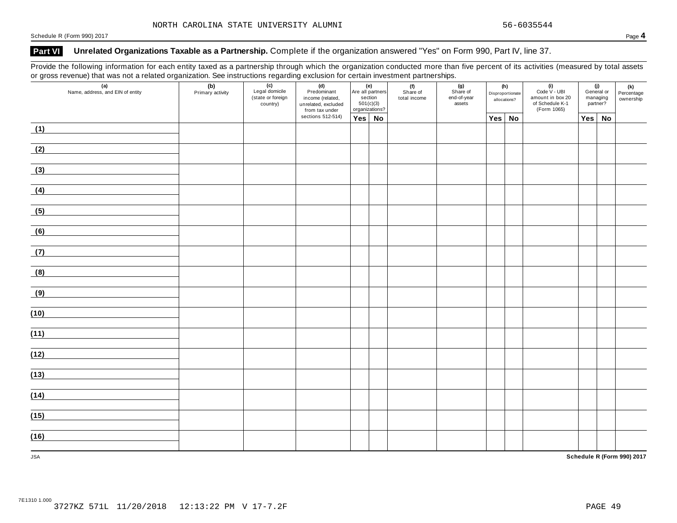Schedule <sup>R</sup> (Form 990) <sup>2017</sup> Page **4**

## **Part VI Unrelated Organizations Taxable as a Partnership.** Complete if the organization answered "Yes" on Form 990, Part IV, line 37.

Provide the following information for each entity taxed as a partnership through which the organization conducted more than five percent of its activities (measured by total assets or gross revenue) that was not a related organization. See instructions regarding exclusion for certain investment partnerships.

| $\overline{a}$<br>Name, address, and EIN of entity | (c)<br>Legal domicile<br>(b)<br>Primary activity<br>(d)<br>Predominant<br>(e)<br>(f)<br>Are all partners<br>(state or foreign<br>income (related,<br>section<br>501(c)(3)<br>country)<br>unrelated, excluded<br>organizations?<br>from tax under |  | Share of<br>total income | (g)<br>Share of<br>end-of-year<br>assets | (h)<br>Disproportionate<br>allocations? | $(i)$<br>Code $\vee$ - UBI<br>amount in box 20<br>of Schedule K-1<br>(Form 1065) |  | (j)<br>General or<br>managing<br>partner? | (k)<br>Percentage<br>ownership |     |    |                            |
|----------------------------------------------------|--------------------------------------------------------------------------------------------------------------------------------------------------------------------------------------------------------------------------------------------------|--|--------------------------|------------------------------------------|-----------------------------------------|----------------------------------------------------------------------------------|--|-------------------------------------------|--------------------------------|-----|----|----------------------------|
|                                                    |                                                                                                                                                                                                                                                  |  | sections 512-514)        | $Yes \mid No$                            |                                         |                                                                                  |  | Yes No                                    |                                | Yes | No |                            |
| (1)                                                |                                                                                                                                                                                                                                                  |  |                          |                                          |                                         |                                                                                  |  |                                           |                                |     |    |                            |
| (2)                                                |                                                                                                                                                                                                                                                  |  |                          |                                          |                                         |                                                                                  |  |                                           |                                |     |    |                            |
| (3)                                                |                                                                                                                                                                                                                                                  |  |                          |                                          |                                         |                                                                                  |  |                                           |                                |     |    |                            |
| (4)                                                |                                                                                                                                                                                                                                                  |  |                          |                                          |                                         |                                                                                  |  |                                           |                                |     |    |                            |
| (5)                                                |                                                                                                                                                                                                                                                  |  |                          |                                          |                                         |                                                                                  |  |                                           |                                |     |    |                            |
| (6)                                                |                                                                                                                                                                                                                                                  |  |                          |                                          |                                         |                                                                                  |  |                                           |                                |     |    |                            |
| (7)                                                |                                                                                                                                                                                                                                                  |  |                          |                                          |                                         |                                                                                  |  |                                           |                                |     |    |                            |
| (8)                                                |                                                                                                                                                                                                                                                  |  |                          |                                          |                                         |                                                                                  |  |                                           |                                |     |    |                            |
| (9)                                                |                                                                                                                                                                                                                                                  |  |                          |                                          |                                         |                                                                                  |  |                                           |                                |     |    |                            |
| (10)                                               |                                                                                                                                                                                                                                                  |  |                          |                                          |                                         |                                                                                  |  |                                           |                                |     |    |                            |
| (11)                                               |                                                                                                                                                                                                                                                  |  |                          |                                          |                                         |                                                                                  |  |                                           |                                |     |    |                            |
| (12)                                               |                                                                                                                                                                                                                                                  |  |                          |                                          |                                         |                                                                                  |  |                                           |                                |     |    |                            |
| (13)                                               |                                                                                                                                                                                                                                                  |  |                          |                                          |                                         |                                                                                  |  |                                           |                                |     |    |                            |
| (14)                                               |                                                                                                                                                                                                                                                  |  |                          |                                          |                                         |                                                                                  |  |                                           |                                |     |    |                            |
| (15)                                               |                                                                                                                                                                                                                                                  |  |                          |                                          |                                         |                                                                                  |  |                                           |                                |     |    |                            |
| (16)                                               |                                                                                                                                                                                                                                                  |  |                          |                                          |                                         |                                                                                  |  |                                           |                                |     |    |                            |
| <b>JSA</b>                                         |                                                                                                                                                                                                                                                  |  |                          |                                          |                                         |                                                                                  |  |                                           |                                |     |    | Schedule R (Form 990) 2017 |